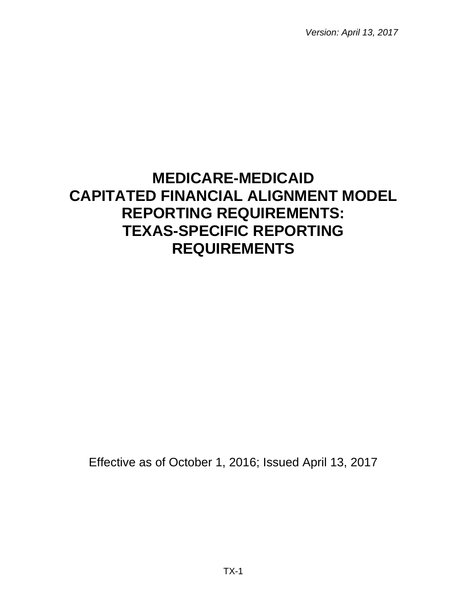*Version: April 13, 2017*

# **MEDICARE-MEDICAID CAPITATED FINANCIAL ALIGNMENT MODEL REPORTING REQUIREMENTS: TEXAS-SPECIFIC REPORTING REQUIREMENTS**

Effective as of October 1, 2016; Issued April 13, 2017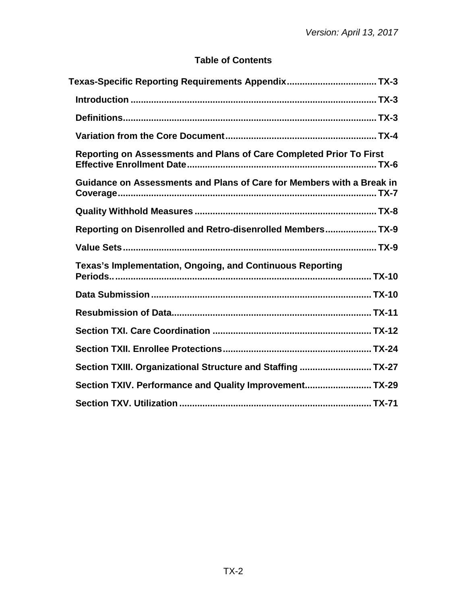# **Table of Contents**

| Texas-Specific Reporting Requirements Appendix TX-3                   |  |
|-----------------------------------------------------------------------|--|
|                                                                       |  |
|                                                                       |  |
|                                                                       |  |
| Reporting on Assessments and Plans of Care Completed Prior To First   |  |
| Guidance on Assessments and Plans of Care for Members with a Break in |  |
|                                                                       |  |
| Reporting on Disenrolled and Retro-disenrolled Members TX-9           |  |
|                                                                       |  |
| Texas's Implementation, Ongoing, and Continuous Reporting             |  |
|                                                                       |  |
|                                                                       |  |
|                                                                       |  |
|                                                                       |  |
| Section TXIII. Organizational Structure and Staffing  TX-27           |  |
| Section TXIV. Performance and Quality Improvement TX-29               |  |
|                                                                       |  |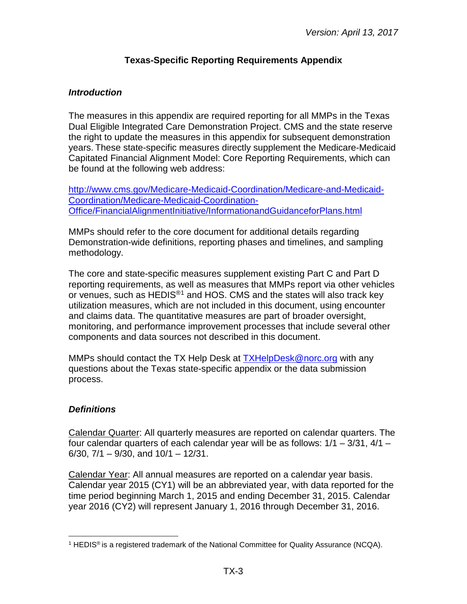# **Texas-Specific Reporting Requirements Appendix**

# <span id="page-2-1"></span><span id="page-2-0"></span>*Introduction*

The measures in this appendix are required reporting for all MMPs in the Texas Dual Eligible Integrated Care Demonstration Project. CMS and the state reserve the right to update the measures in this appendix for subsequent demonstration years. These state-specific measures directly supplement the Medicare-Medicaid Capitated Financial Alignment Model: Core Reporting Requirements, which can be found at the following web address:

[http://www.cms.gov/Medicare-Medicaid-Coordination/Medicare-and-Medicaid-](http://www.cms.gov/Medicare-Medicaid-Coordination/Medicare-and-Medicaid-Coordination/Medicare-Medicaid-Coordination-Office/FinancialAlignmentInitiative/InformationandGuidanceforPlans.html)[Coordination/Medicare-Medicaid-Coordination-](http://www.cms.gov/Medicare-Medicaid-Coordination/Medicare-and-Medicaid-Coordination/Medicare-Medicaid-Coordination-Office/FinancialAlignmentInitiative/InformationandGuidanceforPlans.html)[Office/FinancialAlignmentInitiative/InformationandGuidanceforPlans.html](http://www.cms.gov/Medicare-Medicaid-Coordination/Medicare-and-Medicaid-Coordination/Medicare-Medicaid-Coordination-Office/FinancialAlignmentInitiative/InformationandGuidanceforPlans.html)

MMPs should refer to the core document for additional details regarding Demonstration-wide definitions, reporting phases and timelines, and sampling methodology.

The core and state-specific measures supplement existing Part C and Part D reporting requirements, as well as measures that MMPs report via other vehicles or venues, such as HEDIS<sup>®[1](#page-2-3)</sup> and HOS. CMS and the states will also track key utilization measures, which are not included in this document, using encounter and claims data. The quantitative measures are part of broader oversight, monitoring, and performance improvement processes that include several other components and data sources not described in this document.

MMPs should contact the TX Help Desk at [TXHelpDesk@norc.org](mailto:%20TXHelpDesk@norc.org) with any questions about the Texas state-specific appendix or the data submission process.

# <span id="page-2-2"></span>*Definitions*

Calendar Quarter: All quarterly measures are reported on calendar quarters. The four calendar quarters of each calendar year will be as follows: 1/1 – 3/31, 4/1 –  $6/30$ ,  $7/1 - 9/30$ , and  $10/1 - 12/31$ .

Calendar Year: All annual measures are reported on a calendar year basis. Calendar year 2015 (CY1) will be an abbreviated year, with data reported for the time period beginning March 1, 2015 and ending December 31, 2015. Calendar year 2016 (CY2) will represent January 1, 2016 through December 31, 2016.

<span id="page-2-3"></span><sup>&</sup>lt;sup>1</sup> HEDIS<sup>®</sup> is a registered trademark of the National Committee for Quality Assurance (NCQA).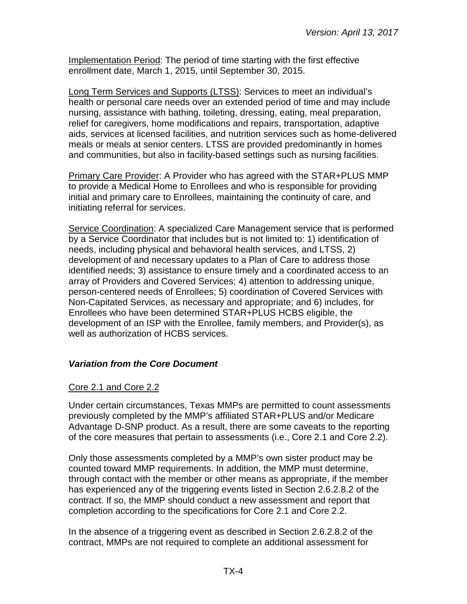Implementation Period: The period of time starting with the first effective enrollment date, March 1, 2015, until September 30, 2015.

Long Term Services and Supports (LTSS): Services to meet an individual's health or personal care needs over an extended period of time and may include nursing, assistance with bathing, toileting, dressing, eating, meal preparation, relief for caregivers, home modifications and repairs, transportation, adaptive aids, services at licensed facilities, and nutrition services such as home-delivered meals or meals at senior centers. LTSS are provided predominantly in homes and communities, but also in facility-based settings such as nursing facilities.

Primary Care Provider: A Provider who has agreed with the STAR+PLUS MMP to provide a Medical Home to Enrollees and who is responsible for providing initial and primary care to Enrollees, maintaining the continuity of care, and initiating referral for services.

Service Coordination: A specialized Care Management service that is performed by a Service Coordinator that includes but is not limited to: 1) identification of needs, including physical and behavioral health services, and LTSS, 2) development of and necessary updates to a Plan of Care to address those identified needs; 3) assistance to ensure timely and a coordinated access to an array of Providers and Covered Services; 4) attention to addressing unique, person-centered needs of Enrollees; 5) coordination of Covered Services with Non-Capitated Services, as necessary and appropriate; and 6) includes, for Enrollees who have been determined STAR+PLUS HCBS eligible, the development of an ISP with the Enrollee, family members, and Provider(s), as well as authorization of HCBS services.

# <span id="page-3-0"></span>*Variation from the Core Document*

## Core 2.1 and Core 2.2

Under certain circumstances, Texas MMPs are permitted to count assessments previously completed by the MMP's affiliated STAR+PLUS and/or Medicare Advantage D-SNP product. As a result, there are some caveats to the reporting of the core measures that pertain to assessments (i.e., Core 2.1 and Core 2.2).

Only those assessments completed by a MMP's own sister product may be counted toward MMP requirements. In addition, the MMP must determine, through contact with the member or other means as appropriate, if the member has experienced any of the triggering events listed in Section 2.6.2.8.2 of the contract. If so, the MMP should conduct a new assessment and report that completion according to the specifications for Core 2.1 and Core 2.2.

In the absence of a triggering event as described in Section 2.6.2.8.2 of the contract, MMPs are not required to complete an additional assessment for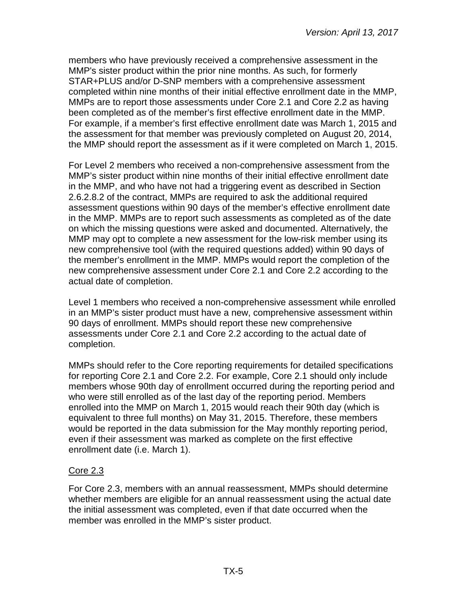members who have previously received a comprehensive assessment in the MMP's sister product within the prior nine months. As such, for formerly STAR+PLUS and/or D-SNP members with a comprehensive assessment completed within nine months of their initial effective enrollment date in the MMP, MMPs are to report those assessments under Core 2.1 and Core 2.2 as having been completed as of the member's first effective enrollment date in the MMP. For example, if a member's first effective enrollment date was March 1, 2015 and the assessment for that member was previously completed on August 20, 2014, the MMP should report the assessment as if it were completed on March 1, 2015.

For Level 2 members who received a non-comprehensive assessment from the MMP's sister product within nine months of their initial effective enrollment date in the MMP, and who have not had a triggering event as described in Section 2.6.2.8.2 of the contract, MMPs are required to ask the additional required assessment questions within 90 days of the member's effective enrollment date in the MMP. MMPs are to report such assessments as completed as of the date on which the missing questions were asked and documented. Alternatively, the MMP may opt to complete a new assessment for the low-risk member using its new comprehensive tool (with the required questions added) within 90 days of the member's enrollment in the MMP. MMPs would report the completion of the new comprehensive assessment under Core 2.1 and Core 2.2 according to the actual date of completion.

Level 1 members who received a non-comprehensive assessment while enrolled in an MMP's sister product must have a new, comprehensive assessment within 90 days of enrollment. MMPs should report these new comprehensive assessments under Core 2.1 and Core 2.2 according to the actual date of completion.

MMPs should refer to the Core reporting requirements for detailed specifications for reporting Core 2.1 and Core 2.2. For example, Core 2.1 should only include members whose 90th day of enrollment occurred during the reporting period and who were still enrolled as of the last day of the reporting period. Members enrolled into the MMP on March 1, 2015 would reach their 90th day (which is equivalent to three full months) on May 31, 2015. Therefore, these members would be reported in the data submission for the May monthly reporting period, even if their assessment was marked as complete on the first effective enrollment date (i.e. March 1).

## Core 2.3

For Core 2.3, members with an annual reassessment, MMPs should determine whether members are eligible for an annual reassessment using the actual date the initial assessment was completed, even if that date occurred when the member was enrolled in the MMP's sister product.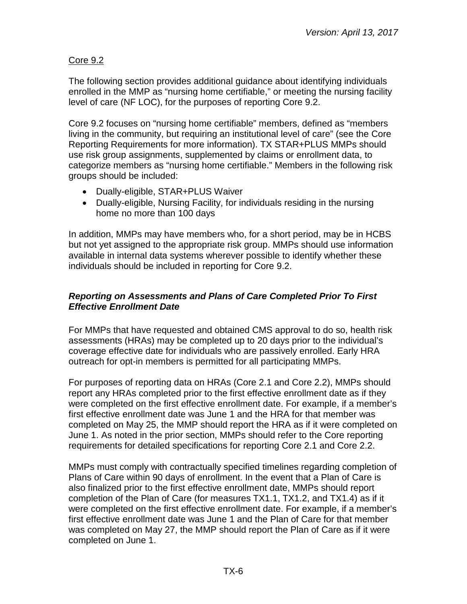# Core 9.2

The following section provides additional guidance about identifying individuals enrolled in the MMP as "nursing home certifiable," or meeting the nursing facility level of care (NF LOC), for the purposes of reporting Core 9.2.

Core 9.2 focuses on "nursing home certifiable" members, defined as "members living in the community, but requiring an institutional level of care" (see the Core Reporting Requirements for more information). TX STAR+PLUS MMPs should use risk group assignments, supplemented by claims or enrollment data, to categorize members as "nursing home certifiable." Members in the following risk groups should be included:

- Dually-eligible, STAR+PLUS Waiver
- Dually-eligible, Nursing Facility, for individuals residing in the nursing home no more than 100 days

In addition, MMPs may have members who, for a short period, may be in HCBS but not yet assigned to the appropriate risk group. MMPs should use information available in internal data systems wherever possible to identify whether these individuals should be included in reporting for Core 9.2.

## <span id="page-5-0"></span>*Reporting on Assessments and Plans of Care Completed Prior To First Effective Enrollment Date*

For MMPs that have requested and obtained CMS approval to do so, health risk assessments (HRAs) may be completed up to 20 days prior to the individual's coverage effective date for individuals who are passively enrolled. Early HRA outreach for opt-in members is permitted for all participating MMPs.

For purposes of reporting data on HRAs (Core 2.1 and Core 2.2), MMPs should report any HRAs completed prior to the first effective enrollment date as if they were completed on the first effective enrollment date. For example, if a member's first effective enrollment date was June 1 and the HRA for that member was completed on May 25, the MMP should report the HRA as if it were completed on June 1. As noted in the prior section, MMPs should refer to the Core reporting requirements for detailed specifications for reporting Core 2.1 and Core 2.2.

MMPs must comply with contractually specified timelines regarding completion of Plans of Care within 90 days of enrollment. In the event that a Plan of Care is also finalized prior to the first effective enrollment date, MMPs should report completion of the Plan of Care (for measures TX1.1, TX1.2, and TX1.4) as if it were completed on the first effective enrollment date. For example, if a member's first effective enrollment date was June 1 and the Plan of Care for that member was completed on May 27, the MMP should report the Plan of Care as if it were completed on June 1.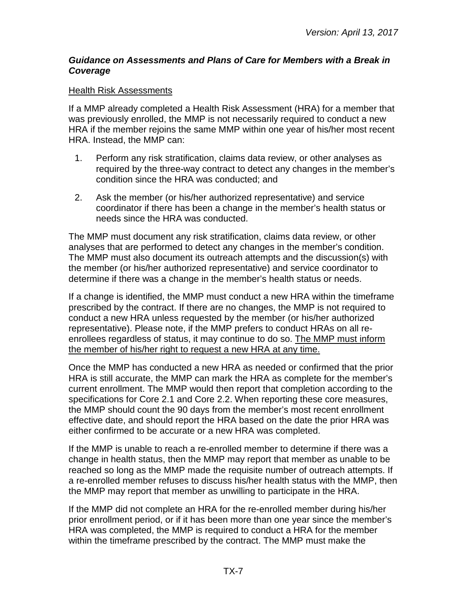#### <span id="page-6-0"></span>*Guidance on Assessments and Plans of Care for Members with a Break in Coverage*

#### Health Risk Assessments

If a MMP already completed a Health Risk Assessment (HRA) for a member that was previously enrolled, the MMP is not necessarily required to conduct a new HRA if the member rejoins the same MMP within one year of his/her most recent HRA. Instead, the MMP can:

- 1. Perform any risk stratification, claims data review, or other analyses as required by the three-way contract to detect any changes in the member's condition since the HRA was conducted; and
- 2. Ask the member (or his/her authorized representative) and service coordinator if there has been a change in the member's health status or needs since the HRA was conducted.

The MMP must document any risk stratification, claims data review, or other analyses that are performed to detect any changes in the member's condition. The MMP must also document its outreach attempts and the discussion(s) with the member (or his/her authorized representative) and service coordinator to determine if there was a change in the member's health status or needs.

If a change is identified, the MMP must conduct a new HRA within the timeframe prescribed by the contract. If there are no changes, the MMP is not required to conduct a new HRA unless requested by the member (or his/her authorized representative). Please note, if the MMP prefers to conduct HRAs on all reenrollees regardless of status, it may continue to do so. The MMP must inform the member of his/her right to request a new HRA at any time.

Once the MMP has conducted a new HRA as needed or confirmed that the prior HRA is still accurate, the MMP can mark the HRA as complete for the member's current enrollment. The MMP would then report that completion according to the specifications for Core 2.1 and Core 2.2. When reporting these core measures, the MMP should count the 90 days from the member's most recent enrollment effective date, and should report the HRA based on the date the prior HRA was either confirmed to be accurate or a new HRA was completed.

If the MMP is unable to reach a re-enrolled member to determine if there was a change in health status, then the MMP may report that member as unable to be reached so long as the MMP made the requisite number of outreach attempts. If a re-enrolled member refuses to discuss his/her health status with the MMP, then the MMP may report that member as unwilling to participate in the HRA.

If the MMP did not complete an HRA for the re-enrolled member during his/her prior enrollment period, or if it has been more than one year since the member's HRA was completed, the MMP is required to conduct a HRA for the member within the timeframe prescribed by the contract. The MMP must make the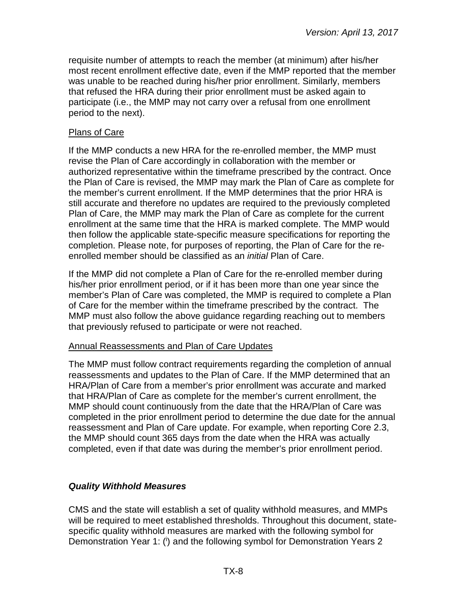requisite number of attempts to reach the member (at minimum) after his/her most recent enrollment effective date, even if the MMP reported that the member was unable to be reached during his/her prior enrollment. Similarly, members that refused the HRA during their prior enrollment must be asked again to participate (i.e., the MMP may not carry over a refusal from one enrollment period to the next).

#### Plans of Care

If the MMP conducts a new HRA for the re-enrolled member, the MMP must revise the Plan of Care accordingly in collaboration with the member or authorized representative within the timeframe prescribed by the contract. Once the Plan of Care is revised, the MMP may mark the Plan of Care as complete for the member's current enrollment. If the MMP determines that the prior HRA is still accurate and therefore no updates are required to the previously completed Plan of Care, the MMP may mark the Plan of Care as complete for the current enrollment at the same time that the HRA is marked complete. The MMP would then follow the applicable state-specific measure specifications for reporting the completion. Please note, for purposes of reporting, the Plan of Care for the reenrolled member should be classified as an *initial* Plan of Care.

If the MMP did not complete a Plan of Care for the re-enrolled member during his/her prior enrollment period, or if it has been more than one year since the member's Plan of Care was completed, the MMP is required to complete a Plan of Care for the member within the timeframe prescribed by the contract. The MMP must also follow the above guidance regarding reaching out to members that previously refused to participate or were not reached.

#### Annual Reassessments and Plan of Care Updates

The MMP must follow contract requirements regarding the completion of annual reassessments and updates to the Plan of Care. If the MMP determined that an HRA/Plan of Care from a member's prior enrollment was accurate and marked that HRA/Plan of Care as complete for the member's current enrollment, the MMP should count continuously from the date that the HRA/Plan of Care was completed in the prior enrollment period to determine the due date for the annual reassessment and Plan of Care update. For example, when reporting Core 2.3, the MMP should count 365 days from the date when the HRA was actually completed, even if that date was during the member's prior enrollment period.

## <span id="page-7-0"></span>*Quality Withhold Measures*

CMS and the state will establish a set of quality withhold measures, and MMPs will be required to meet established thresholds. Throughout this document, statespecific quality withhold measures are marked with the following symbol for Demonstration Year 1: (i) and the following symbol for Demonstration Years 2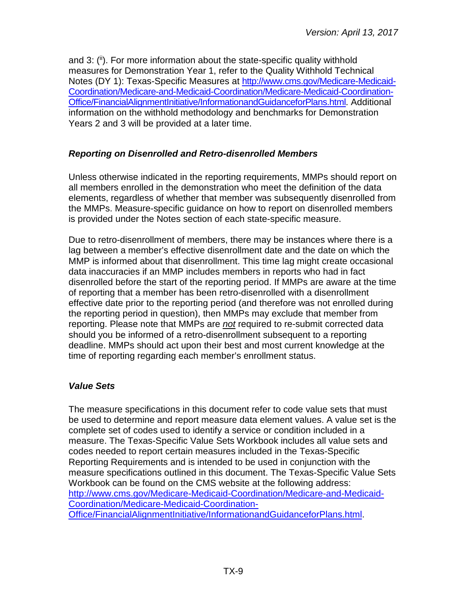and 3: (ii). For more information about the state-specific quality withhold measures for Demonstration Year 1, refer to the Quality Withhold Technical Notes (DY 1): Texas-Specific Measures at [http://www.cms.gov/Medicare-Medicaid-](http://www.cms.gov/Medicare-Medicaid-Coordination/Medicare-and-Medicaid-Coordination/Medicare-Medicaid-Coordination-Office/FinancialAlignmentInitiative/InformationandGuidanceforPlans.html)[Coordination/Medicare-and-Medicaid-Coordination/Medicare-Medicaid-Coordination-](http://www.cms.gov/Medicare-Medicaid-Coordination/Medicare-and-Medicaid-Coordination/Medicare-Medicaid-Coordination-Office/FinancialAlignmentInitiative/InformationandGuidanceforPlans.html)[Office/FinancialAlignmentInitiative/InformationandGuidanceforPlans.html.](http://www.cms.gov/Medicare-Medicaid-Coordination/Medicare-and-Medicaid-Coordination/Medicare-Medicaid-Coordination-Office/FinancialAlignmentInitiative/InformationandGuidanceforPlans.html) Additional information on the withhold methodology and benchmarks for Demonstration Years 2 and 3 will be provided at a later time.

## <span id="page-8-0"></span>*Reporting on Disenrolled and Retro-disenrolled Members*

Unless otherwise indicated in the reporting requirements, MMPs should report on all members enrolled in the demonstration who meet the definition of the data elements, regardless of whether that member was subsequently disenrolled from the MMPs. Measure-specific guidance on how to report on disenrolled members is provided under the Notes section of each state-specific measure.

Due to retro-disenrollment of members, there may be instances where there is a lag between a member's effective disenrollment date and the date on which the MMP is informed about that disenrollment. This time lag might create occasional data inaccuracies if an MMP includes members in reports who had in fact disenrolled before the start of the reporting period. If MMPs are aware at the time of reporting that a member has been retro-disenrolled with a disenrollment effective date prior to the reporting period (and therefore was not enrolled during the reporting period in question), then MMPs may exclude that member from reporting. Please note that MMPs are *not* required to re-submit corrected data should you be informed of a retro-disenrollment subsequent to a reporting deadline. MMPs should act upon their best and most current knowledge at the time of reporting regarding each member's enrollment status.

# <span id="page-8-1"></span>*Value Sets*

<span id="page-8-2"></span>The measure specifications in this document refer to code value sets that must be used to determine and report measure data element values. A value set is the complete set of codes used to identify a service or condition included in a measure. The Texas-Specific Value Sets Workbook includes all value sets and codes needed to report certain measures included in the Texas-Specific Reporting Requirements and is intended to be used in conjunction with the measure specifications outlined in this document. The Texas-Specific Value Sets Workbook can be found on the CMS website at the following address: [http://www.cms.gov/Medicare-Medicaid-Coordination/Medicare-and-Medicaid-](http://www.cms.gov/Medicare-Medicaid-Coordination/Medicare-and-Medicaid-Coordination/Medicare-Medicaid-Coordination-Office/FinancialAlignmentInitiative/InformationandGuidanceforPlans.html)[Coordination/Medicare-Medicaid-Coordination-](http://www.cms.gov/Medicare-Medicaid-Coordination/Medicare-and-Medicaid-Coordination/Medicare-Medicaid-Coordination-Office/FinancialAlignmentInitiative/InformationandGuidanceforPlans.html)[Office/FinancialAlignmentInitiative/InformationandGuidanceforPlans.html.](http://www.cms.gov/Medicare-Medicaid-Coordination/Medicare-and-Medicaid-Coordination/Medicare-Medicaid-Coordination-Office/FinancialAlignmentInitiative/InformationandGuidanceforPlans.html)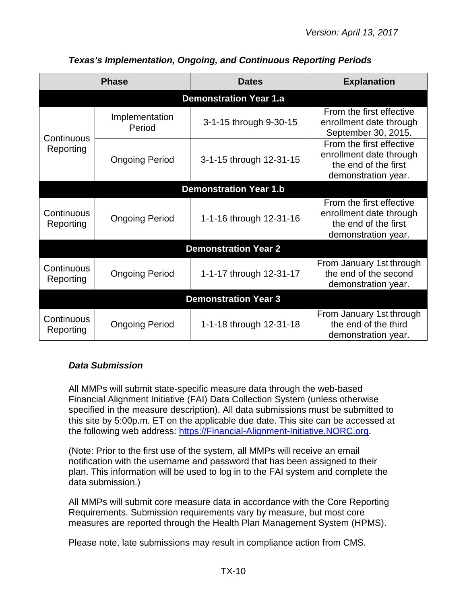|                             | <b>Phase</b>             | <b>Dates</b>                  | <b>Explanation</b>                                                                                 |  |
|-----------------------------|--------------------------|-------------------------------|----------------------------------------------------------------------------------------------------|--|
|                             |                          | <b>Demonstration Year 1.a</b> |                                                                                                    |  |
|                             | Implementation<br>Period | 3-1-15 through 9-30-15        | From the first effective<br>enrollment date through<br>September 30, 2015.                         |  |
| Continuous<br>Reporting     | <b>Ongoing Period</b>    | 3-1-15 through 12-31-15       | From the first effective<br>enrollment date through<br>the end of the first<br>demonstration year. |  |
|                             |                          | <b>Demonstration Year 1.b</b> |                                                                                                    |  |
| Continuous<br>Reporting     | <b>Ongoing Period</b>    | 1-1-16 through 12-31-16       | From the first effective<br>enrollment date through<br>the end of the first<br>demonstration year. |  |
|                             |                          | <b>Demonstration Year 2</b>   |                                                                                                    |  |
| Continuous<br>Reporting     | <b>Ongoing Period</b>    | 1-1-17 through 12-31-17       | From January 1st through<br>the end of the second<br>demonstration year.                           |  |
| <b>Demonstration Year 3</b> |                          |                               |                                                                                                    |  |
| Continuous<br>Reporting     | <b>Ongoing Period</b>    | 1-1-18 through 12-31-18       | From January 1st through<br>the end of the third<br>demonstration year.                            |  |

# *Texas's Implementation, Ongoing, and Continuous Reporting Periods*

## <span id="page-9-0"></span>*Data Submission*

All MMPs will submit state-specific measure data through the web-based Financial Alignment Initiative (FAI) Data Collection System (unless otherwise specified in the measure description). All data submissions must be submitted to this site by 5:00p.m. ET on the applicable due date. This site can be accessed at the following web address: [https://Financial-Alignment-Initiative.NORC.org.](https://financial-alignment-initiative.norc.org/)

(Note: Prior to the first use of the system, all MMPs will receive an email notification with the username and password that has been assigned to their plan. This information will be used to log in to the FAI system and complete the data submission.)

All MMPs will submit core measure data in accordance with the Core Reporting Requirements. Submission requirements vary by measure, but most core measures are reported through the Health Plan Management System (HPMS).

Please note, late submissions may result in compliance action from CMS.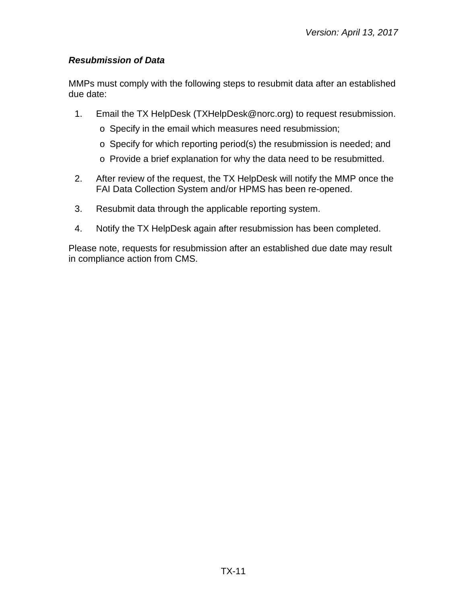## <span id="page-10-0"></span>*Resubmission of Data*

MMPs must comply with the following steps to resubmit data after an established due date:

- 1. Email the TX HelpDesk [\(TXHelpDesk@norc.org\)](mailto:TXHelpDesk@norc.org) to request resubmission.
	- o Specify in the email which measures need resubmission;
	- o Specify for which reporting period(s) the resubmission is needed; and
	- o Provide a brief explanation for why the data need to be resubmitted.
- 2. After review of the request, the TX HelpDesk will notify the MMP once the FAI Data Collection System and/or HPMS has been re-opened.
- 3. Resubmit data through the applicable reporting system.
- 4. Notify the TX HelpDesk again after resubmission has been completed.

Please note, requests for resubmission after an established due date may result in compliance action from CMS.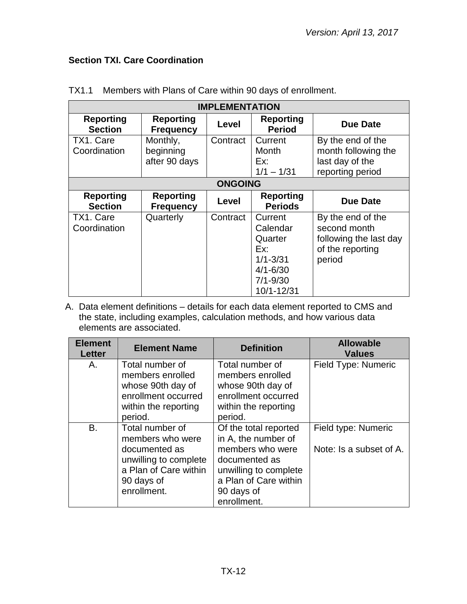# <span id="page-11-0"></span>**Section TXI. Care Coordination**

| <b>IMPLEMENTATION</b>              |                                        |                |                                                                                                     |                                                                                           |
|------------------------------------|----------------------------------------|----------------|-----------------------------------------------------------------------------------------------------|-------------------------------------------------------------------------------------------|
| <b>Reporting</b><br><b>Section</b> | <b>Reporting</b><br><b>Frequency</b>   | <b>Level</b>   | <b>Reporting</b><br><b>Period</b>                                                                   | <b>Due Date</b>                                                                           |
| TX1. Care<br>Coordination          | Monthly,<br>beginning<br>after 90 days | Contract       | Current<br>Month<br>Ex:<br>$1/1 - 1/31$                                                             | By the end of the<br>month following the<br>last day of the<br>reporting period           |
|                                    |                                        | <b>ONGOING</b> |                                                                                                     |                                                                                           |
| <b>Reporting</b><br><b>Section</b> | <b>Reporting</b><br><b>Frequency</b>   | Level          | <b>Reporting</b><br><b>Periods</b>                                                                  | Due Date                                                                                  |
| TX1. Care<br>Coordination          | Quarterly                              | Contract       | Current<br>Calendar<br>Quarter<br>Ex:<br>$1/1 - 3/31$<br>$4/1 - 6/30$<br>$7/1 - 9/30$<br>10/1-12/31 | By the end of the<br>second month<br>following the last day<br>of the reporting<br>period |

TX1.1 Members with Plans of Care within 90 days of enrollment.

| <b>Element</b><br><b>Letter</b> | <b>Element Name</b>   | <b>Definition</b>     | <b>Allowable</b><br><b>Values</b> |
|---------------------------------|-----------------------|-----------------------|-----------------------------------|
| Α.                              | Total number of       | Total number of       | Field Type: Numeric               |
|                                 | members enrolled      | members enrolled      |                                   |
|                                 | whose 90th day of     | whose 90th day of     |                                   |
|                                 | enrollment occurred   | enrollment occurred   |                                   |
|                                 | within the reporting  | within the reporting  |                                   |
|                                 | period.               | period.               |                                   |
| <b>B.</b>                       | Total number of       | Of the total reported | Field type: Numeric               |
|                                 | members who were      | in A, the number of   |                                   |
|                                 | documented as         | members who were      | Note: Is a subset of A.           |
|                                 | unwilling to complete | documented as         |                                   |
|                                 | a Plan of Care within | unwilling to complete |                                   |
|                                 | 90 days of            | a Plan of Care within |                                   |
|                                 | enrollment.           | 90 days of            |                                   |
|                                 |                       | enrollment.           |                                   |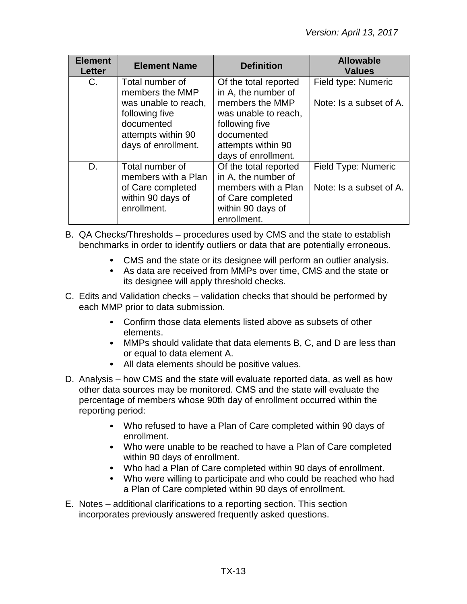| <b>Element</b><br><b>Letter</b> | <b>Element Name</b>                                                                                                                     | <b>Definition</b>                                                                                                                                                    | <b>Allowable</b><br><b>Values</b>              |
|---------------------------------|-----------------------------------------------------------------------------------------------------------------------------------------|----------------------------------------------------------------------------------------------------------------------------------------------------------------------|------------------------------------------------|
| $C_{\cdot}$                     | Total number of<br>members the MMP<br>was unable to reach,<br>following five<br>documented<br>attempts within 90<br>days of enrollment. | Of the total reported<br>in A, the number of<br>members the MMP<br>was unable to reach,<br>following five<br>documented<br>attempts within 90<br>days of enrollment. | Field type: Numeric<br>Note: Is a subset of A. |
| D.                              | Total number of<br>members with a Plan<br>of Care completed<br>within 90 days of<br>enrollment.                                         | Of the total reported<br>in A, the number of<br>members with a Plan<br>of Care completed<br>within 90 days of<br>enrollment.                                         | Field Type: Numeric<br>Note: Is a subset of A. |

- B. QA Checks/Thresholds procedures used by CMS and the state to establish benchmarks in order to identify outliers or data that are potentially erroneous.
	- CMS and the state or its designee will perform an outlier analysis.
	- As data are received from MMPs over time, CMS and the state or its designee will apply threshold checks.
- C. Edits and Validation checks validation checks that should be performed by each MMP prior to data submission.
	- Confirm those data elements listed above as subsets of other elements.
	- MMPs should validate that data elements B, C, and D are less than or equal to data element A.
	- All data elements should be positive values.
- D. Analysis how CMS and the state will evaluate reported data, as well as how other data sources may be monitored. CMS and the state will evaluate the percentage of members whose 90th day of enrollment occurred within the reporting period:
	- Who refused to have a Plan of Care completed within 90 days of enrollment.
	- Who were unable to be reached to have a Plan of Care completed within 90 days of enrollment.
	- Who had a Plan of Care completed within 90 days of enrollment.
	- Who were willing to participate and who could be reached who had a Plan of Care completed within 90 days of enrollment.
- E. Notes additional clarifications to a reporting section. This section incorporates previously answered frequently asked questions.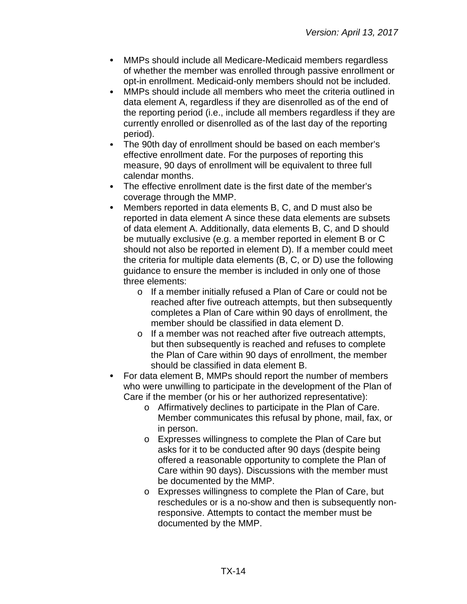- MMPs should include all Medicare-Medicaid members regardless of whether the member was enrolled through passive enrollment or opt-in enrollment. Medicaid-only members should not be included.
- MMPs should include all members who meet the criteria outlined in  $\bullet$ data element A, regardless if they are disenrolled as of the end of the reporting period (i.e., include all members regardless if they are currently enrolled or disenrolled as of the last day of the reporting period).
- The 90th day of enrollment should be based on each member's  $\bullet$ effective enrollment date. For the purposes of reporting this measure, 90 days of enrollment will be equivalent to three full calendar months.
- $\bullet$ The effective enrollment date is the first date of the member's coverage through the MMP.
- $\bullet$ Members reported in data elements B, C, and D must also be reported in data element A since these data elements are subsets of data element A. Additionally, data elements B, C, and D should be mutually exclusive (e.g. a member reported in element B or C should not also be reported in element D). If a member could meet the criteria for multiple data elements (B, C, or D) use the following guidance to ensure the member is included in only one of those three elements:
	- o If a member initially refused a Plan of Care or could not be reached after five outreach attempts, but then subsequently completes a Plan of Care within 90 days of enrollment, the member should be classified in data element D.
	- o If a member was not reached after five outreach attempts, but then subsequently is reached and refuses to complete the Plan of Care within 90 days of enrollment, the member should be classified in data element B.
- For data element B, MMPs should report the number of members who were unwilling to participate in the development of the Plan of Care if the member (or his or her authorized representative):
	- o Affirmatively declines to participate in the Plan of Care. Member communicates this refusal by phone, mail, fax, or in person.
	- o Expresses willingness to complete the Plan of Care but asks for it to be conducted after 90 days (despite being offered a reasonable opportunity to complete the Plan of Care within 90 days). Discussions with the member must be documented by the MMP.
	- o Expresses willingness to complete the Plan of Care, but reschedules or is a no-show and then is subsequently nonresponsive. Attempts to contact the member must be documented by the MMP.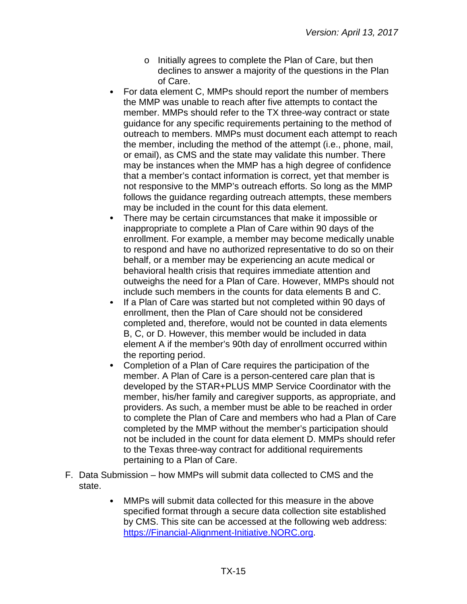- o Initially agrees to complete the Plan of Care, but then declines to answer a majority of the questions in the Plan of Care.
- For data element C, MMPs should report the number of members the MMP was unable to reach after five attempts to contact the member. MMPs should refer to the TX three-way contract or state guidance for any specific requirements pertaining to the method of outreach to members. MMPs must document each attempt to reach the member, including the method of the attempt (i.e., phone, mail, or email), as CMS and the state may validate this number. There may be instances when the MMP has a high degree of confidence that a member's contact information is correct, yet that member is not responsive to the MMP's outreach efforts. So long as the MMP follows the guidance regarding outreach attempts, these members may be included in the count for this data element.
- There may be certain circumstances that make it impossible or inappropriate to complete a Plan of Care within 90 days of the enrollment. For example, a member may become medically unable to respond and have no authorized representative to do so on their behalf, or a member may be experiencing an acute medical or behavioral health crisis that requires immediate attention and outweighs the need for a Plan of Care. However, MMPs should not include such members in the counts for data elements B and C.
- If a Plan of Care was started but not completed within 90 days of  $\bullet$ enrollment, then the Plan of Care should not be considered completed and, therefore, would not be counted in data elements B, C, or D. However, this member would be included in data element A if the member's 90th day of enrollment occurred within the reporting period.
- Completion of a Plan of Care requires the participation of the  $\bullet$ member. A Plan of Care is a person-centered care plan that is developed by the STAR+PLUS MMP Service Coordinator with the member, his/her family and caregiver supports, as appropriate, and providers. As such, a member must be able to be reached in order to complete the Plan of Care and members who had a Plan of Care completed by the MMP without the member's participation should not be included in the count for data element D. MMPs should refer to the Texas three-way contract for additional requirements pertaining to a Plan of Care.
- F. Data Submission how MMPs will submit data collected to CMS and the state.
	- MMPs will submit data collected for this measure in the above  $\bullet$ specified format through a secure data collection site established by CMS. This site can be accessed at the following web address: [https://Financial-Alignment-Initiative.NORC.org.](https://financial-alignment-initiative.norc.org/)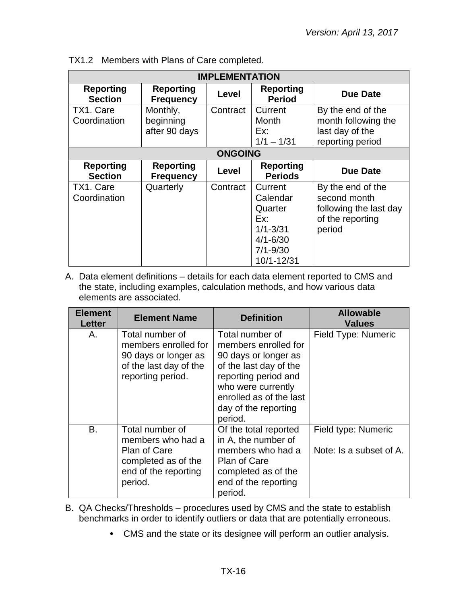| <b>IMPLEMENTATION</b>              |                                        |                |                                                                                                     |                                                                                           |
|------------------------------------|----------------------------------------|----------------|-----------------------------------------------------------------------------------------------------|-------------------------------------------------------------------------------------------|
| <b>Reporting</b><br><b>Section</b> | <b>Reporting</b><br><b>Frequency</b>   | Level          | <b>Reporting</b><br><b>Period</b>                                                                   | Due Date                                                                                  |
| TX1. Care<br>Coordination          | Monthly,<br>beginning<br>after 90 days | Contract       | Current<br>Month<br>Ex:<br>$1/1 - 1/31$                                                             | By the end of the<br>month following the<br>last day of the<br>reporting period           |
|                                    |                                        | <b>ONGOING</b> |                                                                                                     |                                                                                           |
| <b>Reporting</b><br><b>Section</b> | <b>Reporting</b><br><b>Frequency</b>   | Level          | <b>Reporting</b><br><b>Periods</b>                                                                  | Due Date                                                                                  |
| TX1. Care<br>Coordination          | Quarterly                              | Contract       | Current<br>Calendar<br>Quarter<br>Fx:<br>$1/1 - 3/31$<br>$4/1 - 6/30$<br>$7/1 - 9/30$<br>10/1-12/31 | By the end of the<br>second month<br>following the last day<br>of the reporting<br>period |

TX1.2 Members with Plans of Care completed.

| <b>Element</b><br>Letter | <b>Element Name</b>                                                                                                   | <b>Definition</b>                                                                                                                                                                                     | <b>Allowable</b><br><b>Values</b>              |
|--------------------------|-----------------------------------------------------------------------------------------------------------------------|-------------------------------------------------------------------------------------------------------------------------------------------------------------------------------------------------------|------------------------------------------------|
| А.                       | Total number of<br>members enrolled for<br>90 days or longer as<br>of the last day of the<br>reporting period.        | Total number of<br>members enrolled for<br>90 days or longer as<br>of the last day of the<br>reporting period and<br>who were currently<br>enrolled as of the last<br>day of the reporting<br>period. | <b>Field Type: Numeric</b>                     |
| B.                       | Total number of<br>members who had a<br><b>Plan of Care</b><br>completed as of the<br>end of the reporting<br>period. | Of the total reported<br>in A, the number of<br>members who had a<br><b>Plan of Care</b><br>completed as of the<br>end of the reporting<br>period.                                                    | Field type: Numeric<br>Note: Is a subset of A. |

- B. QA Checks/Thresholds procedures used by CMS and the state to establish benchmarks in order to identify outliers or data that are potentially erroneous.
	- CMS and the state or its designee will perform an outlier analysis.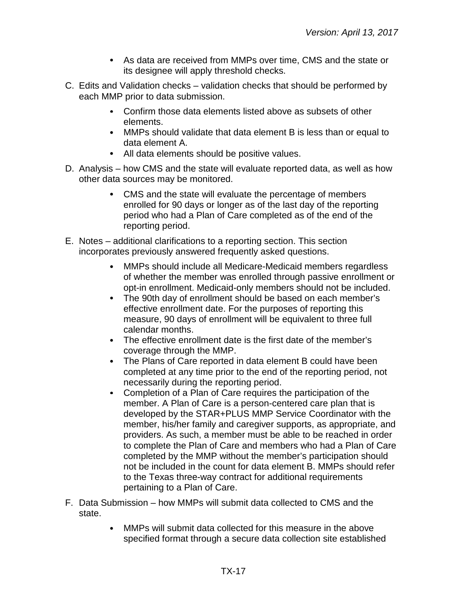- As data are received from MMPs over time, CMS and the state or its designee will apply threshold checks.
- C. Edits and Validation checks validation checks that should be performed by each MMP prior to data submission.
	- Confirm those data elements listed above as subsets of other elements.
	- MMPs should validate that data element B is less than or equal to data element A.
	- All data elements should be positive values.
- D. Analysis how CMS and the state will evaluate reported data, as well as how other data sources may be monitored.
	- CMS and the state will evaluate the percentage of members enrolled for 90 days or longer as of the last day of the reporting period who had a Plan of Care completed as of the end of the reporting period.
- E. Notes additional clarifications to a reporting section. This section incorporates previously answered frequently asked questions.
	- MMPs should include all Medicare-Medicaid members regardless  $\bullet$ of whether the member was enrolled through passive enrollment or opt-in enrollment. Medicaid-only members should not be included.
	- $\bullet$ The 90th day of enrollment should be based on each member's effective enrollment date. For the purposes of reporting this measure, 90 days of enrollment will be equivalent to three full calendar months.
	- The effective enrollment date is the first date of the member's coverage through the MMP.
	- $\bullet$ The Plans of Care reported in data element B could have been completed at any time prior to the end of the reporting period, not necessarily during the reporting period.
	- Completion of a Plan of Care requires the participation of the  $\bullet$ member. A Plan of Care is a person-centered care plan that is developed by the STAR+PLUS MMP Service Coordinator with the member, his/her family and caregiver supports, as appropriate, and providers. As such, a member must be able to be reached in order to complete the Plan of Care and members who had a Plan of Care completed by the MMP without the member's participation should not be included in the count for data element B. MMPs should refer to the Texas three-way contract for additional requirements pertaining to a Plan of Care.
- F. Data Submission how MMPs will submit data collected to CMS and the state.
	- MMPs will submit data collected for this measure in the above  $\bullet$ specified format through a secure data collection site established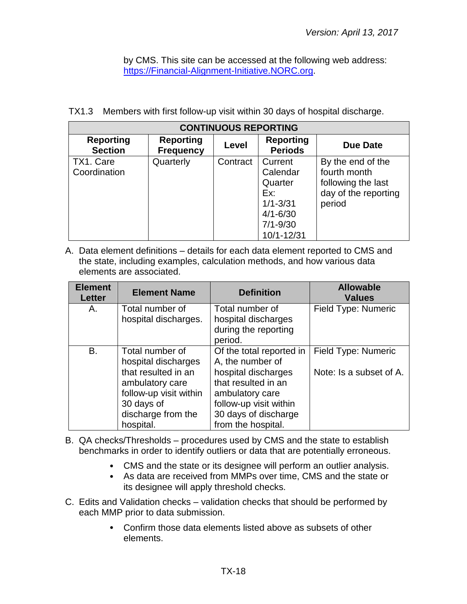by CMS. This site can be accessed at the following web address: [https://Financial-Alignment-Initiative.NORC.org.](https://financial-alignment-initiative.norc.org/)

|  |  | TX1.3 Members with first follow-up visit within 30 days of hospital discharge. |
|--|--|--------------------------------------------------------------------------------|

| <b>CONTINUOUS REPORTING</b>        |                                      |          |                                            |                                                         |  |  |
|------------------------------------|--------------------------------------|----------|--------------------------------------------|---------------------------------------------------------|--|--|
| <b>Reporting</b><br><b>Section</b> | <b>Reporting</b><br><b>Frequency</b> | Level    | <b>Reporting</b><br><b>Periods</b>         | <b>Due Date</b>                                         |  |  |
| TX1. Care<br>Coordination          | Quarterly                            | Contract | Current<br>Calendar<br>Quarter             | By the end of the<br>fourth month<br>following the last |  |  |
|                                    |                                      |          | Ex:<br>$1/1 - 3/31$                        | day of the reporting<br>period                          |  |  |
|                                    |                                      |          | $4/1 - 6/30$<br>$7/1 - 9/30$<br>10/1-12/31 |                                                         |  |  |

| <b>Element</b><br><b>Letter</b> | <b>Element Name</b>                                                                                                      | <b>Definition</b>                                                                                                                       | <b>Allowable</b><br><b>Values</b>              |
|---------------------------------|--------------------------------------------------------------------------------------------------------------------------|-----------------------------------------------------------------------------------------------------------------------------------------|------------------------------------------------|
| Α.                              | Total number of<br>hospital discharges.                                                                                  | Total number of<br>hospital discharges<br>during the reporting<br>period.                                                               | Field Type: Numeric                            |
| B.                              | Total number of<br>hospital discharges<br>that resulted in an<br>ambulatory care<br>follow-up visit within<br>30 days of | Of the total reported in<br>A, the number of<br>hospital discharges<br>that resulted in an<br>ambulatory care<br>follow-up visit within | Field Type: Numeric<br>Note: Is a subset of A. |
|                                 | discharge from the<br>hospital.                                                                                          | 30 days of discharge<br>from the hospital.                                                                                              |                                                |

- B. QA checks/Thresholds procedures used by CMS and the state to establish benchmarks in order to identify outliers or data that are potentially erroneous.
	- CMS and the state or its designee will perform an outlier analysis.
	- As data are received from MMPs over time, CMS and the state or its designee will apply threshold checks.
- C. Edits and Validation checks validation checks that should be performed by each MMP prior to data submission.
	- Confirm those data elements listed above as subsets of other  $\bullet$ elements.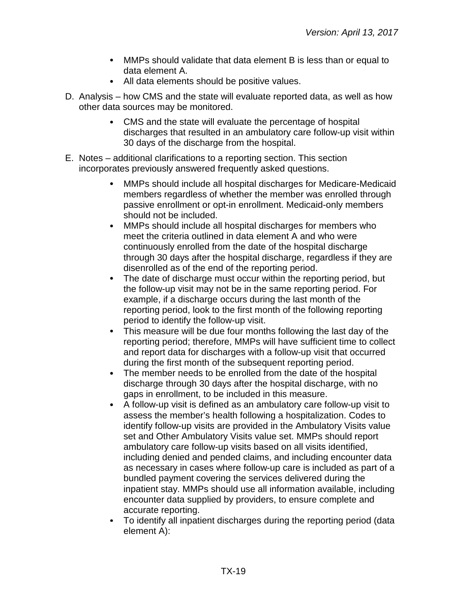- MMPs should validate that data element B is less than or equal to data element A.
- All data elements should be positive values.
- D. Analysis how CMS and the state will evaluate reported data, as well as how other data sources may be monitored.
	- CMS and the state will evaluate the percentage of hospital discharges that resulted in an ambulatory care follow-up visit within 30 days of the discharge from the hospital.
- E. Notes additional clarifications to a reporting section. This section incorporates previously answered frequently asked questions.
	- $\bullet$ MMPs should include all hospital discharges for Medicare-Medicaid members regardless of whether the member was enrolled through passive enrollment or opt-in enrollment. Medicaid-only members should not be included.
	- $\bullet$ MMPs should include all hospital discharges for members who meet the criteria outlined in data element A and who were continuously enrolled from the date of the hospital discharge through 30 days after the hospital discharge, regardless if they are disenrolled as of the end of the reporting period.
	- The date of discharge must occur within the reporting period, but the follow-up visit may not be in the same reporting period. For example, if a discharge occurs during the last month of the reporting period, look to the first month of the following reporting period to identify the follow-up visit.
	- This measure will be due four months following the last day of the  $\bullet$ reporting period; therefore, MMPs will have sufficient time to collect and report data for discharges with a follow-up visit that occurred during the first month of the subsequent reporting period.
	- The member needs to be enrolled from the date of the hospital  $\bullet$ discharge through 30 days after the hospital discharge, with no gaps in enrollment, to be included in this measure.
	- A follow-up visit is defined as an ambulatory care follow-up visit to  $\bullet$ assess the member's health following a hospitalization. Codes to identify follow-up visits are provided in the Ambulatory Visits value set and Other Ambulatory Visits value set. MMPs should report ambulatory care follow-up visits based on all visits identified, including denied and pended claims, and including encounter data as necessary in cases where follow-up care is included as part of a bundled payment covering the services delivered during the inpatient stay. MMPs should use all information available, including encounter data supplied by providers, to ensure complete and accurate reporting.
	- To identify all inpatient discharges during the reporting period (data element A):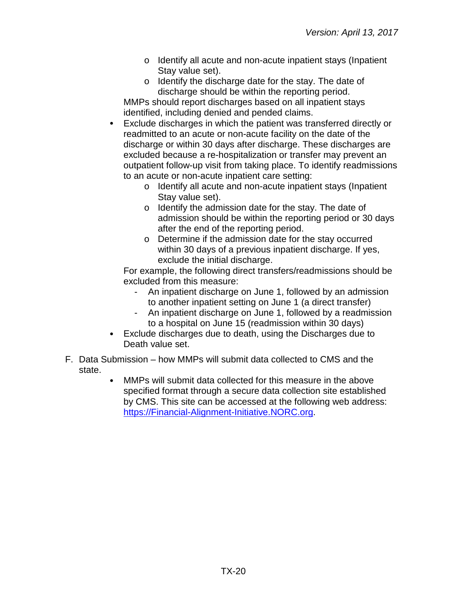- o Identify all acute and non-acute inpatient stays (Inpatient Stay value set).
- o Identify the discharge date for the stay. The date of discharge should be within the reporting period.

MMPs should report discharges based on all inpatient stays identified, including denied and pended claims.

- Exclude discharges in which the patient was transferred directly or  $\bullet$ readmitted to an acute or non-acute facility on the date of the discharge or within 30 days after discharge. These discharges are excluded because a re-hospitalization or transfer may prevent an outpatient follow-up visit from taking place. To identify readmissions to an acute or non-acute inpatient care setting:
	- o Identify all acute and non-acute inpatient stays (Inpatient Stay value set).
	- o Identify the admission date for the stay. The date of admission should be within the reporting period or 30 days after the end of the reporting period.
	- o Determine if the admission date for the stay occurred within 30 days of a previous inpatient discharge. If yes, exclude the initial discharge.

For example, the following direct transfers/readmissions should be excluded from this measure:

- An inpatient discharge on June 1, followed by an admission to another inpatient setting on June 1 (a direct transfer)
- An inpatient discharge on June 1, followed by a readmission to a hospital on June 15 (readmission within 30 days)
- Exclude discharges due to death, using the Discharges due to Death value set.
- F. Data Submission how MMPs will submit data collected to CMS and the state.
	- MMPs will submit data collected for this measure in the above specified format through a secure data collection site established by CMS. This site can be accessed at the following web address: [https://Financial-Alignment-Initiative.NORC.org.](https://financial-alignment-initiative.norc.org/)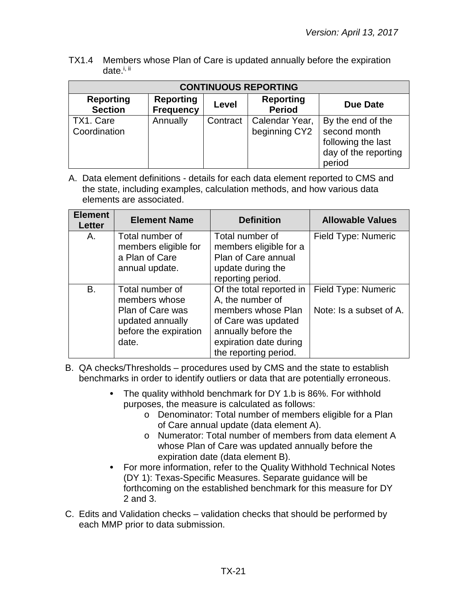TX1.4 Members whose Plan of Care is updated annually before the expiration date.<sup>i, ii</sup>

| <b>CONTINUOUS REPORTING</b>        |                                      |          |                                   |                                                                                           |  |
|------------------------------------|--------------------------------------|----------|-----------------------------------|-------------------------------------------------------------------------------------------|--|
| <b>Reporting</b><br><b>Section</b> | <b>Reporting</b><br><b>Frequency</b> | Level    | <b>Reporting</b><br><b>Period</b> | Due Date                                                                                  |  |
| TX1. Care<br>Coordination          | Annually                             | Contract | Calendar Year,<br>beginning CY2   | By the end of the<br>second month<br>following the last<br>day of the reporting<br>period |  |

| <b>Element</b><br><b>Letter</b> | <b>Element Name</b>                                                                                               | <b>Definition</b>                                                                                                                                                   | <b>Allowable Values</b>                        |
|---------------------------------|-------------------------------------------------------------------------------------------------------------------|---------------------------------------------------------------------------------------------------------------------------------------------------------------------|------------------------------------------------|
| Α.                              | Total number of<br>members eligible for<br>a Plan of Care<br>annual update.                                       | Total number of<br>members eligible for a<br>Plan of Care annual<br>update during the<br>reporting period.                                                          | Field Type: Numeric                            |
| В.                              | Total number of<br>members whose<br><b>Plan of Care was</b><br>updated annually<br>before the expiration<br>date. | Of the total reported in<br>A, the number of<br>members whose Plan<br>of Care was updated<br>annually before the<br>expiration date during<br>the reporting period. | Field Type: Numeric<br>Note: Is a subset of A. |

- B. QA checks/Thresholds procedures used by CMS and the state to establish benchmarks in order to identify outliers or data that are potentially erroneous.
	- The quality withhold benchmark for DY 1.b is 86%. For withhold purposes, the measure is calculated as follows:
		- o Denominator: Total number of members eligible for a Plan of Care annual update (data element A).
		- o Numerator: Total number of members from data element A whose Plan of Care was updated annually before the expiration date (data element B).
	- For more information, refer to the Quality Withhold Technical Notes  $\bullet$ (DY 1): Texas-Specific Measures. Separate guidance will be forthcoming on the established benchmark for this measure for DY 2 and 3.
- C. Edits and Validation checks validation checks that should be performed by each MMP prior to data submission.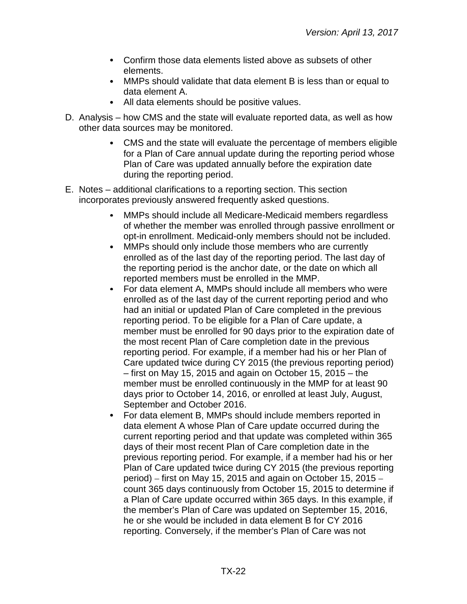- Confirm those data elements listed above as subsets of other elements.
- MMPs should validate that data element B is less than or equal to data element A.
- All data elements should be positive values.
- D. Analysis how CMS and the state will evaluate reported data, as well as how other data sources may be monitored.
	- CMS and the state will evaluate the percentage of members eligible for a Plan of Care annual update during the reporting period whose Plan of Care was updated annually before the expiration date during the reporting period.
- E. Notes additional clarifications to a reporting section. This section incorporates previously answered frequently asked questions.
	- MMPs should include all Medicare-Medicaid members regardless  $\bullet$ of whether the member was enrolled through passive enrollment or opt-in enrollment. Medicaid-only members should not be included.
	- $\bullet$ MMPs should only include those members who are currently enrolled as of the last day of the reporting period. The last day of the reporting period is the anchor date, or the date on which all reported members must be enrolled in the MMP.
	- $\bullet$ For data element A, MMPs should include all members who were enrolled as of the last day of the current reporting period and who had an initial or updated Plan of Care completed in the previous reporting period. To be eligible for a Plan of Care update, a member must be enrolled for 90 days prior to the expiration date of the most recent Plan of Care completion date in the previous reporting period. For example, if a member had his or her Plan of Care updated twice during CY 2015 (the previous reporting period) – first on May 15, 2015 and again on October 15, 2015 – the member must be enrolled continuously in the MMP for at least 90 days prior to October 14, 2016, or enrolled at least July, August, September and October 2016.
	- $\bullet$ For data element B, MMPs should include members reported in data element A whose Plan of Care update occurred during the current reporting period and that update was completed within 365 days of their most recent Plan of Care completion date in the previous reporting period. For example, if a member had his or her Plan of Care updated twice during CY 2015 (the previous reporting period) – first on May 15, 2015 and again on October 15, 2015 – count 365 days continuously from October 15, 2015 to determine if a Plan of Care update occurred within 365 days. In this example, if the member's Plan of Care was updated on September 15, 2016, he or she would be included in data element B for CY 2016 reporting. Conversely, if the member's Plan of Care was not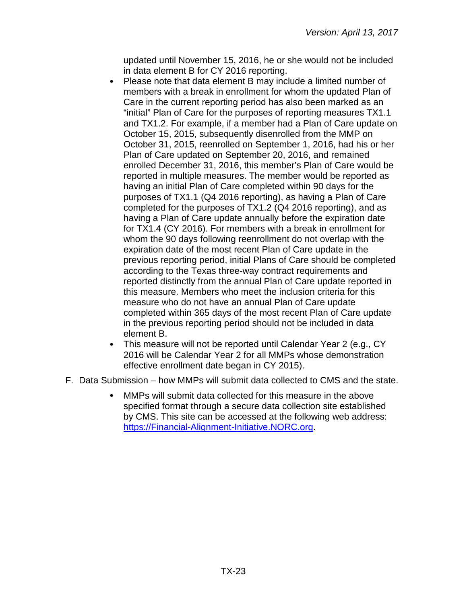updated until November 15, 2016, he or she would not be included in data element B for CY 2016 reporting.

- Please note that data element B may include a limited number of members with a break in enrollment for whom the updated Plan of Care in the current reporting period has also been marked as an "initial" Plan of Care for the purposes of reporting measures TX1.1 and TX1.2. For example, if a member had a Plan of Care update on October 15, 2015, subsequently disenrolled from the MMP on October 31, 2015, reenrolled on September 1, 2016, had his or her Plan of Care updated on September 20, 2016, and remained enrolled December 31, 2016, this member's Plan of Care would be reported in multiple measures. The member would be reported as having an initial Plan of Care completed within 90 days for the purposes of TX1.1 (Q4 2016 reporting), as having a Plan of Care completed for the purposes of TX1.2 (Q4 2016 reporting), and as having a Plan of Care update annually before the expiration date for TX1.4 (CY 2016). For members with a break in enrollment for whom the 90 days following reenrollment do not overlap with the expiration date of the most recent Plan of Care update in the previous reporting period, initial Plans of Care should be completed according to the Texas three-way contract requirements and reported distinctly from the annual Plan of Care update reported in this measure. Members who meet the inclusion criteria for this measure who do not have an annual Plan of Care update completed within 365 days of the most recent Plan of Care update in the previous reporting period should not be included in data element B.
- This measure will not be reported until Calendar Year 2 (e.g., CY 2016 will be Calendar Year 2 for all MMPs whose demonstration effective enrollment date began in CY 2015).
- <span id="page-22-0"></span>F. Data Submission – how MMPs will submit data collected to CMS and the state.
	- MMPs will submit data collected for this measure in the above specified format through a secure data collection site established by CMS. This site can be accessed at the following web address: [https://Financial-Alignment-Initiative.NORC.org.](https://financial-alignment-initiative.norc.org/)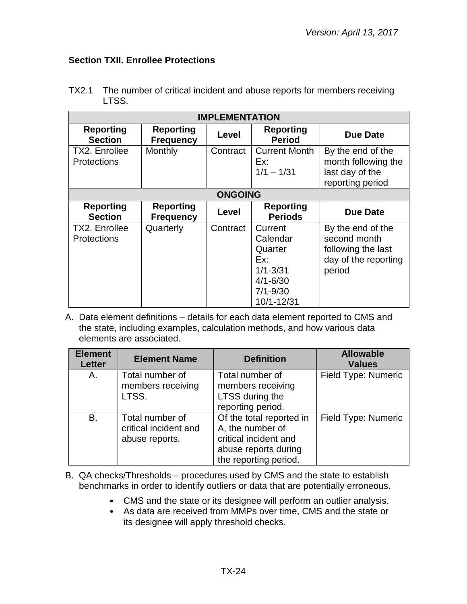## **Section TXII. Enrollee Protections**

| <b>IMPLEMENTATION</b>               |                                      |                |                                                                                                     |                                                                                           |
|-------------------------------------|--------------------------------------|----------------|-----------------------------------------------------------------------------------------------------|-------------------------------------------------------------------------------------------|
| <b>Reporting</b><br><b>Section</b>  | <b>Reporting</b><br><b>Frequency</b> | Level          | <b>Reporting</b><br><b>Period</b>                                                                   | Due Date                                                                                  |
| TX2. Enrollee<br><b>Protections</b> | Monthly                              | Contract       | <b>Current Month</b><br>Ex:<br>$1/1 - 1/31$                                                         | By the end of the<br>month following the<br>last day of the<br>reporting period           |
|                                     |                                      | <b>ONGOING</b> |                                                                                                     |                                                                                           |
| <b>Reporting</b><br><b>Section</b>  | <b>Reporting</b><br><b>Frequency</b> | Level          | <b>Reporting</b><br><b>Periods</b>                                                                  | <b>Due Date</b>                                                                           |
| TX2. Enrollee<br><b>Protections</b> | Quarterly                            | Contract       | Current<br>Calendar<br>Quarter<br>Ex:<br>$1/1 - 3/31$<br>$4/1 - 6/30$<br>$7/1 - 9/30$<br>10/1-12/31 | By the end of the<br>second month<br>following the last<br>day of the reporting<br>period |

TX2.1 The number of critical incident and abuse reports for members receiving LTSS.

| <b>Element</b><br><b>Letter</b> | <b>Element Name</b>                                        | <b>Definition</b>                                                                                                      | <b>Allowable</b><br><b>Values</b> |
|---------------------------------|------------------------------------------------------------|------------------------------------------------------------------------------------------------------------------------|-----------------------------------|
| Α.                              | Total number of<br>members receiving<br>LTSS.              | Total number of<br>members receiving<br>LTSS during the<br>reporting period.                                           | Field Type: Numeric               |
| <b>B.</b>                       | Total number of<br>critical incident and<br>abuse reports. | Of the total reported in<br>A, the number of<br>critical incident and<br>abuse reports during<br>the reporting period. | Field Type: Numeric               |

- B. QA checks/Thresholds procedures used by CMS and the state to establish benchmarks in order to identify outliers or data that are potentially erroneous.
	- CMS and the state or its designee will perform an outlier analysis.
	- As data are received from MMPs over time, CMS and the state or its designee will apply threshold checks.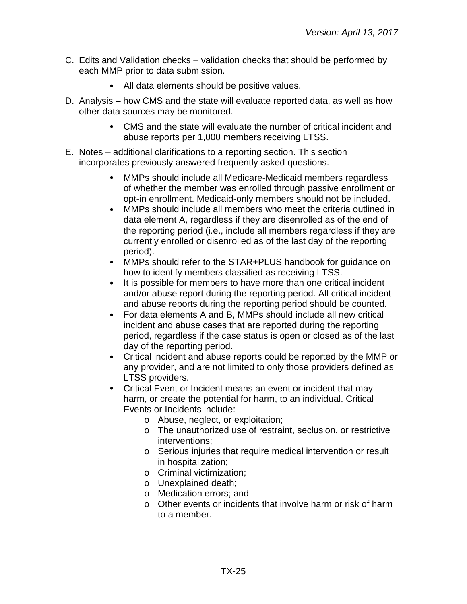- C. Edits and Validation checks validation checks that should be performed by each MMP prior to data submission.
	- $\bullet$ All data elements should be positive values.
- D. Analysis how CMS and the state will evaluate reported data, as well as how other data sources may be monitored.
	- $\bullet$ CMS and the state will evaluate the number of critical incident and abuse reports per 1,000 members receiving LTSS.
- E. Notes additional clarifications to a reporting section. This section incorporates previously answered frequently asked questions.
	- $\bullet$ MMPs should include all Medicare-Medicaid members regardless of whether the member was enrolled through passive enrollment or opt-in enrollment. Medicaid-only members should not be included.
	- $\bullet$ MMPs should include all members who meet the criteria outlined in data element A, regardless if they are disenrolled as of the end of the reporting period (i.e., include all members regardless if they are currently enrolled or disenrolled as of the last day of the reporting period).
	- MMPs should refer to the STAR+PLUS handbook for guidance on  $\bullet$ how to identify members classified as receiving LTSS.
	- $\bullet$ It is possible for members to have more than one critical incident and/or abuse report during the reporting period. All critical incident and abuse reports during the reporting period should be counted.
	- For data elements A and B, MMPs should include all new critical  $\bullet$ incident and abuse cases that are reported during the reporting period, regardless if the case status is open or closed as of the last day of the reporting period.
	- Critical incident and abuse reports could be reported by the MMP or  $\bullet$ any provider, and are not limited to only those providers defined as LTSS providers.
	- $\bullet$ Critical Event or Incident means an event or incident that may harm, or create the potential for harm, to an individual. Critical Events or Incidents include:
		- o Abuse, neglect, or exploitation;
		- o The unauthorized use of restraint, seclusion, or restrictive interventions;
		- o Serious injuries that require medical intervention or result in hospitalization;
		- o Criminal victimization;
		- o Unexplained death;
		- o Medication errors; and
		- o Other events or incidents that involve harm or risk of harm to a member.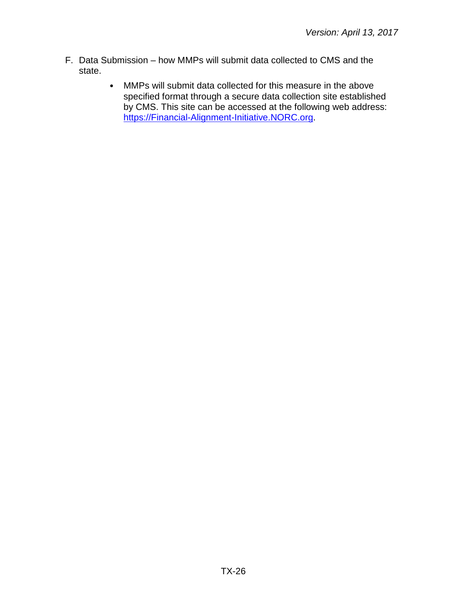- F. Data Submission how MMPs will submit data collected to CMS and the state.
	- $\bullet$ MMPs will submit data collected for this measure in the above specified format through a secure data collection site established by CMS. This site can be accessed at the following web address: [https://Financial-Alignment-Initiative.NORC.org.](https://financial-alignment-initiative.norc.org/)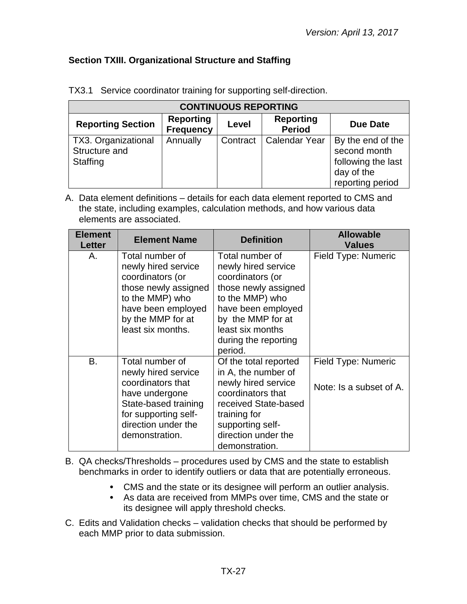# <span id="page-26-0"></span>**Section TXIII. Organizational Structure and Staffing**

| <b>CONTINUOUS REPORTING</b>                      |                                      |          |                                   |                                                                                           |  |
|--------------------------------------------------|--------------------------------------|----------|-----------------------------------|-------------------------------------------------------------------------------------------|--|
| <b>Reporting Section</b>                         | <b>Reporting</b><br><b>Frequency</b> | Level    | <b>Reporting</b><br><b>Period</b> | <b>Due Date</b>                                                                           |  |
| TX3. Organizational<br>Structure and<br>Staffing | Annually                             | Contract | <b>Calendar Year</b>              | By the end of the<br>second month<br>following the last<br>day of the<br>reporting period |  |

TX3.1 Service coordinator training for supporting self-direction.

A. Data element definitions – details for each data element reported to CMS and the state, including examples, calculation methods, and how various data elements are associated.

| <b>Element</b><br><b>Letter</b> | <b>Element Name</b>                                                                                                                                                    | <b>Definition</b>                                                                                                                                                                                       | <b>Allowable</b><br><b>Values</b>              |
|---------------------------------|------------------------------------------------------------------------------------------------------------------------------------------------------------------------|---------------------------------------------------------------------------------------------------------------------------------------------------------------------------------------------------------|------------------------------------------------|
| Α.                              | Total number of<br>newly hired service<br>coordinators (or<br>those newly assigned<br>to the MMP) who<br>have been employed<br>by the MMP for at<br>least six months.  | Total number of<br>newly hired service<br>coordinators (or<br>those newly assigned<br>to the MMP) who<br>have been employed<br>by the MMP for at<br>least six months<br>during the reporting<br>period. | Field Type: Numeric                            |
| <b>B.</b>                       | Total number of<br>newly hired service<br>coordinators that<br>have undergone<br>State-based training<br>for supporting self-<br>direction under the<br>demonstration. | Of the total reported<br>in A, the number of<br>newly hired service<br>coordinators that<br>received State-based<br>training for<br>supporting self-<br>direction under the<br>demonstration.           | Field Type: Numeric<br>Note: Is a subset of A. |

B. QA checks/Thresholds – procedures used by CMS and the state to establish benchmarks in order to identify outliers or data that are potentially erroneous.

- CMS and the state or its designee will perform an outlier analysis.
- As data are received from MMPs over time, CMS and the state or  $\bullet$ its designee will apply threshold checks.
- C. Edits and Validation checks validation checks that should be performed by each MMP prior to data submission.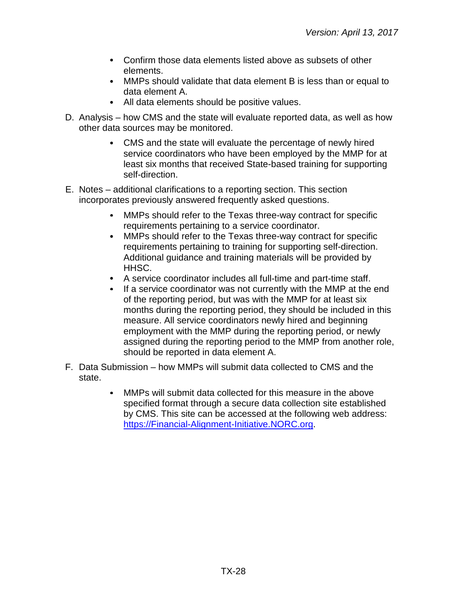- Confirm those data elements listed above as subsets of other elements.
- MMPs should validate that data element B is less than or equal to data element A.
- All data elements should be positive values.
- D. Analysis how CMS and the state will evaluate reported data, as well as how other data sources may be monitored.
	- CMS and the state will evaluate the percentage of newly hired service coordinators who have been employed by the MMP for at least six months that received State-based training for supporting self-direction.
- E. Notes additional clarifications to a reporting section. This section incorporates previously answered frequently asked questions.
	- MMPs should refer to the Texas three-way contract for specific  $\bullet$ requirements pertaining to a service coordinator.
	- $\bullet$ MMPs should refer to the Texas three-way contract for specific requirements pertaining to training for supporting self-direction. Additional guidance and training materials will be provided by HHSC.
	- A service coordinator includes all full-time and part-time staff.
	- $\bullet$ If a service coordinator was not currently with the MMP at the end of the reporting period, but was with the MMP for at least six months during the reporting period, they should be included in this measure. All service coordinators newly hired and beginning employment with the MMP during the reporting period, or newly assigned during the reporting period to the MMP from another role, should be reported in data element A.
- F. Data Submission how MMPs will submit data collected to CMS and the state.
	- MMPs will submit data collected for this measure in the above specified format through a secure data collection site established by CMS. This site can be accessed at the following web address: [https://Financial-Alignment-Initiative.NORC.org.](https://financial-alignment-initiative.norc.org/)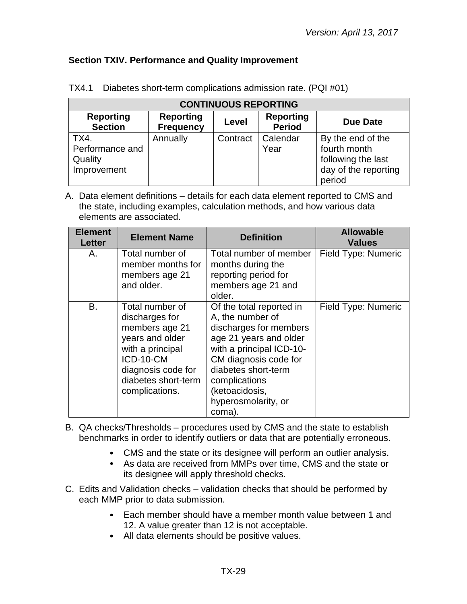## <span id="page-28-0"></span>**Section TXIV. Performance and Quality Improvement**

| <b>CONTINUOUS REPORTING</b>                                                                                                                 |          |          |                  |                                                         |  |
|---------------------------------------------------------------------------------------------------------------------------------------------|----------|----------|------------------|---------------------------------------------------------|--|
| <b>Reporting</b><br><b>Reporting</b><br><b>Reporting</b><br><b>Due Date</b><br>Level<br><b>Section</b><br><b>Period</b><br><b>Frequency</b> |          |          |                  |                                                         |  |
| TX4.<br>Performance and<br>Quality                                                                                                          | Annually | Contract | Calendar<br>Year | By the end of the<br>fourth month<br>following the last |  |
| Improvement                                                                                                                                 |          |          |                  | day of the reporting<br>period                          |  |

|  |  | TX4.1 Diabetes short-term complications admission rate. (PQI #01) |  |
|--|--|-------------------------------------------------------------------|--|
|--|--|-------------------------------------------------------------------|--|

| <b>Element</b><br><b>Letter</b> | <b>Element Name</b>                                                                                                                                                    | <b>Definition</b>                                                                                                                                                                                                                                | <b>Allowable</b><br><b>Values</b> |
|---------------------------------|------------------------------------------------------------------------------------------------------------------------------------------------------------------------|--------------------------------------------------------------------------------------------------------------------------------------------------------------------------------------------------------------------------------------------------|-----------------------------------|
| А.                              | Total number of<br>member months for<br>members age 21<br>and older.                                                                                                   | Total number of member<br>months during the<br>reporting period for<br>members age 21 and<br>older.                                                                                                                                              | Field Type: Numeric               |
| B.                              | Total number of<br>discharges for<br>members age 21<br>years and older<br>with a principal<br>ICD-10-CM<br>diagnosis code for<br>diabetes short-term<br>complications. | Of the total reported in<br>A, the number of<br>discharges for members<br>age 21 years and older<br>with a principal ICD-10-<br>CM diagnosis code for<br>diabetes short-term<br>complications<br>(ketoacidosis,<br>hyperosmolarity, or<br>coma). | Field Type: Numeric               |

- B. QA checks/Thresholds procedures used by CMS and the state to establish benchmarks in order to identify outliers or data that are potentially erroneous.
	- CMS and the state or its designee will perform an outlier analysis.
	- As data are received from MMPs over time, CMS and the state or its designee will apply threshold checks.
- C. Edits and Validation checks validation checks that should be performed by each MMP prior to data submission.
	- Each member should have a member month value between 1 and  $\bullet$ 12. A value greater than 12 is not acceptable.
	- All data elements should be positive values.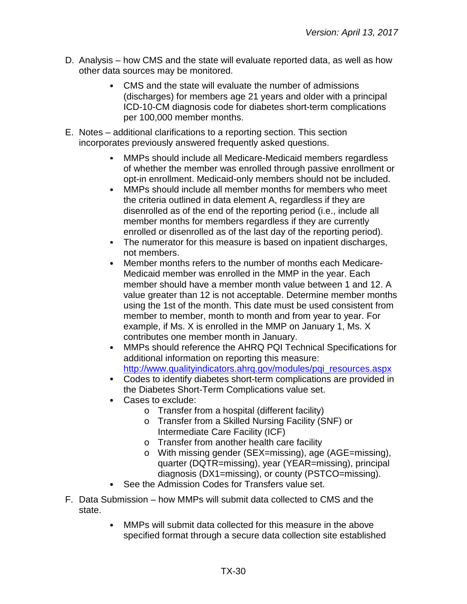- D. Analysis how CMS and the state will evaluate reported data, as well as how other data sources may be monitored.
	- CMS and the state will evaluate the number of admissions (discharges) for members age 21 years and older with a principal ICD-10-CM diagnosis code for diabetes short-term complications per 100,000 member months.
- E. Notes additional clarifications to a reporting section. This section incorporates previously answered frequently asked questions.
	- MMPs should include all Medicare-Medicaid members regardless of whether the member was enrolled through passive enrollment or opt-in enrollment. Medicaid-only members should not be included.
	- $\bullet$ MMPs should include all member months for members who meet the criteria outlined in data element A, regardless if they are disenrolled as of the end of the reporting period (i.e., include all member months for members regardless if they are currently enrolled or disenrolled as of the last day of the reporting period).
	- $\bullet$ The numerator for this measure is based on inpatient discharges, not members.
	- $\bullet$ Member months refers to the number of months each Medicare-Medicaid member was enrolled in the MMP in the year. Each member should have a member month value between 1 and 12. A value greater than 12 is not acceptable. Determine member months using the 1st of the month. This date must be used consistent from member to member, month to month and from year to year. For example, if Ms. X is enrolled in the MMP on January 1, Ms. X contributes one member month in January.
	- MMPs should reference the AHRQ PQI Technical Specifications for  $\bullet$ additional information on reporting this measure: [http://www.qualityindicators.ahrq.gov/modules/pqi\\_resources.aspx](http://www.qualityindicators.ahrq.gov/modules/pqi_resources.aspx)
	- Codes to identify diabetes short-term complications are provided in the Diabetes Short-Term Complications value set.
	- Cases to exclude:
		- o Transfer from a hospital (different facility)
		- o Transfer from a Skilled Nursing Facility (SNF) or Intermediate Care Facility (ICF)
		- o Transfer from another health care facility
		- o With missing gender (SEX=missing), age (AGE=missing), quarter (DQTR=missing), year (YEAR=missing), principal diagnosis (DX1=missing), or county (PSTCO=missing).
	- See the Admission Codes for Transfers value set.
- F. Data Submission how MMPs will submit data collected to CMS and the state.
	- MMPs will submit data collected for this measure in the above specified format through a secure data collection site established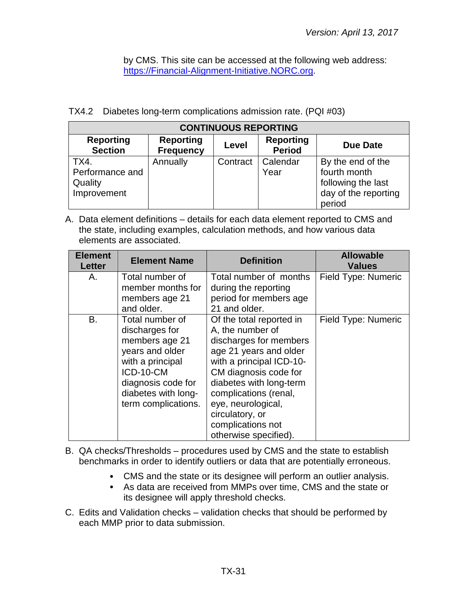by CMS. This site can be accessed at the following web address: [https://Financial-Alignment-Initiative.NORC.org.](https://financial-alignment-initiative.norc.org/)

|  | TX4.2 Diabetes long-term complications admission rate. (PQI #03) |  |
|--|------------------------------------------------------------------|--|
|  |                                                                  |  |

| <b>CONTINUOUS REPORTING</b>                                                                                                                 |                    |          |          |                      |  |  |
|---------------------------------------------------------------------------------------------------------------------------------------------|--------------------|----------|----------|----------------------|--|--|
| <b>Reporting</b><br><b>Reporting</b><br><b>Reporting</b><br><b>Due Date</b><br>Level<br><b>Section</b><br><b>Period</b><br><b>Frequency</b> |                    |          |          |                      |  |  |
| TX4.                                                                                                                                        | Annually           | Contract | Calendar | By the end of the    |  |  |
| Performance and                                                                                                                             |                    |          | Year     | fourth month         |  |  |
| Quality                                                                                                                                     | following the last |          |          |                      |  |  |
| Improvement                                                                                                                                 |                    |          |          | day of the reporting |  |  |
|                                                                                                                                             |                    |          |          | period               |  |  |

A. Data element definitions – details for each data element reported to CMS and the state, including examples, calculation methods, and how various data elements are associated.

| <b>Element</b><br><b>Letter</b> | <b>Element Name</b>                                                                                                                                                         | <b>Definition</b>                                                                                                                                                                                                                                                                                | <b>Allowable</b><br><b>Values</b> |
|---------------------------------|-----------------------------------------------------------------------------------------------------------------------------------------------------------------------------|--------------------------------------------------------------------------------------------------------------------------------------------------------------------------------------------------------------------------------------------------------------------------------------------------|-----------------------------------|
| Α.                              | Total number of<br>member months for<br>members age 21<br>and older.                                                                                                        | Total number of months<br>during the reporting<br>period for members age<br>21 and older.                                                                                                                                                                                                        | Field Type: Numeric               |
| B.                              | Total number of<br>discharges for<br>members age 21<br>years and older<br>with a principal<br>ICD-10-CM<br>diagnosis code for<br>diabetes with long-<br>term complications. | Of the total reported in<br>A, the number of<br>discharges for members<br>age 21 years and older<br>with a principal ICD-10-<br>CM diagnosis code for<br>diabetes with long-term<br>complications (renal,<br>eye, neurological,<br>circulatory, or<br>complications not<br>otherwise specified). | Field Type: Numeric               |

B. QA checks/Thresholds – procedures used by CMS and the state to establish benchmarks in order to identify outliers or data that are potentially erroneous.

- CMS and the state or its designee will perform an outlier analysis.
- As data are received from MMPs over time, CMS and the state or its designee will apply threshold checks.
- C. Edits and Validation checks validation checks that should be performed by each MMP prior to data submission.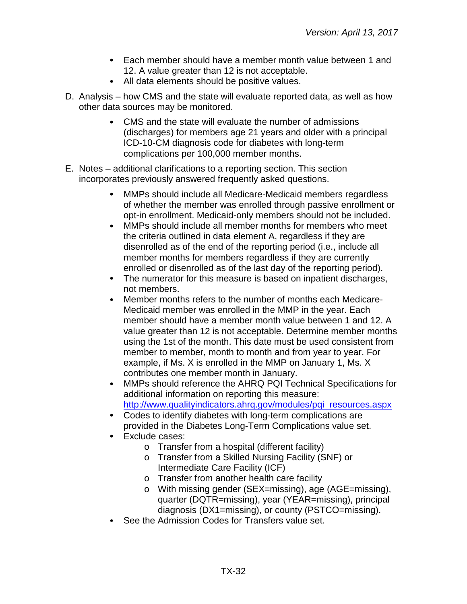- Each member should have a member month value between 1 and 12. A value greater than 12 is not acceptable.
- All data elements should be positive values.
- D. Analysis how CMS and the state will evaluate reported data, as well as how other data sources may be monitored.
	- CMS and the state will evaluate the number of admissions (discharges) for members age 21 years and older with a principal ICD-10-CM diagnosis code for diabetes with long-term complications per 100,000 member months.
- E. Notes additional clarifications to a reporting section. This section incorporates previously answered frequently asked questions.
	- $\bullet$ MMPs should include all Medicare-Medicaid members regardless of whether the member was enrolled through passive enrollment or opt-in enrollment. Medicaid-only members should not be included.
	- $\bullet$ MMPs should include all member months for members who meet the criteria outlined in data element A, regardless if they are disenrolled as of the end of the reporting period (i.e., include all member months for members regardless if they are currently enrolled or disenrolled as of the last day of the reporting period).
	- The numerator for this measure is based on inpatient discharges, not members.
	- $\bullet$ Member months refers to the number of months each Medicare-Medicaid member was enrolled in the MMP in the year. Each member should have a member month value between 1 and 12. A value greater than 12 is not acceptable. Determine member months using the 1st of the month. This date must be used consistent from member to member, month to month and from year to year. For example, if Ms. X is enrolled in the MMP on January 1, Ms. X contributes one member month in January.
	- MMPs should reference the AHRQ PQI Technical Specifications for  $\bullet$ additional information on reporting this measure: [http://www.qualityindicators.ahrq.gov/modules/pqi\\_resources.aspx](http://www.qualityindicators.ahrq.gov/modules/pqi_resources.aspx)
	- Codes to identify diabetes with long-term complications are provided in the Diabetes Long-Term Complications value set.
	- Exclude cases:  $\bullet$ 
		- o Transfer from a hospital (different facility)
		- o Transfer from a Skilled Nursing Facility (SNF) or Intermediate Care Facility (ICF)
		- o Transfer from another health care facility
		- o With missing gender (SEX=missing), age (AGE=missing), quarter (DQTR=missing), year (YEAR=missing), principal diagnosis (DX1=missing), or county (PSTCO=missing).
	- See the Admission Codes for Transfers value set.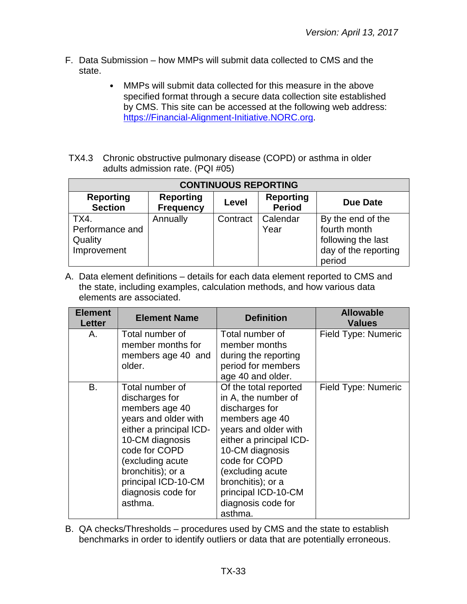- F. Data Submission how MMPs will submit data collected to CMS and the state.
	- MMPs will submit data collected for this measure in the above  $\bullet$ specified format through a secure data collection site established by CMS. This site can be accessed at the following web address: [https://Financial-Alignment-Initiative.NORC.org.](https://financial-alignment-initiative.norc.org/)
- TX4.3 Chronic obstructive pulmonary disease (COPD) or asthma in older adults admission rate. (PQI #05)

| <b>CONTINUOUS REPORTING</b>                                                                                                                 |          |          |                  |                                                                                           |  |
|---------------------------------------------------------------------------------------------------------------------------------------------|----------|----------|------------------|-------------------------------------------------------------------------------------------|--|
| <b>Reporting</b><br><b>Reporting</b><br><b>Reporting</b><br><b>Due Date</b><br>Level<br><b>Section</b><br><b>Period</b><br><b>Frequency</b> |          |          |                  |                                                                                           |  |
| TX4.<br>Performance and<br>Quality<br>Improvement                                                                                           | Annually | Contract | Calendar<br>Year | By the end of the<br>fourth month<br>following the last<br>day of the reporting<br>period |  |

A. Data element definitions – details for each data element reported to CMS and the state, including examples, calculation methods, and how various data elements are associated.

| <b>Element</b><br><b>Letter</b> | <b>Element Name</b>                                                                                                                                                                                                                         | <b>Definition</b>                                                                                                                                                                                                                                                        | <b>Allowable</b><br><b>Values</b> |
|---------------------------------|---------------------------------------------------------------------------------------------------------------------------------------------------------------------------------------------------------------------------------------------|--------------------------------------------------------------------------------------------------------------------------------------------------------------------------------------------------------------------------------------------------------------------------|-----------------------------------|
| Α.                              | Total number of<br>member months for<br>members age 40 and<br>older.                                                                                                                                                                        | Total number of<br>member months<br>during the reporting<br>period for members<br>age 40 and older.                                                                                                                                                                      | Field Type: Numeric               |
| <b>B.</b>                       | Total number of<br>discharges for<br>members age 40<br>years and older with<br>either a principal ICD-<br>10-CM diagnosis<br>code for COPD<br>(excluding acute<br>bronchitis); or a<br>principal ICD-10-CM<br>diagnosis code for<br>asthma. | Of the total reported<br>in A, the number of<br>discharges for<br>members age 40<br>years and older with<br>either a principal ICD-<br>10-CM diagnosis<br>code for COPD<br>(excluding acute<br>bronchitis); or a<br>principal ICD-10-CM<br>diagnosis code for<br>asthma. | Field Type: Numeric               |

B. QA checks/Thresholds – procedures used by CMS and the state to establish benchmarks in order to identify outliers or data that are potentially erroneous.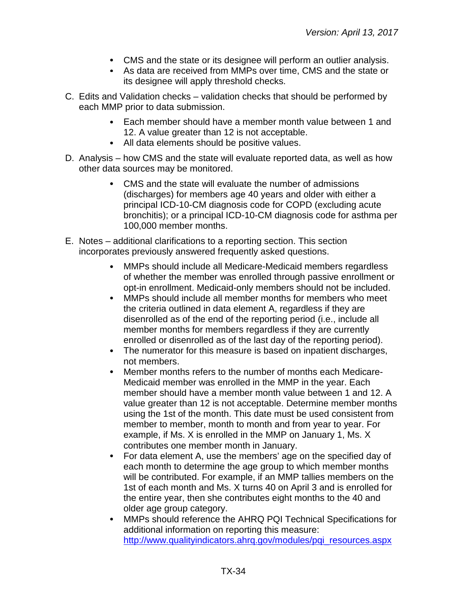- CMS and the state or its designee will perform an outlier analysis.
- As data are received from MMPs over time, CMS and the state or its designee will apply threshold checks.
- C. Edits and Validation checks validation checks that should be performed by each MMP prior to data submission.
	- Each member should have a member month value between 1 and  $\bullet$ 12. A value greater than 12 is not acceptable.
	- All data elements should be positive values.
- D. Analysis how CMS and the state will evaluate reported data, as well as how other data sources may be monitored.
	- CMS and the state will evaluate the number of admissions (discharges) for members age 40 years and older with either a principal ICD-10-CM diagnosis code for COPD (excluding acute bronchitis); or a principal ICD-10-CM diagnosis code for asthma per 100,000 member months.
- E. Notes additional clarifications to a reporting section. This section incorporates previously answered frequently asked questions.
	- MMPs should include all Medicare-Medicaid members regardless  $\bullet$ of whether the member was enrolled through passive enrollment or opt-in enrollment. Medicaid-only members should not be included.
	- MMPs should include all member months for members who meet  $\bullet$ the criteria outlined in data element A, regardless if they are disenrolled as of the end of the reporting period (i.e., include all member months for members regardless if they are currently enrolled or disenrolled as of the last day of the reporting period).
	- The numerator for this measure is based on inpatient discharges, not members.
	- Member months refers to the number of months each Medicare- $\bullet$ Medicaid member was enrolled in the MMP in the year. Each member should have a member month value between 1 and 12. A value greater than 12 is not acceptable. Determine member months using the 1st of the month. This date must be used consistent from member to member, month to month and from year to year. For example, if Ms. X is enrolled in the MMP on January 1, Ms. X contributes one member month in January.
	- For data element A, use the members' age on the specified day of  $\bullet$ each month to determine the age group to which member months will be contributed. For example, if an MMP tallies members on the 1st of each month and Ms. X turns 40 on April 3 and is enrolled for the entire year, then she contributes eight months to the 40 and older age group category.
	- MMPs should reference the AHRQ PQI Technical Specifications for  $\bullet$ additional information on reporting this measure: [http://www.qualityindicators.ahrq.gov/modules/pqi\\_resources.aspx](http://www.qualityindicators.ahrq.gov/modules/pqi_resources.aspx)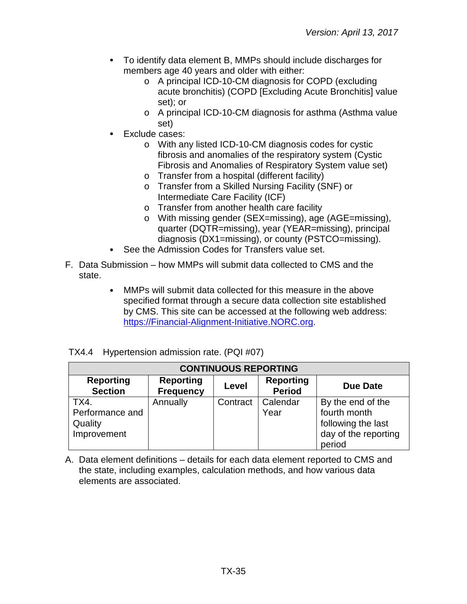- To identify data element B, MMPs should include discharges for members age 40 years and older with either:
	- o A principal ICD-10-CM diagnosis for COPD (excluding acute bronchitis) (COPD [Excluding Acute Bronchitis] value set); or
	- o A principal ICD-10-CM diagnosis for asthma (Asthma value set)
- Exclude cases:
	- o With any listed ICD-10-CM diagnosis codes for cystic fibrosis and anomalies of the respiratory system (Cystic Fibrosis and Anomalies of Respiratory System value set)
	- o Transfer from a hospital (different facility)
	- o Transfer from a Skilled Nursing Facility (SNF) or Intermediate Care Facility (ICF)
	- o Transfer from another health care facility
	- o With missing gender (SEX=missing), age (AGE=missing), quarter (DQTR=missing), year (YEAR=missing), principal diagnosis (DX1=missing), or county (PSTCO=missing).
- See the Admission Codes for Transfers value set.
- F. Data Submission how MMPs will submit data collected to CMS and the state.
	- MMPs will submit data collected for this measure in the above  $\bullet$ specified format through a secure data collection site established by CMS. This site can be accessed at the following web address: [https://Financial-Alignment-Initiative.NORC.org.](https://financial-alignment-initiative.norc.org/)

| TX4.4 Hypertension admission rate. (PQI #07) |  |  |
|----------------------------------------------|--|--|
|                                              |  |  |

| <b>CONTINUOUS REPORTING</b>                       |                                      |          |                                   |                                                                                           |  |  |  |  |
|---------------------------------------------------|--------------------------------------|----------|-----------------------------------|-------------------------------------------------------------------------------------------|--|--|--|--|
| <b>Reporting</b><br><b>Section</b>                | <b>Reporting</b><br><b>Frequency</b> | Level    | <b>Reporting</b><br><b>Period</b> | Due Date                                                                                  |  |  |  |  |
| TX4.<br>Performance and<br>Quality<br>Improvement | Annually                             | Contract | Calendar<br>Year                  | By the end of the<br>fourth month<br>following the last<br>day of the reporting<br>period |  |  |  |  |

A. Data element definitions – details for each data element reported to CMS and the state, including examples, calculation methods, and how various data elements are associated.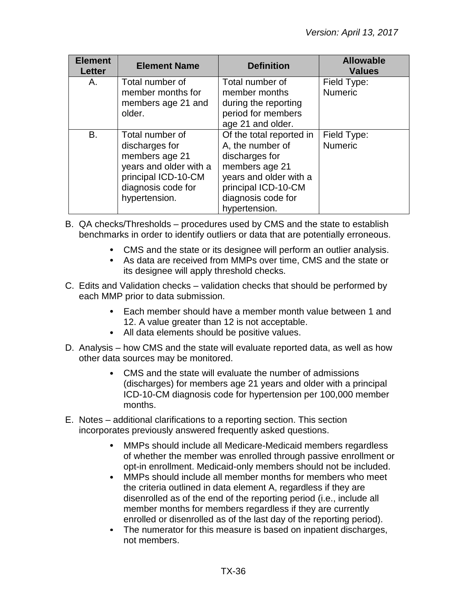| <b>Element</b><br><b>Letter</b> | <b>Element Name</b>                                                                                                                         | <b>Definition</b>                                                                                                                                                        | <b>Allowable</b><br><b>Values</b> |
|---------------------------------|---------------------------------------------------------------------------------------------------------------------------------------------|--------------------------------------------------------------------------------------------------------------------------------------------------------------------------|-----------------------------------|
| Α.                              | Total number of<br>member months for                                                                                                        | Total number of<br>member months                                                                                                                                         | Field Type:<br><b>Numeric</b>     |
|                                 | members age 21 and<br>older.                                                                                                                | during the reporting<br>period for members<br>age 21 and older.                                                                                                          |                                   |
| <b>B.</b>                       | Total number of<br>discharges for<br>members age 21<br>years and older with a<br>principal ICD-10-CM<br>diagnosis code for<br>hypertension. | Of the total reported in<br>A, the number of<br>discharges for<br>members age 21<br>years and older with a<br>principal ICD-10-CM<br>diagnosis code for<br>hypertension. | Field Type:<br><b>Numeric</b>     |

- B. QA checks/Thresholds procedures used by CMS and the state to establish benchmarks in order to identify outliers or data that are potentially erroneous.
	- CMS and the state or its designee will perform an outlier analysis.
	- As data are received from MMPs over time, CMS and the state or its designee will apply threshold checks.
- C. Edits and Validation checks validation checks that should be performed by each MMP prior to data submission.
	- Each member should have a member month value between 1 and  $\bullet$ 12. A value greater than 12 is not acceptable.
	- All data elements should be positive values.
- D. Analysis how CMS and the state will evaluate reported data, as well as how other data sources may be monitored.
	- CMS and the state will evaluate the number of admissions (discharges) for members age 21 years and older with a principal ICD-10-CM diagnosis code for hypertension per 100,000 member months.
- E. Notes additional clarifications to a reporting section. This section incorporates previously answered frequently asked questions.
	- MMPs should include all Medicare-Medicaid members regardless of whether the member was enrolled through passive enrollment or opt-in enrollment. Medicaid-only members should not be included.
	- $\bullet$ MMPs should include all member months for members who meet the criteria outlined in data element A, regardless if they are disenrolled as of the end of the reporting period (i.e., include all member months for members regardless if they are currently enrolled or disenrolled as of the last day of the reporting period).
	- The numerator for this measure is based on inpatient discharges, not members.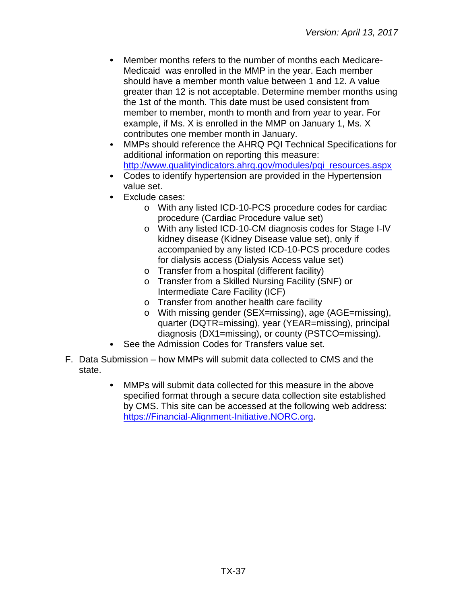- Member months refers to the number of months each Medicare-Medicaid was enrolled in the MMP in the year. Each member should have a member month value between 1 and 12. A value greater than 12 is not acceptable. Determine member months using the 1st of the month. This date must be used consistent from member to member, month to month and from year to year. For example, if Ms. X is enrolled in the MMP on January 1, Ms. X contributes one member month in January.
- MMPs should reference the AHRQ PQI Technical Specifications for  $\bullet$ additional information on reporting this measure: [http://www.qualityindicators.ahrq.gov/modules/pqi\\_resources.aspx](http://www.qualityindicators.ahrq.gov/modules/pqi_resources.aspx)
- Codes to identify hypertension are provided in the Hypertension value set.
- $\bullet$ Exclude cases:
	- o With any listed ICD-10-PCS procedure codes for cardiac procedure (Cardiac Procedure value set)
	- o With any listed ICD-10-CM diagnosis codes for Stage I-IV kidney disease (Kidney Disease value set), only if accompanied by any listed ICD-10-PCS procedure codes for dialysis access (Dialysis Access value set)
	- o Transfer from a hospital (different facility)
	- o Transfer from a Skilled Nursing Facility (SNF) or Intermediate Care Facility (ICF)
	- o Transfer from another health care facility
	- o With missing gender (SEX=missing), age (AGE=missing), quarter (DQTR=missing), year (YEAR=missing), principal diagnosis (DX1=missing), or county (PSTCO=missing).
- See the Admission Codes for Transfers value set.
- F. Data Submission how MMPs will submit data collected to CMS and the state.
	- $\bullet$ MMPs will submit data collected for this measure in the above specified format through a secure data collection site established by CMS. This site can be accessed at the following web address: [https://Financial-Alignment-Initiative.NORC.org.](https://financial-alignment-initiative.norc.org/)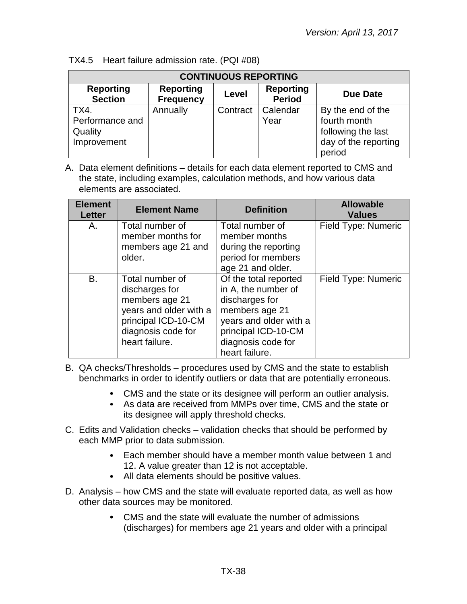| <b>CONTINUOUS REPORTING</b>                       |                                      |          |                                   |                                                                                           |
|---------------------------------------------------|--------------------------------------|----------|-----------------------------------|-------------------------------------------------------------------------------------------|
| <b>Reporting</b><br><b>Section</b>                | <b>Reporting</b><br><b>Frequency</b> | Level    | <b>Reporting</b><br><b>Period</b> | Due Date                                                                                  |
| TX4.<br>Performance and<br>Quality<br>Improvement | Annually                             | Contract | Calendar<br>Year                  | By the end of the<br>fourth month<br>following the last<br>day of the reporting<br>period |

TX4.5 Heart failure admission rate. (PQI #08)

| <b>Element</b><br><b>Letter</b> | <b>Element Name</b>                                                                                                                          | <b>Definition</b>                                                                                                                                                         | <b>Allowable</b><br><b>Values</b> |
|---------------------------------|----------------------------------------------------------------------------------------------------------------------------------------------|---------------------------------------------------------------------------------------------------------------------------------------------------------------------------|-----------------------------------|
| Α.                              | Total number of<br>member months for<br>members age 21 and<br>older.                                                                         | Total number of<br>member months<br>during the reporting<br>period for members<br>age 21 and older.                                                                       | Field Type: Numeric               |
| В.                              | Total number of<br>discharges for<br>members age 21<br>years and older with a<br>principal ICD-10-CM<br>diagnosis code for<br>heart failure. | Of the total reported<br>in A, the number of<br>discharges for<br>members age 21<br>years and older with a<br>principal ICD-10-CM<br>diagnosis code for<br>heart failure. | Field Type: Numeric               |

- B. QA checks/Thresholds procedures used by CMS and the state to establish benchmarks in order to identify outliers or data that are potentially erroneous.
	- CMS and the state or its designee will perform an outlier analysis.
	- As data are received from MMPs over time, CMS and the state or its designee will apply threshold checks.
- C. Edits and Validation checks validation checks that should be performed by each MMP prior to data submission.
	- Each member should have a member month value between 1 and 12. A value greater than 12 is not acceptable.
	- All data elements should be positive values.
- D. Analysis how CMS and the state will evaluate reported data, as well as how other data sources may be monitored.
	- CMS and the state will evaluate the number of admissions (discharges) for members age 21 years and older with a principal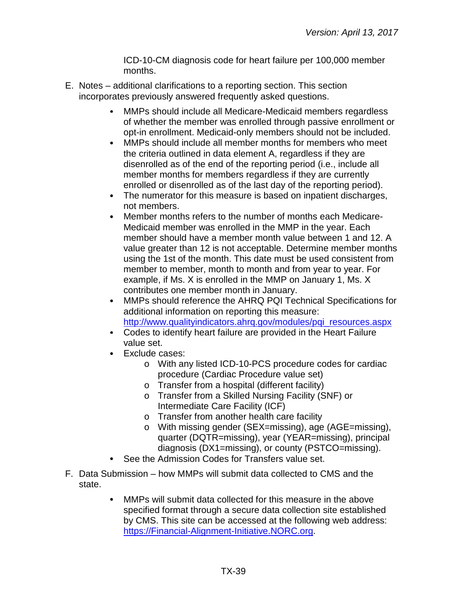ICD-10-CM diagnosis code for heart failure per 100,000 member months.

- E. Notes additional clarifications to a reporting section. This section incorporates previously answered frequently asked questions.
	- MMPs should include all Medicare-Medicaid members regardless of whether the member was enrolled through passive enrollment or opt-in enrollment. Medicaid-only members should not be included.
	- $\bullet$ MMPs should include all member months for members who meet the criteria outlined in data element A, regardless if they are disenrolled as of the end of the reporting period (i.e., include all member months for members regardless if they are currently enrolled or disenrolled as of the last day of the reporting period).
	- $\bullet$ The numerator for this measure is based on inpatient discharges, not members.
	- Member months refers to the number of months each Medicare- $\bullet$ Medicaid member was enrolled in the MMP in the year. Each member should have a member month value between 1 and 12. A value greater than 12 is not acceptable. Determine member months using the 1st of the month. This date must be used consistent from member to member, month to month and from year to year. For example, if Ms. X is enrolled in the MMP on January 1, Ms. X contributes one member month in January.
	- $\bullet$ MMPs should reference the AHRQ PQI Technical Specifications for additional information on reporting this measure: [http://www.qualityindicators.ahrq.gov/modules/pqi\\_resources.aspx](http://www.qualityindicators.ahrq.gov/modules/pqi_resources.aspx)
	- Codes to identify heart failure are provided in the Heart Failure value set.
	- Exclude cases:
		- o With any listed ICD-10-PCS procedure codes for cardiac procedure (Cardiac Procedure value set)
		- o Transfer from a hospital (different facility)
		- o Transfer from a Skilled Nursing Facility (SNF) or Intermediate Care Facility (ICF)
		- o Transfer from another health care facility
		- o With missing gender (SEX=missing), age (AGE=missing), quarter (DQTR=missing), year (YEAR=missing), principal diagnosis (DX1=missing), or county (PSTCO=missing).
	- See the Admission Codes for Transfers value set.
- F. Data Submission how MMPs will submit data collected to CMS and the state.
	- MMPs will submit data collected for this measure in the above  $\bullet$ specified format through a secure data collection site established by CMS. This site can be accessed at the following web address: [https://Financial-Alignment-Initiative.NORC.org.](https://financial-alignment-initiative.norc.org/)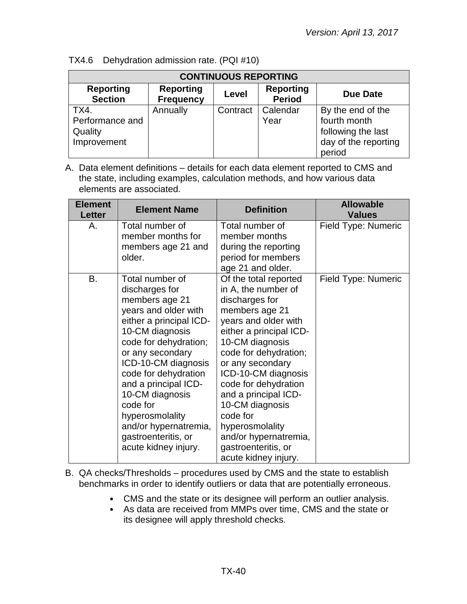| <b>CONTINUOUS REPORTING</b>                       |                                      |          |                                   |                                                                                           |
|---------------------------------------------------|--------------------------------------|----------|-----------------------------------|-------------------------------------------------------------------------------------------|
| <b>Reporting</b><br><b>Section</b>                | <b>Reporting</b><br><b>Frequency</b> | Level    | <b>Reporting</b><br><b>Period</b> | Due Date                                                                                  |
| TX4.<br>Performance and<br>Quality<br>Improvement | Annually                             | Contract | Calendar<br>Year                  | By the end of the<br>fourth month<br>following the last<br>day of the reporting<br>period |

TX4.6 Dehydration admission rate. (PQI #10)

A. Data element definitions – details for each data element reported to CMS and the state, including examples, calculation methods, and how various data elements are associated.

| <b>Element</b><br><b>Letter</b> | <b>Element Name</b>                                                                                                                                                                                                                                                                                                                                                     | <b>Definition</b>                                                                                                                                                                                                                                                                                                                                                                                    | <b>Allowable</b><br><b>Values</b> |
|---------------------------------|-------------------------------------------------------------------------------------------------------------------------------------------------------------------------------------------------------------------------------------------------------------------------------------------------------------------------------------------------------------------------|------------------------------------------------------------------------------------------------------------------------------------------------------------------------------------------------------------------------------------------------------------------------------------------------------------------------------------------------------------------------------------------------------|-----------------------------------|
| А.                              | Total number of<br>member months for<br>members age 21 and<br>older.                                                                                                                                                                                                                                                                                                    | Total number of<br>member months<br>during the reporting<br>period for members<br>age 21 and older.                                                                                                                                                                                                                                                                                                  | Field Type: Numeric               |
| В.                              | Total number of<br>discharges for<br>members age 21<br>years and older with<br>either a principal ICD-<br>10-CM diagnosis<br>code for dehydration;<br>or any secondary<br>ICD-10-CM diagnosis<br>code for dehydration<br>and a principal ICD-<br>10-CM diagnosis<br>code for<br>hyperosmolality<br>and/or hypernatremia,<br>gastroenteritis, or<br>acute kidney injury. | Of the total reported<br>in A, the number of<br>discharges for<br>members age 21<br>years and older with<br>either a principal ICD-<br>10-CM diagnosis<br>code for dehydration;<br>or any secondary<br>ICD-10-CM diagnosis<br>code for dehydration<br>and a principal ICD-<br>10-CM diagnosis<br>code for<br>hyperosmolality<br>and/or hypernatremia,<br>gastroenteritis, or<br>acute kidney injury. | Field Type: Numeric               |

B. QA checks/Thresholds – procedures used by CMS and the state to establish benchmarks in order to identify outliers or data that are potentially erroneous.

- CMS and the state or its designee will perform an outlier analysis.
- As data are received from MMPs over time, CMS and the state or its designee will apply threshold checks.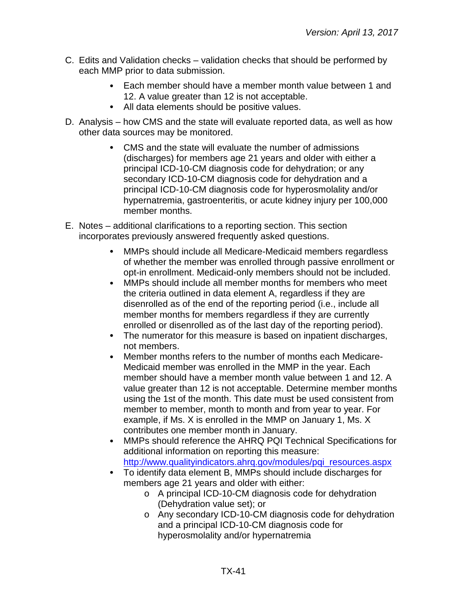- C. Edits and Validation checks validation checks that should be performed by each MMP prior to data submission.
	- Each member should have a member month value between 1 and  $\bullet$ 12. A value greater than 12 is not acceptable.
	- All data elements should be positive values.
- D. Analysis how CMS and the state will evaluate reported data, as well as how other data sources may be monitored.
	- CMS and the state will evaluate the number of admissions (discharges) for members age 21 years and older with either a principal ICD-10-CM diagnosis code for dehydration; or any secondary ICD-10-CM diagnosis code for dehydration and a principal ICD-10-CM diagnosis code for hyperosmolality and/or hypernatremia, gastroenteritis, or acute kidney injury per 100,000 member months.
- E. Notes additional clarifications to a reporting section. This section incorporates previously answered frequently asked questions.
	- MMPs should include all Medicare-Medicaid members regardless  $\bullet$ of whether the member was enrolled through passive enrollment or opt-in enrollment. Medicaid-only members should not be included.
	- $\bullet$ MMPs should include all member months for members who meet the criteria outlined in data element A, regardless if they are disenrolled as of the end of the reporting period (i.e., include all member months for members regardless if they are currently enrolled or disenrolled as of the last day of the reporting period).
	- The numerator for this measure is based on inpatient discharges, not members.
	- $\bullet$ Member months refers to the number of months each Medicare-Medicaid member was enrolled in the MMP in the year. Each member should have a member month value between 1 and 12. A value greater than 12 is not acceptable. Determine member months using the 1st of the month. This date must be used consistent from member to member, month to month and from year to year. For example, if Ms. X is enrolled in the MMP on January 1, Ms. X contributes one member month in January.
	- MMPs should reference the AHRQ PQI Technical Specifications for  $\bullet$ additional information on reporting this measure: [http://www.qualityindicators.ahrq.gov/modules/pqi\\_resources.aspx](http://www.qualityindicators.ahrq.gov/modules/pqi_resources.aspx)
	- To identify data element B, MMPs should include discharges for members age 21 years and older with either:
		- o A principal ICD-10-CM diagnosis code for dehydration (Dehydration value set); or
		- o Any secondary ICD-10-CM diagnosis code for dehydration and a principal ICD-10-CM diagnosis code for hyperosmolality and/or hypernatremia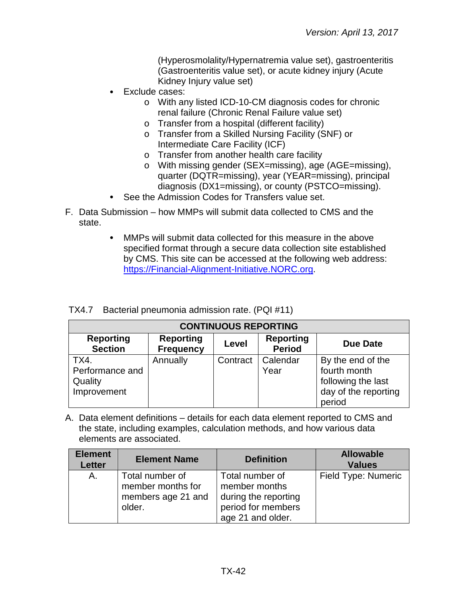(Hyperosmolality/Hypernatremia value set), gastroenteritis (Gastroenteritis value set), or acute kidney injury (Acute Kidney Injury value set)

- Exclude cases:
	- o With any listed ICD-10-CM diagnosis codes for chronic renal failure (Chronic Renal Failure value set)
	- o Transfer from a hospital (different facility)
	- o Transfer from a Skilled Nursing Facility (SNF) or Intermediate Care Facility (ICF)
	- o Transfer from another health care facility
	- o With missing gender (SEX=missing), age (AGE=missing), quarter (DQTR=missing), year (YEAR=missing), principal diagnosis (DX1=missing), or county (PSTCO=missing).
- $\bullet$ See the Admission Codes for Transfers value set.
- F. Data Submission how MMPs will submit data collected to CMS and the state.
	- MMPs will submit data collected for this measure in the above  $\bullet$ specified format through a secure data collection site established by CMS. This site can be accessed at the following web address: [https://Financial-Alignment-Initiative.NORC.org.](https://financial-alignment-initiative.norc.org/)

|  |  | TX4.7 Bacterial pneumonia admission rate. (PQI #11) |  |  |  |  |
|--|--|-----------------------------------------------------|--|--|--|--|
|--|--|-----------------------------------------------------|--|--|--|--|

| <b>CONTINUOUS REPORTING</b>                       |                                      |          |                                   |                                                                                           |
|---------------------------------------------------|--------------------------------------|----------|-----------------------------------|-------------------------------------------------------------------------------------------|
| <b>Reporting</b><br><b>Section</b>                | <b>Reporting</b><br><b>Frequency</b> | Level    | <b>Reporting</b><br><b>Period</b> | Due Date                                                                                  |
| TX4.<br>Performance and<br>Quality<br>Improvement | Annually                             | Contract | Calendar<br>Year                  | By the end of the<br>fourth month<br>following the last<br>day of the reporting<br>period |

| <b>Element</b><br><b>Letter</b> | <b>Element Name</b>                                                  | <b>Definition</b>                                                                                   | <b>Allowable</b><br><b>Values</b> |
|---------------------------------|----------------------------------------------------------------------|-----------------------------------------------------------------------------------------------------|-----------------------------------|
| Α.                              | Total number of<br>member months for<br>members age 21 and<br>older. | Total number of<br>member months<br>during the reporting<br>period for members<br>age 21 and older. | Field Type: Numeric               |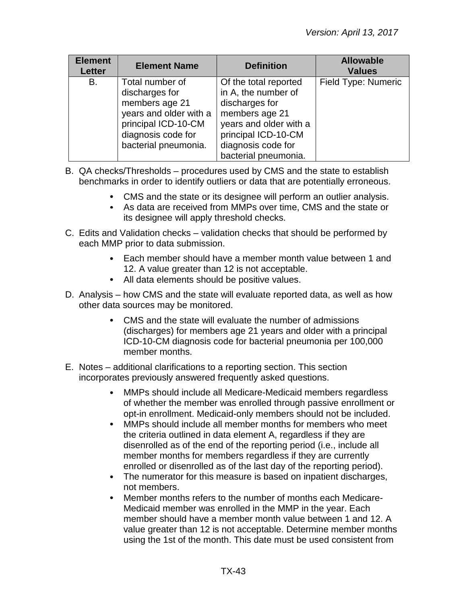| <b>Element</b><br><b>Letter</b> | <b>Element Name</b>                                                                                                                                | <b>Definition</b>                                                                                                                                                               | <b>Allowable</b><br><b>Values</b> |
|---------------------------------|----------------------------------------------------------------------------------------------------------------------------------------------------|---------------------------------------------------------------------------------------------------------------------------------------------------------------------------------|-----------------------------------|
| В.                              | Total number of<br>discharges for<br>members age 21<br>years and older with a<br>principal ICD-10-CM<br>diagnosis code for<br>bacterial pneumonia. | Of the total reported<br>in A, the number of<br>discharges for<br>members age 21<br>years and older with a<br>principal ICD-10-CM<br>diagnosis code for<br>bacterial pneumonia. | Field Type: Numeric               |

- B. QA checks/Thresholds procedures used by CMS and the state to establish benchmarks in order to identify outliers or data that are potentially erroneous.
	- CMS and the state or its designee will perform an outlier analysis.
	- As data are received from MMPs over time, CMS and the state or its designee will apply threshold checks.
- C. Edits and Validation checks validation checks that should be performed by each MMP prior to data submission.
	- Each member should have a member month value between 1 and 12. A value greater than 12 is not acceptable.
	- All data elements should be positive values.
- D. Analysis how CMS and the state will evaluate reported data, as well as how other data sources may be monitored.
	- CMS and the state will evaluate the number of admissions (discharges) for members age 21 years and older with a principal ICD-10-CM diagnosis code for bacterial pneumonia per 100,000 member months.
- E. Notes additional clarifications to a reporting section. This section incorporates previously answered frequently asked questions.
	- MMPs should include all Medicare-Medicaid members regardless  $\bullet$ of whether the member was enrolled through passive enrollment or opt-in enrollment. Medicaid-only members should not be included.
	- MMPs should include all member months for members who meet  $\bullet$ the criteria outlined in data element A, regardless if they are disenrolled as of the end of the reporting period (i.e., include all member months for members regardless if they are currently enrolled or disenrolled as of the last day of the reporting period).
	- $\bullet$ The numerator for this measure is based on inpatient discharges, not members.
	- $\bullet$ Member months refers to the number of months each Medicare-Medicaid member was enrolled in the MMP in the year. Each member should have a member month value between 1 and 12. A value greater than 12 is not acceptable. Determine member months using the 1st of the month. This date must be used consistent from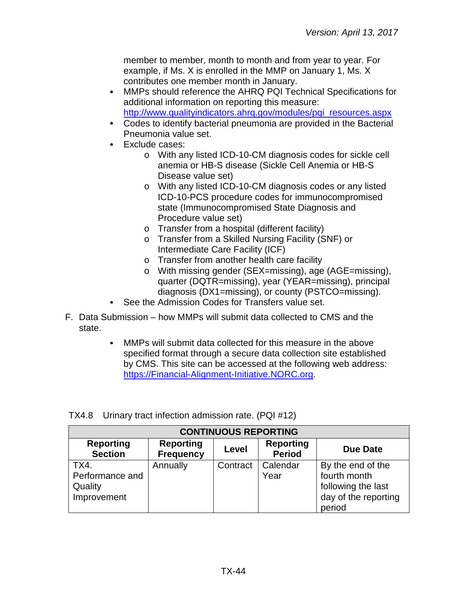member to member, month to month and from year to year. For example, if Ms. X is enrolled in the MMP on January 1, Ms. X contributes one member month in January.

- MMPs should reference the AHRQ PQI Technical Specifications for  $\bullet$ additional information on reporting this measure: [http://www.qualityindicators.ahrq.gov/modules/pqi\\_resources.aspx](http://www.qualityindicators.ahrq.gov/modules/pqi_resources.aspx)
- Codes to identify bacterial pneumonia are provided in the Bacterial Pneumonia value set.
- Exclude cases:  $\bullet$ 
	- o With any listed ICD-10-CM diagnosis codes for sickle cell anemia or HB-S disease (Sickle Cell Anemia or HB-S Disease value set)
	- o With any listed ICD-10-CM diagnosis codes or any listed ICD-10-PCS procedure codes for immunocompromised state (Immunocompromised State Diagnosis and Procedure value set)
	- o Transfer from a hospital (different facility)
	- o Transfer from a Skilled Nursing Facility (SNF) or Intermediate Care Facility (ICF)
	- o Transfer from another health care facility
	- o With missing gender (SEX=missing), age (AGE=missing), quarter (DQTR=missing), year (YEAR=missing), principal diagnosis (DX1=missing), or county (PSTCO=missing).
- See the Admission Codes for Transfers value set.
- F. Data Submission how MMPs will submit data collected to CMS and the state.
	- MMPs will submit data collected for this measure in the above  $\bullet$ specified format through a secure data collection site established by CMS. This site can be accessed at the following web address: [https://Financial-Alignment-Initiative.NORC.org.](https://financial-alignment-initiative.norc.org/)

| <b>CONTINUOUS REPORTING</b>                       |                                      |          |                                   |                                                                                           |  |
|---------------------------------------------------|--------------------------------------|----------|-----------------------------------|-------------------------------------------------------------------------------------------|--|
| <b>Reporting</b><br><b>Section</b>                | <b>Reporting</b><br><b>Frequency</b> | Level    | <b>Reporting</b><br><b>Period</b> | <b>Due Date</b>                                                                           |  |
| TX4.<br>Performance and<br>Quality<br>Improvement | Annually                             | Contract | <b>Calendar</b><br>Year           | By the end of the<br>fourth month<br>following the last<br>day of the reporting<br>period |  |

TX4.8 Urinary tract infection admission rate. (PQI #12)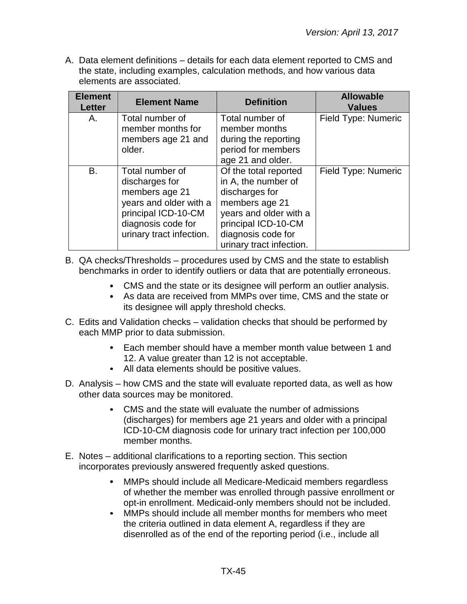A. Data element definitions – details for each data element reported to CMS and the state, including examples, calculation methods, and how various data elements are associated.

| <b>Element</b><br><b>Letter</b> | <b>Element Name</b>                                                                                                                                    | <b>Definition</b>                                                                                                                                                                   | <b>Allowable</b><br><b>Values</b> |
|---------------------------------|--------------------------------------------------------------------------------------------------------------------------------------------------------|-------------------------------------------------------------------------------------------------------------------------------------------------------------------------------------|-----------------------------------|
| Α.                              | Total number of<br>member months for<br>members age 21 and<br>older.                                                                                   | Total number of<br>member months<br>during the reporting<br>period for members<br>age 21 and older.                                                                                 | Field Type: Numeric               |
| B.                              | Total number of<br>discharges for<br>members age 21<br>years and older with a<br>principal ICD-10-CM<br>diagnosis code for<br>urinary tract infection. | Of the total reported<br>in A, the number of<br>discharges for<br>members age 21<br>years and older with a<br>principal ICD-10-CM<br>diagnosis code for<br>urinary tract infection. | Field Type: Numeric               |

B. QA checks/Thresholds – procedures used by CMS and the state to establish benchmarks in order to identify outliers or data that are potentially erroneous.

- CMS and the state or its designee will perform an outlier analysis.
- As data are received from MMPs over time, CMS and the state or its designee will apply threshold checks.
- C. Edits and Validation checks validation checks that should be performed by each MMP prior to data submission.
	- Each member should have a member month value between 1 and 12. A value greater than 12 is not acceptable.
	- All data elements should be positive values.
- D. Analysis how CMS and the state will evaluate reported data, as well as how other data sources may be monitored.
	- CMS and the state will evaluate the number of admissions (discharges) for members age 21 years and older with a principal ICD-10-CM diagnosis code for urinary tract infection per 100,000 member months.
- E. Notes additional clarifications to a reporting section. This section incorporates previously answered frequently asked questions.
	- $\bullet$ MMPs should include all Medicare-Medicaid members regardless of whether the member was enrolled through passive enrollment or opt-in enrollment. Medicaid-only members should not be included.
	- $\bullet$ MMPs should include all member months for members who meet the criteria outlined in data element A, regardless if they are disenrolled as of the end of the reporting period (i.e., include all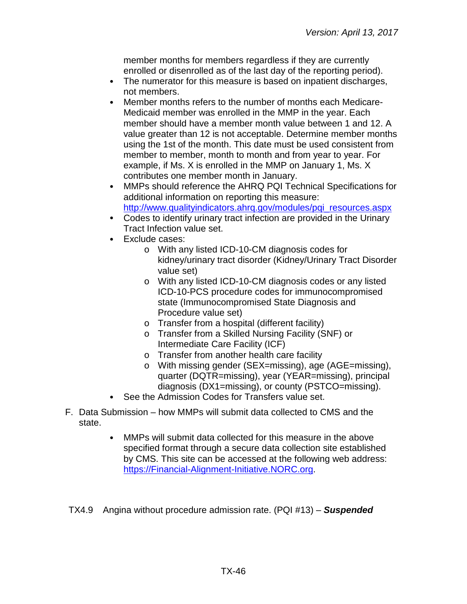member months for members regardless if they are currently enrolled or disenrolled as of the last day of the reporting period).

- The numerator for this measure is based on inpatient discharges,  $\bullet$ not members.
- Member months refers to the number of months each Medicare- $\bullet$ Medicaid member was enrolled in the MMP in the year. Each member should have a member month value between 1 and 12. A value greater than 12 is not acceptable. Determine member months using the 1st of the month. This date must be used consistent from member to member, month to month and from year to year. For example, if Ms. X is enrolled in the MMP on January 1, Ms. X contributes one member month in January.
- MMPs should reference the AHRQ PQI Technical Specifications for  $\bullet$ additional information on reporting this measure: [http://www.qualityindicators.ahrq.gov/modules/pqi\\_resources.aspx](http://www.qualityindicators.ahrq.gov/modules/pqi_resources.aspx)
- Codes to identify urinary tract infection are provided in the Urinary Tract Infection value set.
- Exclude cases:
	- o With any listed ICD-10-CM diagnosis codes for kidney/urinary tract disorder (Kidney/Urinary Tract Disorder value set)
	- o With any listed ICD-10-CM diagnosis codes or any listed ICD-10-PCS procedure codes for immunocompromised state (Immunocompromised State Diagnosis and Procedure value set)
	- o Transfer from a hospital (different facility)
	- o Transfer from a Skilled Nursing Facility (SNF) or Intermediate Care Facility (ICF)
	- o Transfer from another health care facility
	- o With missing gender (SEX=missing), age (AGE=missing), quarter (DQTR=missing), year (YEAR=missing), principal diagnosis (DX1=missing), or county (PSTCO=missing).
- See the Admission Codes for Transfers value set.
- F. Data Submission how MMPs will submit data collected to CMS and the state.
	- MMPs will submit data collected for this measure in the above  $\bullet$ specified format through a secure data collection site established by CMS. This site can be accessed at the following web address: [https://Financial-Alignment-Initiative.NORC.org.](https://financial-alignment-initiative.norc.org/)

TX4.9 Angina without procedure admission rate. (PQI #13) – *Suspended*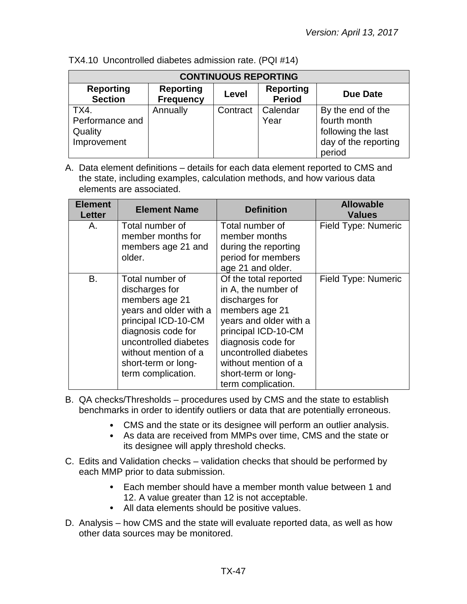| <b>CONTINUOUS REPORTING</b>                       |                                      |          |                                   |                                                                                           |
|---------------------------------------------------|--------------------------------------|----------|-----------------------------------|-------------------------------------------------------------------------------------------|
| <b>Reporting</b><br><b>Section</b>                | <b>Reporting</b><br><b>Frequency</b> | Level    | <b>Reporting</b><br><b>Period</b> | Due Date                                                                                  |
| TX4.<br>Performance and<br>Quality<br>Improvement | Annually                             | Contract | Calendar<br>Year                  | By the end of the<br>fourth month<br>following the last<br>day of the reporting<br>period |

TX4.10 Uncontrolled diabetes admission rate. (PQI #14)

| <b>Element</b><br><b>Letter</b> | <b>Element Name</b>                                                                                                                                                                                                      | <b>Definition</b>                                                                                                                                                                                                                                     | <b>Allowable</b><br><b>Values</b> |
|---------------------------------|--------------------------------------------------------------------------------------------------------------------------------------------------------------------------------------------------------------------------|-------------------------------------------------------------------------------------------------------------------------------------------------------------------------------------------------------------------------------------------------------|-----------------------------------|
| А.                              | Total number of<br>member months for<br>members age 21 and<br>older.                                                                                                                                                     | Total number of<br>member months<br>during the reporting<br>period for members<br>age 21 and older.                                                                                                                                                   | Field Type: Numeric               |
| В.                              | Total number of<br>discharges for<br>members age 21<br>years and older with a<br>principal ICD-10-CM<br>diagnosis code for<br>uncontrolled diabetes<br>without mention of a<br>short-term or long-<br>term complication. | Of the total reported<br>in A, the number of<br>discharges for<br>members age 21<br>years and older with a<br>principal ICD-10-CM<br>diagnosis code for<br>uncontrolled diabetes<br>without mention of a<br>short-term or long-<br>term complication. | Field Type: Numeric               |

- B. QA checks/Thresholds procedures used by CMS and the state to establish benchmarks in order to identify outliers or data that are potentially erroneous.
	- CMS and the state or its designee will perform an outlier analysis.
	- As data are received from MMPs over time, CMS and the state or its designee will apply threshold checks.
- C. Edits and Validation checks validation checks that should be performed by each MMP prior to data submission.
	- Each member should have a member month value between 1 and 12. A value greater than 12 is not acceptable.
	- All data elements should be positive values.
- D. Analysis how CMS and the state will evaluate reported data, as well as how other data sources may be monitored.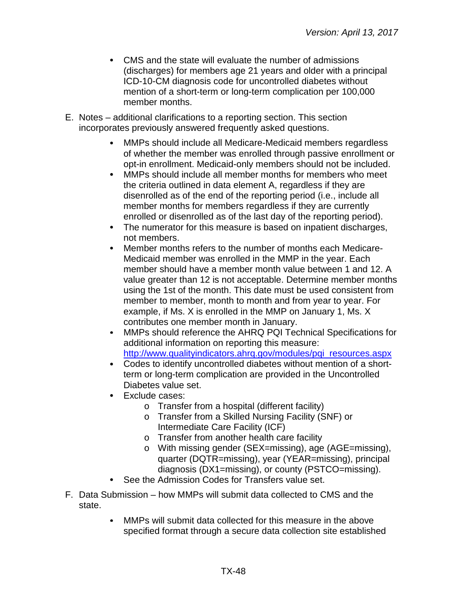- CMS and the state will evaluate the number of admissions  $\bullet$ (discharges) for members age 21 years and older with a principal ICD-10-CM diagnosis code for uncontrolled diabetes without mention of a short-term or long-term complication per 100,000 member months.
- E. Notes additional clarifications to a reporting section. This section incorporates previously answered frequently asked questions.
	- MMPs should include all Medicare-Medicaid members regardless of whether the member was enrolled through passive enrollment or opt-in enrollment. Medicaid-only members should not be included.
	- MMPs should include all member months for members who meet  $\bullet$ the criteria outlined in data element A, regardless if they are disenrolled as of the end of the reporting period (i.e., include all member months for members regardless if they are currently enrolled or disenrolled as of the last day of the reporting period).
	- The numerator for this measure is based on inpatient discharges,  $\bullet$ not members.
	- $\bullet$ Member months refers to the number of months each Medicare-Medicaid member was enrolled in the MMP in the year. Each member should have a member month value between 1 and 12. A value greater than 12 is not acceptable. Determine member months using the 1st of the month. This date must be used consistent from member to member, month to month and from year to year. For example, if Ms. X is enrolled in the MMP on January 1, Ms. X contributes one member month in January.
	- $\bullet$ MMPs should reference the AHRQ PQI Technical Specifications for additional information on reporting this measure: [http://www.qualityindicators.ahrq.gov/modules/pqi\\_resources.aspx](http://www.qualityindicators.ahrq.gov/modules/pqi_resources.aspx)
	- $\bullet$ Codes to identify uncontrolled diabetes without mention of a shortterm or long-term complication are provided in the Uncontrolled Diabetes value set.
	- Exclude cases:
		- o Transfer from a hospital (different facility)
		- o Transfer from a Skilled Nursing Facility (SNF) or Intermediate Care Facility (ICF)
		- o Transfer from another health care facility
		- o With missing gender (SEX=missing), age (AGE=missing), quarter (DQTR=missing), year (YEAR=missing), principal diagnosis (DX1=missing), or county (PSTCO=missing).
	- See the Admission Codes for Transfers value set.
- F. Data Submission how MMPs will submit data collected to CMS and the state.
	- MMPs will submit data collected for this measure in the above  $\bullet$ specified format through a secure data collection site established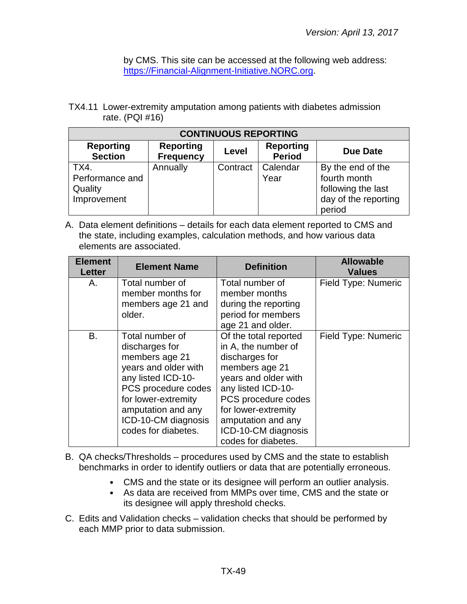by CMS. This site can be accessed at the following web address: [https://Financial-Alignment-Initiative.NORC.org.](https://financial-alignment-initiative.norc.org/)

TX4.11 Lower-extremity amputation among patients with diabetes admission rate. (PQI #16)

| <b>CONTINUOUS REPORTING</b>         |                                                                                                       |          |          |                   |  |  |  |
|-------------------------------------|-------------------------------------------------------------------------------------------------------|----------|----------|-------------------|--|--|--|
| <b>Reporting</b><br><b>Section</b>  | <b>Reporting</b><br><b>Reporting</b><br><b>Due Date</b><br>Level<br><b>Period</b><br><b>Frequency</b> |          |          |                   |  |  |  |
| TX4.                                | Annually                                                                                              | Contract | Calendar | By the end of the |  |  |  |
| Performance and                     | fourth month<br>Year                                                                                  |          |          |                   |  |  |  |
| Quality                             | following the last                                                                                    |          |          |                   |  |  |  |
| day of the reporting<br>Improvement |                                                                                                       |          |          |                   |  |  |  |
|                                     |                                                                                                       |          |          | period            |  |  |  |

| <b>Element</b><br><b>Letter</b> | <b>Element Name</b>                                                                                                                                                                                                 | <b>Definition</b>                                                                                                                                                                                                                                | <b>Allowable</b><br><b>Values</b> |
|---------------------------------|---------------------------------------------------------------------------------------------------------------------------------------------------------------------------------------------------------------------|--------------------------------------------------------------------------------------------------------------------------------------------------------------------------------------------------------------------------------------------------|-----------------------------------|
| А.                              | Total number of<br>member months for<br>members age 21 and<br>older.                                                                                                                                                | Total number of<br>member months<br>during the reporting<br>period for members<br>age 21 and older.                                                                                                                                              | Field Type: Numeric               |
| B.                              | Total number of<br>discharges for<br>members age 21<br>years and older with<br>any listed ICD-10-<br>PCS procedure codes<br>for lower-extremity<br>amputation and any<br>ICD-10-CM diagnosis<br>codes for diabetes. | Of the total reported<br>in A, the number of<br>discharges for<br>members age 21<br>years and older with<br>any listed ICD-10-<br>PCS procedure codes<br>for lower-extremity<br>amputation and any<br>ICD-10-CM diagnosis<br>codes for diabetes. | Field Type: Numeric               |

- B. QA checks/Thresholds procedures used by CMS and the state to establish benchmarks in order to identify outliers or data that are potentially erroneous.
	- CMS and the state or its designee will perform an outlier analysis.
	- As data are received from MMPs over time, CMS and the state or its designee will apply threshold checks.
- C. Edits and Validation checks validation checks that should be performed by each MMP prior to data submission.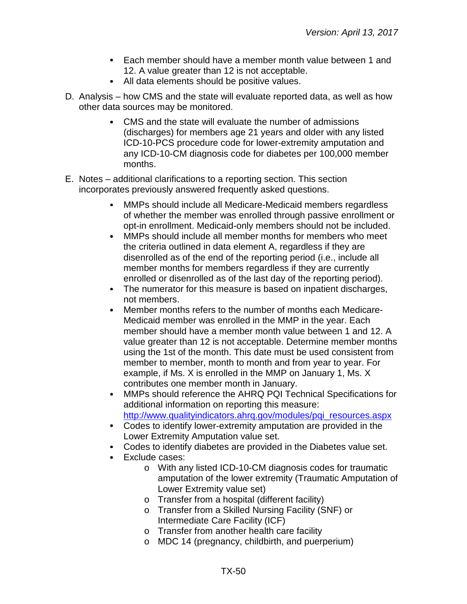- Each member should have a member month value between 1 and 12. A value greater than 12 is not acceptable.
- All data elements should be positive values.
- D. Analysis how CMS and the state will evaluate reported data, as well as how other data sources may be monitored.
	- CMS and the state will evaluate the number of admissions (discharges) for members age 21 years and older with any listed ICD-10-PCS procedure code for lower-extremity amputation and any ICD-10-CM diagnosis code for diabetes per 100,000 member months.
- E. Notes additional clarifications to a reporting section. This section incorporates previously answered frequently asked questions.
	- MMPs should include all Medicare-Medicaid members regardless of whether the member was enrolled through passive enrollment or opt-in enrollment. Medicaid-only members should not be included.
	- $\bullet$ MMPs should include all member months for members who meet the criteria outlined in data element A, regardless if they are disenrolled as of the end of the reporting period (i.e., include all member months for members regardless if they are currently enrolled or disenrolled as of the last day of the reporting period).
	- $\bullet$ The numerator for this measure is based on inpatient discharges, not members.
	- $\bullet$ Member months refers to the number of months each Medicare-Medicaid member was enrolled in the MMP in the year. Each member should have a member month value between 1 and 12. A value greater than 12 is not acceptable. Determine member months using the 1st of the month. This date must be used consistent from member to member, month to month and from year to year. For example, if Ms. X is enrolled in the MMP on January 1, Ms. X contributes one member month in January.
	- $\bullet$ MMPs should reference the AHRQ PQI Technical Specifications for additional information on reporting this measure: [http://www.qualityindicators.ahrq.gov/modules/pqi\\_resources.aspx](http://www.qualityindicators.ahrq.gov/modules/pqi_resources.aspx)
	- Codes to identify lower-extremity amputation are provided in the Lower Extremity Amputation value set.
	- Codes to identify diabetes are provided in the Diabetes value set.
	- $\bullet$ Exclude cases:
		- o With any listed ICD-10-CM diagnosis codes for traumatic amputation of the lower extremity (Traumatic Amputation of Lower Extremity value set)
		- o Transfer from a hospital (different facility)
		- o Transfer from a Skilled Nursing Facility (SNF) or Intermediate Care Facility (ICF)
		- o Transfer from another health care facility
		- o MDC 14 (pregnancy, childbirth, and puerperium)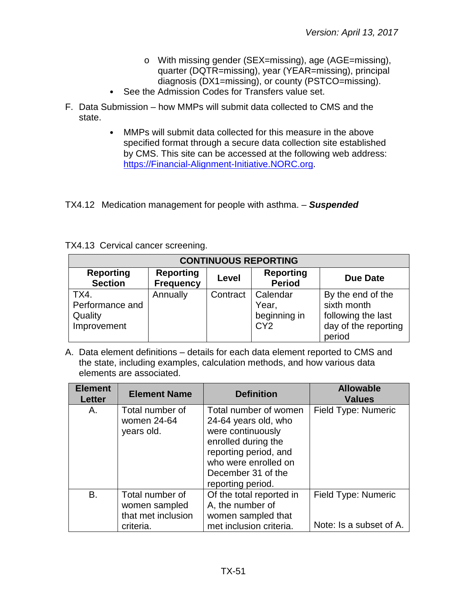- o With missing gender (SEX=missing), age (AGE=missing), quarter (DQTR=missing), year (YEAR=missing), principal diagnosis (DX1=missing), or county (PSTCO=missing).
- See the Admission Codes for Transfers value set.  $\bullet$
- F. Data Submission how MMPs will submit data collected to CMS and the state.
	- $\bullet$ MMPs will submit data collected for this measure in the above specified format through a secure data collection site established by CMS. This site can be accessed at the following web address: [https://Financial-Alignment-Initiative.NORC.org.](https://financial-alignment-initiative.norc.org/)

TX4.12 Medication management for people with asthma. – *Suspended*

|  |  |  | TX4.13 Cervical cancer screening. |
|--|--|--|-----------------------------------|
|--|--|--|-----------------------------------|

| <b>CONTINUOUS REPORTING</b>                                                                                                                 |          |          |                                                      |                                                                                          |  |
|---------------------------------------------------------------------------------------------------------------------------------------------|----------|----------|------------------------------------------------------|------------------------------------------------------------------------------------------|--|
| <b>Reporting</b><br><b>Reporting</b><br><b>Reporting</b><br><b>Due Date</b><br>Level<br><b>Section</b><br><b>Period</b><br><b>Frequency</b> |          |          |                                                      |                                                                                          |  |
| TX4.<br>Performance and<br>Quality<br>Improvement                                                                                           | Annually | Contract | Calendar<br>Year,<br>beginning in<br>CY <sub>2</sub> | By the end of the<br>sixth month<br>following the last<br>day of the reporting<br>period |  |

| <b>Element</b><br><b>Letter</b> | <b>Element Name</b>                                                 | <b>Definition</b>                                                                                                                                                                     | <b>Allowable</b><br><b>Values</b>              |
|---------------------------------|---------------------------------------------------------------------|---------------------------------------------------------------------------------------------------------------------------------------------------------------------------------------|------------------------------------------------|
| Α.                              | Total number of<br>women 24-64<br>years old.                        | Total number of women<br>24-64 years old, who<br>were continuously<br>enrolled during the<br>reporting period, and<br>who were enrolled on<br>December 31 of the<br>reporting period. | Field Type: Numeric                            |
| B.                              | Total number of<br>women sampled<br>that met inclusion<br>criteria. | Of the total reported in<br>A, the number of<br>women sampled that<br>met inclusion criteria.                                                                                         | Field Type: Numeric<br>Note: Is a subset of A. |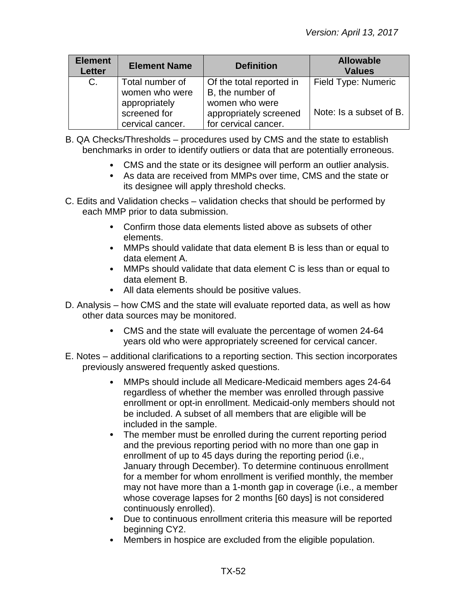| <b>Element</b><br><b>Letter</b> | <b>Element Name</b>                               | <b>Definition</b>                                                | <b>Allowable</b><br><b>Values</b> |
|---------------------------------|---------------------------------------------------|------------------------------------------------------------------|-----------------------------------|
| C.                              | Total number of<br>women who were                 | Of the total reported in<br>B, the number of                     | Field Type: Numeric               |
|                                 | appropriately<br>screened for<br>cervical cancer. | women who were<br>appropriately screened<br>for cervical cancer. | Note: Is a subset of B.           |

- B. QA Checks/Thresholds procedures used by CMS and the state to establish benchmarks in order to identify outliers or data that are potentially erroneous.
	- CMS and the state or its designee will perform an outlier analysis.
	- As data are received from MMPs over time, CMS and the state or its designee will apply threshold checks.
- C. Edits and Validation checks validation checks that should be performed by each MMP prior to data submission.
	- Confirm those data elements listed above as subsets of other elements.
	- MMPs should validate that data element B is less than or equal to data element A.
	- MMPs should validate that data element C is less than or equal to data element B.
	- All data elements should be positive values.
- D. Analysis how CMS and the state will evaluate reported data, as well as how other data sources may be monitored.
	- CMS and the state will evaluate the percentage of women 24-64 years old who were appropriately screened for cervical cancer.
- E. Notes additional clarifications to a reporting section. This section incorporates previously answered frequently asked questions.
	- MMPs should include all Medicare-Medicaid members ages 24-64  $\bullet$ regardless of whether the member was enrolled through passive enrollment or opt-in enrollment. Medicaid-only members should not be included. A subset of all members that are eligible will be included in the sample.
	- The member must be enrolled during the current reporting period and the previous reporting period with no more than one gap in enrollment of up to 45 days during the reporting period (i.e., January through December). To determine continuous enrollment for a member for whom enrollment is verified monthly, the member may not have more than a 1-month gap in coverage (i.e., a member whose coverage lapses for 2 months [60 days] is not considered continuously enrolled).
	- Due to continuous enrollment criteria this measure will be reported beginning CY2.
	- Members in hospice are excluded from the eligible population.  $\bullet$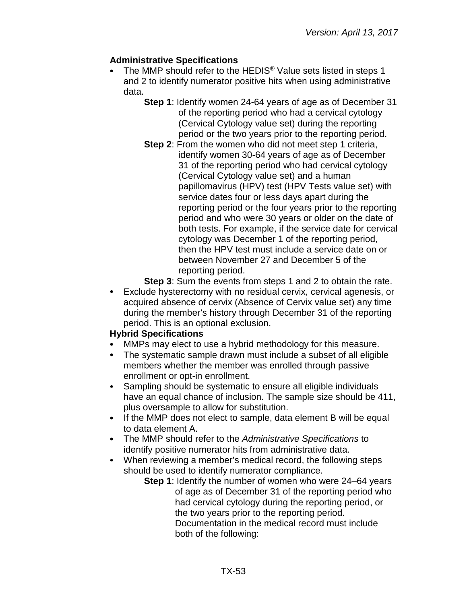# **Administrative Specifications**

- The MMP should refer to the HEDIS® Value sets listed in steps 1 and 2 to identify numerator positive hits when using administrative data.
	- **Step 1**: Identify women 24-64 years of age as of December 31 of the reporting period who had a cervical cytology (Cervical Cytology value set) during the reporting period or the two years prior to the reporting period.
	- **Step 2:** From the women who did not meet step 1 criteria, identify women 30-64 years of age as of December 31 of the reporting period who had cervical cytology (Cervical Cytology value set) and a human papillomavirus (HPV) test (HPV Tests value set) with service dates four or less days apart during the reporting period or the four years prior to the reporting period and who were 30 years or older on the date of both tests. For example, if the service date for cervical cytology was December 1 of the reporting period, then the HPV test must include a service date on or between November 27 and December 5 of the reporting period.
	- **Step 3**: Sum the events from steps 1 and 2 to obtain the rate.
- Exclude hysterectomy with no residual cervix, cervical agenesis, or acquired absence of cervix (Absence of Cervix value set) any time during the member's history through December 31 of the reporting period. This is an optional exclusion.

### **Hybrid Specifications**

- MMPs may elect to use a hybrid methodology for this measure.
- The systematic sample drawn must include a subset of all eligible members whether the member was enrolled through passive enrollment or opt-in enrollment.
- Sampling should be systematic to ensure all eligible individuals have an equal chance of inclusion. The sample size should be 411, plus oversample to allow for substitution.
- If the MMP does not elect to sample, data element B will be equal to data element A.
- The MMP should refer to the *Administrative Specifications* to identify positive numerator hits from administrative data.
- When reviewing a member's medical record, the following steps should be used to identify numerator compliance.
	- **Step 1**: Identify the number of women who were 24–64 years of age as of December 31 of the reporting period who had cervical cytology during the reporting period, or the two years prior to the reporting period. Documentation in the medical record must include both of the following: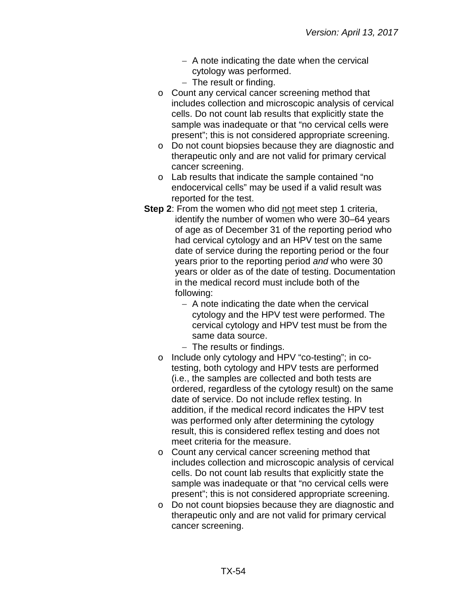- − A note indicating the date when the cervical cytology was performed.
- − The result or finding.
- o Count any cervical cancer screening method that includes collection and microscopic analysis of cervical cells. Do not count lab results that explicitly state the sample was inadequate or that "no cervical cells were present"; this is not considered appropriate screening.
- o Do not count biopsies because they are diagnostic and therapeutic only and are not valid for primary cervical cancer screening.
- o Lab results that indicate the sample contained "no endocervical cells" may be used if a valid result was reported for the test.
- **Step 2:** From the women who did not meet step 1 criteria, identify the number of women who were 30–64 years of age as of December 31 of the reporting period who had cervical cytology and an HPV test on the same date of service during the reporting period or the four years prior to the reporting period *and* who were 30 years or older as of the date of testing. Documentation in the medical record must include both of the following:
	- − A note indicating the date when the cervical cytology and the HPV test were performed. The cervical cytology and HPV test must be from the same data source.
	- − The results or findings.
	- o Include only cytology and HPV "co-testing"; in cotesting, both cytology and HPV tests are performed (i.e., the samples are collected and both tests are ordered, regardless of the cytology result) on the same date of service. Do not include reflex testing. In addition, if the medical record indicates the HPV test was performed only after determining the cytology result, this is considered reflex testing and does not meet criteria for the measure.
	- o Count any cervical cancer screening method that includes collection and microscopic analysis of cervical cells. Do not count lab results that explicitly state the sample was inadequate or that "no cervical cells were present"; this is not considered appropriate screening.
	- o Do not count biopsies because they are diagnostic and therapeutic only and are not valid for primary cervical cancer screening.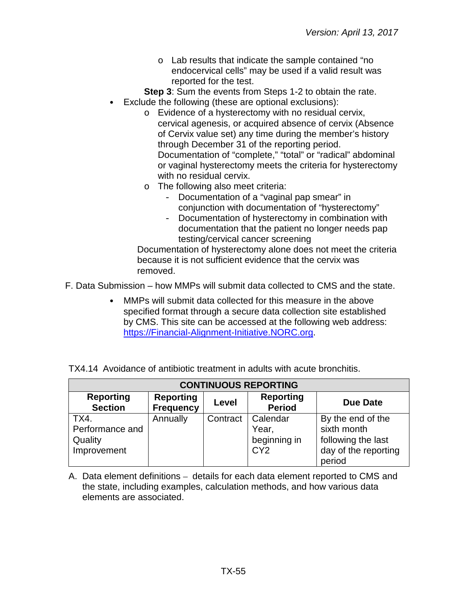o Lab results that indicate the sample contained "no endocervical cells" may be used if a valid result was reported for the test.

**Step 3**: Sum the events from Steps 1-2 to obtain the rate. Exclude the following (these are optional exclusions):

- o Evidence of a hysterectomy with no residual cervix, cervical agenesis, or acquired absence of cervix (Absence of Cervix value set) any time during the member's history through December 31 of the reporting period. Documentation of "complete," "total" or "radical" abdominal or vaginal hysterectomy meets the criteria for hysterectomy with no residual cervix.
- o The following also meet criteria:
	- Documentation of a "vaginal pap smear" in conjunction with documentation of "hysterectomy"
	- Documentation of hysterectomy in combination with documentation that the patient no longer needs pap testing/cervical cancer screening

Documentation of hysterectomy alone does not meet the criteria because it is not sufficient evidence that the cervix was removed.

F. Data Submission – how MMPs will submit data collected to CMS and the state.

MMPs will submit data collected for this measure in the above specified format through a secure data collection site established by CMS. This site can be accessed at the following web address: [https://Financial-Alignment-Initiative.NORC.org.](https://financial-alignment-initiative.norc.org/)

| <b>CONTINUOUS REPORTING</b>                                                                                                                 |          |          |                                                      |                                                                                          |  |
|---------------------------------------------------------------------------------------------------------------------------------------------|----------|----------|------------------------------------------------------|------------------------------------------------------------------------------------------|--|
| <b>Reporting</b><br><b>Reporting</b><br><b>Reporting</b><br><b>Due Date</b><br>Level<br><b>Period</b><br><b>Section</b><br><b>Frequency</b> |          |          |                                                      |                                                                                          |  |
| TX4.<br>Performance and<br>Quality<br>Improvement                                                                                           | Annually | Contract | Calendar<br>Year,<br>beginning in<br>CY <sub>2</sub> | By the end of the<br>sixth month<br>following the last<br>day of the reporting<br>period |  |

TX4.14 Avoidance of antibiotic treatment in adults with acute bronchitis.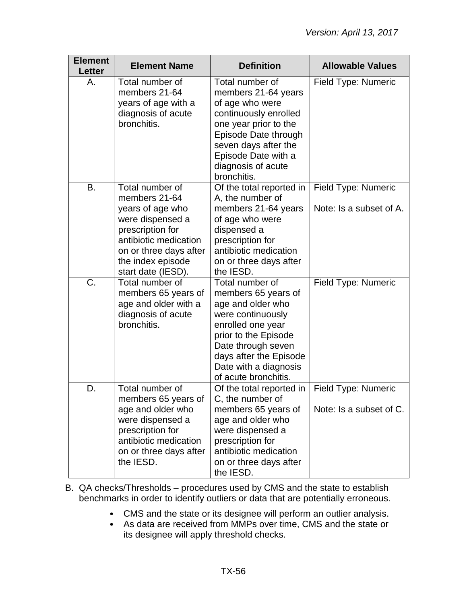| <b>Element</b><br>Letter | <b>Element Name</b>                                                                                                                                                                        | <b>Definition</b>                                                                                                                                                                                                              | <b>Allowable Values</b>                        |
|--------------------------|--------------------------------------------------------------------------------------------------------------------------------------------------------------------------------------------|--------------------------------------------------------------------------------------------------------------------------------------------------------------------------------------------------------------------------------|------------------------------------------------|
| Α.                       | Total number of<br>members 21-64<br>years of age with a<br>diagnosis of acute<br>bronchitis.                                                                                               | Total number of<br>members 21-64 years<br>of age who were<br>continuously enrolled<br>one year prior to the<br>Episode Date through<br>seven days after the<br>Episode Date with a<br>diagnosis of acute<br>bronchitis.        | Field Type: Numeric                            |
| Β.                       | Total number of<br>members 21-64<br>years of age who<br>were dispensed a<br>prescription for<br>antibiotic medication<br>on or three days after<br>the index episode<br>start date (IESD). | Of the total reported in<br>A, the number of<br>members 21-64 years<br>of age who were<br>dispensed a<br>prescription for<br>antibiotic medication<br>on or three days after<br>the IESD.                                      | Field Type: Numeric<br>Note: Is a subset of A. |
| C.                       | Total number of<br>members 65 years of<br>age and older with a<br>diagnosis of acute<br>bronchitis.                                                                                        | Total number of<br>members 65 years of<br>age and older who<br>were continuously<br>enrolled one year<br>prior to the Episode<br>Date through seven<br>days after the Episode<br>Date with a diagnosis<br>of acute bronchitis. | Field Type: Numeric                            |
| D.                       | Total number of<br>members 65 years of<br>age and older who<br>were dispensed a<br>prescription for<br>antibiotic medication<br>on or three days after<br>the IESD.                        | Of the total reported in<br>C, the number of<br>members 65 years of<br>age and older who<br>were dispensed a<br>prescription for<br>antibiotic medication<br>on or three days after<br>the IESD.                               | Field Type: Numeric<br>Note: Is a subset of C. |

- B. QA checks/Thresholds procedures used by CMS and the state to establish benchmarks in order to identify outliers or data that are potentially erroneous.
	- CMS and the state or its designee will perform an outlier analysis.
	- As data are received from MMPs over time, CMS and the state or its designee will apply threshold checks.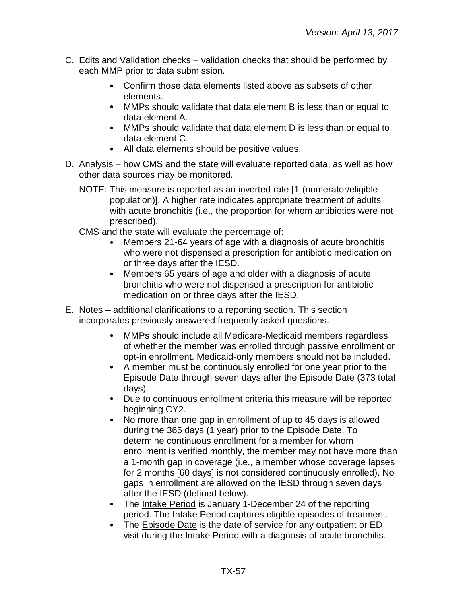- C. Edits and Validation checks validation checks that should be performed by each MMP prior to data submission.
	- Confirm those data elements listed above as subsets of other  $\bullet$ elements.
	- MMPs should validate that data element B is less than or equal to data element A.
	- MMPs should validate that data element D is less than or equal to data element C.
	- All data elements should be positive values.
- D. Analysis how CMS and the state will evaluate reported data, as well as how other data sources may be monitored.
	- NOTE: This measure is reported as an inverted rate [1-(numerator/eligible population)]. A higher rate indicates appropriate treatment of adults with acute bronchitis (i.e., the proportion for whom antibiotics were not prescribed).
	- CMS and the state will evaluate the percentage of:
		- Members 21-64 years of age with a diagnosis of acute bronchitis who were not dispensed a prescription for antibiotic medication on or three days after the IESD.
		- Members 65 years of age and older with a diagnosis of acute  $\bullet$ bronchitis who were not dispensed a prescription for antibiotic medication on or three days after the IESD.
- E. Notes additional clarifications to a reporting section. This section incorporates previously answered frequently asked questions.
	- $\bullet$ MMPs should include all Medicare-Medicaid members regardless of whether the member was enrolled through passive enrollment or opt-in enrollment. Medicaid-only members should not be included.
	- A member must be continuously enrolled for one year prior to the Episode Date through seven days after the Episode Date (373 total days).
	- Due to continuous enrollment criteria this measure will be reported beginning CY2.
	- $\bullet$ No more than one gap in enrollment of up to 45 days is allowed during the 365 days (1 year) prior to the Episode Date. To determine continuous enrollment for a member for whom enrollment is verified monthly, the member may not have more than a 1-month gap in coverage (i.e., a member whose coverage lapses for 2 months [60 days] is not considered continuously enrolled). No gaps in enrollment are allowed on the IESD through seven days after the IESD (defined below).
	- The Intake Period is January 1-December 24 of the reporting period. The Intake Period captures eligible episodes of treatment.
	- The Episode Date is the date of service for any outpatient or ED  $\bullet$ visit during the Intake Period with a diagnosis of acute bronchitis.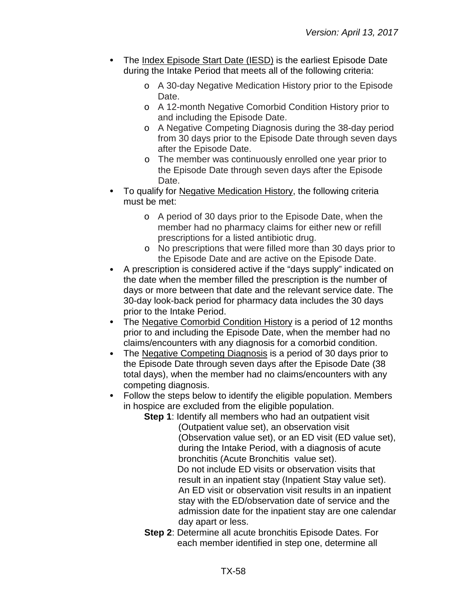- The Index Episode Start Date (IESD) is the earliest Episode Date during the Intake Period that meets all of the following criteria:
	- o A 30-day Negative Medication History prior to the Episode Date.
	- o A 12-month Negative Comorbid Condition History prior to and including the Episode Date.
	- o A Negative Competing Diagnosis during the 38-day period from 30 days prior to the Episode Date through seven days after the Episode Date.
	- o The member was continuously enrolled one year prior to the Episode Date through seven days after the Episode Date.
- To qualify for Negative Medication History, the following criteria must be met:
	- o A period of 30 days prior to the Episode Date, when the member had no pharmacy claims for either new or refill prescriptions for a listed antibiotic drug.
	- o No prescriptions that were filled more than 30 days prior to the Episode Date and are active on the Episode Date.
- A prescription is considered active if the "days supply" indicated on the date when the member filled the prescription is the number of days or more between that date and the relevant service date. The 30-day look-back period for pharmacy data includes the 30 days prior to the Intake Period.
- The Negative Comorbid Condition History is a period of 12 months  $\bullet$ prior to and including the Episode Date, when the member had no claims/encounters with any diagnosis for a comorbid condition.
- The Negative Competing Diagnosis is a period of 30 days prior to the Episode Date through seven days after the Episode Date (38 total days), when the member had no claims/encounters with any competing diagnosis.
- Follow the steps below to identify the eligible population. Members in hospice are excluded from the eligible population.
	- **Step 1**: Identify all members who had an outpatient visit (Outpatient value set), an observation visit (Observation value set), or an ED visit (ED value set), during the Intake Period, with a diagnosis of acute bronchitis (Acute Bronchitis value set). Do not include ED visits or observation visits that result in an inpatient stay (Inpatient Stay value set). An ED visit or observation visit results in an inpatient stay with the ED/observation date of service and the admission date for the inpatient stay are one calendar day apart or less.
	- **Step 2**: Determine all acute bronchitis Episode Dates. For each member identified in step one, determine all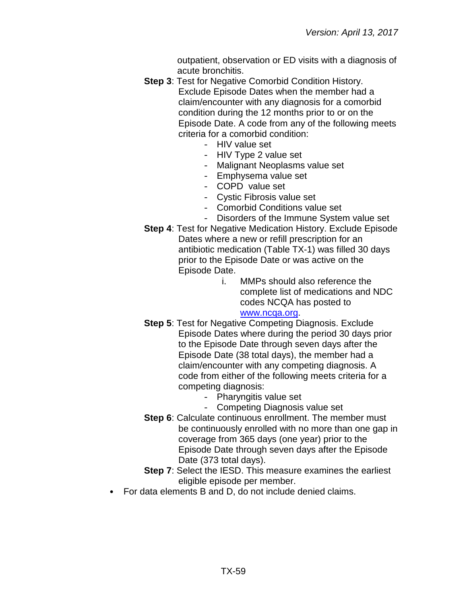outpatient, observation or ED visits with a diagnosis of acute bronchitis.

- **Step 3**: Test for Negative Comorbid Condition History. Exclude Episode Dates when the member had a claim/encounter with any diagnosis for a comorbid condition during the 12 months prior to or on the Episode Date. A code from any of the following meets criteria for a comorbid condition:
	- HIV value set
	- HIV Type 2 value set
	- Malignant Neoplasms value set
	- Emphysema value set
	- COPD value set
	- Cystic Fibrosis value set
	- Comorbid Conditions value set
	- Disorders of the Immune System value set
- **Step 4**: Test for Negative Medication History. Exclude Episode Dates where a new or refill prescription for an antibiotic medication (Table TX-1) was filled 30 days prior to the Episode Date or was active on the Episode Date.
	- i. MMPs should also reference the complete list of medications and NDC codes NCQA has posted to [www.ncqa.org.](http://www.ncqa.org/)
- **Step 5: Test for Negative Competing Diagnosis. Exclude** Episode Dates where during the period 30 days prior to the Episode Date through seven days after the Episode Date (38 total days), the member had a claim/encounter with any competing diagnosis. A code from either of the following meets criteria for a competing diagnosis:
	- Pharyngitis value set
	- Competing Diagnosis value set
- **Step 6:** Calculate continuous enrollment. The member must be continuously enrolled with no more than one gap in coverage from 365 days (one year) prior to the Episode Date through seven days after the Episode Date (373 total days).
- **Step 7**: Select the IESD. This measure examines the earliest eligible episode per member.
- For data elements B and D, do not include denied claims.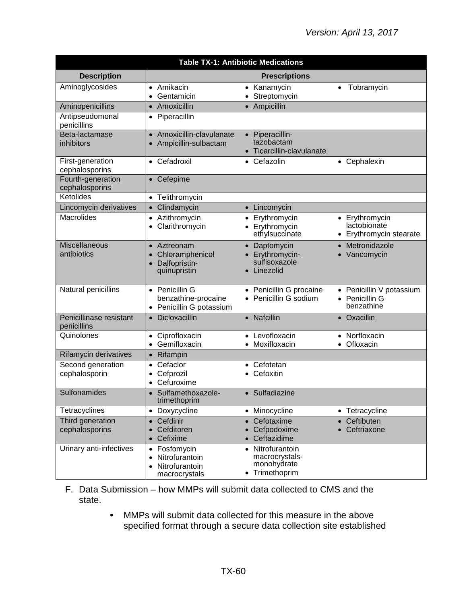| <b>Table TX-1: Antibiotic Medications</b> |                                                                              |                                                                              |                                                           |
|-------------------------------------------|------------------------------------------------------------------------------|------------------------------------------------------------------------------|-----------------------------------------------------------|
| <b>Description</b>                        |                                                                              | <b>Prescriptions</b>                                                         |                                                           |
| Aminoglycosides                           | • Amikacin<br>Gentamicin<br>$\bullet$                                        | Kanamycin<br>$\bullet$<br>Streptomycin<br>$\bullet$                          | Tobramycin<br>$\bullet$                                   |
| Aminopenicillins                          | Amoxicillin<br>$\bullet$                                                     | Ampicillin<br>$\bullet$                                                      |                                                           |
| Antipseudomonal<br>penicillins            | • Piperacillin                                                               |                                                                              |                                                           |
| Beta-lactamase<br>inhibitors              | • Amoxicillin-clavulanate<br>• Ampicillin-sulbactam                          | • Piperacillin-<br>tazobactam<br>• Ticarcillin-clavulanate                   |                                                           |
| First-generation<br>cephalosporins        | • Cefadroxil                                                                 | • Cefazolin                                                                  | • Cephalexin                                              |
| Fourth-generation<br>cephalosporins       | • Cefepime                                                                   |                                                                              |                                                           |
| Ketolides                                 | • Telithromycin                                                              |                                                                              |                                                           |
| Lincomycin derivatives                    | Clindamycin<br>$\bullet$                                                     | Lincomycin<br>$\bullet$                                                      |                                                           |
| <b>Macrolides</b>                         | • Azithromycin<br>Clarithromycin                                             | Erythromycin<br>$\bullet$<br>• Erythromycin<br>ethylsuccinate                | • Erythromycin<br>lactobionate<br>• Erythromycin stearate |
| Miscellaneous<br>antibiotics              | Aztreonam<br>Chloramphenicol<br>Dalfopristin-<br>quinupristin                | Daptomycin<br>Erythromycin-<br>sulfisoxazole<br>Linezolid<br>$\bullet$       | Metronidazole<br>Vancomycin                               |
| Natural penicillins                       | • Penicillin G<br>benzathine-procaine<br>• Penicillin G potassium            | Penicillin G procaine<br>Penicillin G sodium                                 | • Penicillin V potassium<br>• Penicillin G<br>benzathine  |
| Penicillinase resistant<br>penicillins    | Dicloxacillin<br>$\bullet$                                                   | Nafcillin<br>$\bullet$                                                       | • Oxacillin                                               |
| Quinolones                                | Ciprofloxacin<br>$\bullet$<br>• Gemifloxacin                                 | Levofloxacin<br>$\bullet$<br>Moxifloxacin<br>$\bullet$                       | • Norfloxacin<br>• Ofloxacin                              |
| Rifamycin derivatives                     | Rifampin<br>$\bullet$                                                        |                                                                              |                                                           |
| Second generation<br>cephalosporin        | Cefaclor<br>Cefprozil<br>Cefuroxime                                          | Cefotetan<br>Cefoxitin                                                       |                                                           |
| Sulfonamides                              | • Sulfamethoxazole-<br>trimethoprim                                          | • Sulfadiazine                                                               |                                                           |
| Tetracyclines                             | Doxycycline<br>$\bullet$                                                     | Minocycline<br>$\bullet$                                                     | • Tetracycline                                            |
| Third generation<br>cephalosporins        | Cefdinir<br>Cefditoren<br>Cefixime                                           | Cefotaxime<br>Cefpodoxime<br>Ceftazidime                                     | Ceftibuten<br>Ceftriaxone                                 |
| Urinary anti-infectives                   | Fosfomycin<br>Nitrofurantoin<br>$\bullet$<br>Nitrofurantoin<br>macrocrystals | Nitrofurantoin<br>$\bullet$<br>macrocrystals-<br>monohydrate<br>Trimethoprim |                                                           |

#### F. Data Submission – how MMPs will submit data collected to CMS and the state.

MMPs will submit data collected for this measure in the above specified format through a secure data collection site established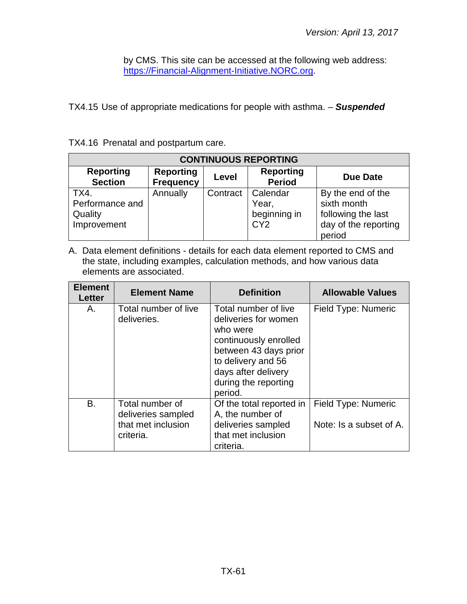by CMS. This site can be accessed at the following web address: [https://Financial-Alignment-Initiative.NORC.org.](https://financial-alignment-initiative.norc.org/)

TX4.15 Use of appropriate medications for people with asthma. – *Suspended*

|  |  |  | TX4.16 Prenatal and postpartum care. |  |
|--|--|--|--------------------------------------|--|
|--|--|--|--------------------------------------|--|

| <b>CONTINUOUS REPORTING</b>                       |                                      |          |                                                      |                                                                                          |
|---------------------------------------------------|--------------------------------------|----------|------------------------------------------------------|------------------------------------------------------------------------------------------|
| <b>Reporting</b><br><b>Section</b>                | <b>Reporting</b><br><b>Frequency</b> | Level    | <b>Reporting</b><br><b>Period</b>                    | <b>Due Date</b>                                                                          |
| TX4.<br>Performance and<br>Quality<br>Improvement | Annually                             | Contract | Calendar<br>Year,<br>beginning in<br>CY <sub>2</sub> | By the end of the<br>sixth month<br>following the last<br>day of the reporting<br>period |

| <b>Element</b><br>Letter | <b>Element Name</b>                                                      | <b>Definition</b>                                                                                                                                                                          | <b>Allowable Values</b>                        |
|--------------------------|--------------------------------------------------------------------------|--------------------------------------------------------------------------------------------------------------------------------------------------------------------------------------------|------------------------------------------------|
| Α.                       | Total number of live<br>deliveries.                                      | Total number of live<br>deliveries for women<br>who were<br>continuously enrolled<br>between 43 days prior<br>to delivery and 56<br>days after delivery<br>during the reporting<br>period. | Field Type: Numeric                            |
| Β.                       | Total number of<br>deliveries sampled<br>that met inclusion<br>criteria. | Of the total reported in<br>A, the number of<br>deliveries sampled<br>that met inclusion<br>criteria.                                                                                      | Field Type: Numeric<br>Note: Is a subset of A. |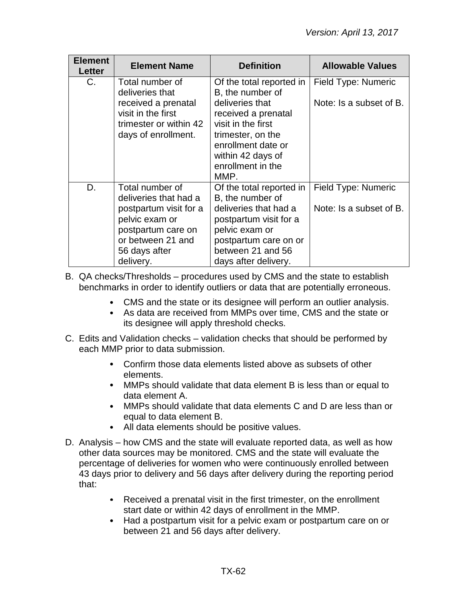| <b>Element</b><br><b>Letter</b> | <b>Element Name</b>                                                                                           | <b>Definition</b>                                                                                                                                                             | <b>Allowable Values</b> |
|---------------------------------|---------------------------------------------------------------------------------------------------------------|-------------------------------------------------------------------------------------------------------------------------------------------------------------------------------|-------------------------|
| C.                              | Total number of                                                                                               | Of the total reported in                                                                                                                                                      | Field Type: Numeric     |
|                                 | deliveries that<br>received a prenatal<br>visit in the first<br>trimester or within 42<br>days of enrollment. | B, the number of<br>deliveries that<br>received a prenatal<br>visit in the first<br>trimester, on the<br>enrollment date or<br>within 42 days of<br>enrollment in the<br>MMP. | Note: Is a subset of B. |
| D.                              | Total number of                                                                                               | Of the total reported in                                                                                                                                                      | Field Type: Numeric     |
|                                 | deliveries that had a<br>postpartum visit for a                                                               | B, the number of<br>deliveries that had a                                                                                                                                     | Note: Is a subset of B. |
|                                 | pelvic exam or<br>postpartum care on                                                                          | postpartum visit for a<br>pelvic exam or                                                                                                                                      |                         |
|                                 | or between 21 and                                                                                             | postpartum care on or                                                                                                                                                         |                         |
|                                 | 56 days after                                                                                                 | between 21 and 56                                                                                                                                                             |                         |
|                                 | delivery.                                                                                                     | days after delivery.                                                                                                                                                          |                         |

- B. QA checks/Thresholds procedures used by CMS and the state to establish benchmarks in order to identify outliers or data that are potentially erroneous.
	- CMS and the state or its designee will perform an outlier analysis.
	- As data are received from MMPs over time, CMS and the state or its designee will apply threshold checks.
- C. Edits and Validation checks validation checks that should be performed by each MMP prior to data submission.
	- Confirm those data elements listed above as subsets of other elements.
	- MMPs should validate that data element B is less than or equal to data element A.
	- MMPs should validate that data elements C and D are less than or equal to data element B.
	- All data elements should be positive values.
- D. Analysis how CMS and the state will evaluate reported data, as well as how other data sources may be monitored. CMS and the state will evaluate the percentage of deliveries for women who were continuously enrolled between 43 days prior to delivery and 56 days after delivery during the reporting period that:
	- $\bullet$ Received a prenatal visit in the first trimester, on the enrollment start date or within 42 days of enrollment in the MMP.
	- Had a postpartum visit for a pelvic exam or postpartum care on or  $\bullet$ between 21 and 56 days after delivery.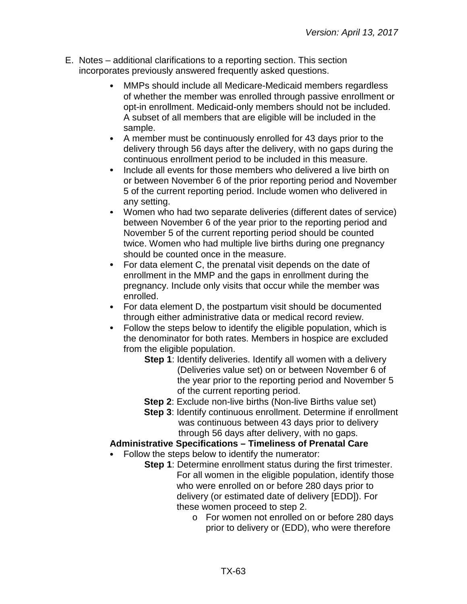- E. Notes additional clarifications to a reporting section. This section incorporates previously answered frequently asked questions.
	- MMPs should include all Medicare-Medicaid members regardless of whether the member was enrolled through passive enrollment or opt-in enrollment. Medicaid-only members should not be included. A subset of all members that are eligible will be included in the sample.
	- A member must be continuously enrolled for 43 days prior to the delivery through 56 days after the delivery, with no gaps during the continuous enrollment period to be included in this measure.
	- Include all events for those members who delivered a live birth on  $\bullet$ or between November 6 of the prior reporting period and November 5 of the current reporting period. Include women who delivered in any setting.
	- $\bullet$ Women who had two separate deliveries (different dates of service) between November 6 of the year prior to the reporting period and November 5 of the current reporting period should be counted twice. Women who had multiple live births during one pregnancy should be counted once in the measure.
	- For data element C, the prenatal visit depends on the date of  $\bullet$ enrollment in the MMP and the gaps in enrollment during the pregnancy. Include only visits that occur while the member was enrolled.
	- $\bullet$ For data element D, the postpartum visit should be documented through either administrative data or medical record review.
	- Follow the steps below to identify the eligible population, which is  $\bullet$ the denominator for both rates. Members in hospice are excluded from the eligible population.
		- **Step 1**: Identify deliveries. Identify all women with a delivery (Deliveries value set) on or between November 6 of the year prior to the reporting period and November 5 of the current reporting period.
		- **Step 2**: Exclude non-live births (Non-live Births value set)
		- **Step 3**: Identify continuous enrollment. Determine if enrollment was continuous between 43 days prior to delivery through 56 days after delivery, with no gaps.

### **Administrative Specifications – Timeliness of Prenatal Care**

- Follow the steps below to identify the numerator:
	- **Step 1**: Determine enrollment status during the first trimester. For all women in the eligible population, identify those who were enrolled on or before 280 days prior to delivery (or estimated date of delivery [EDD]). For these women proceed to step 2.
		- o For women not enrolled on or before 280 days prior to delivery or (EDD), who were therefore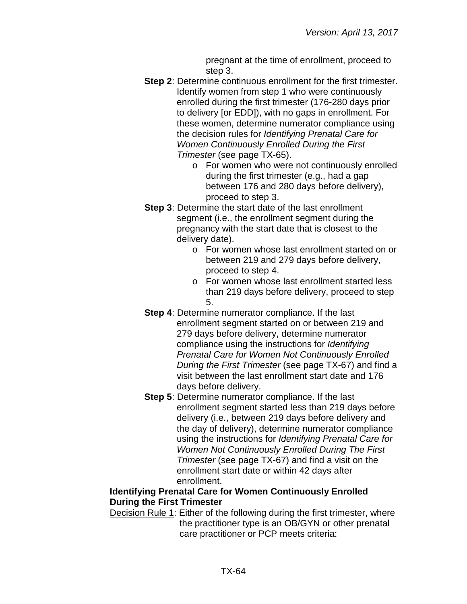pregnant at the time of enrollment, proceed to step 3.

- **Step 2**: Determine continuous enrollment for the first trimester. Identify women from step 1 who were continuously enrolled during the first trimester (176-280 days prior to delivery [or EDD]), with no gaps in enrollment. For these women, determine numerator compliance using the decision rules for *Identifying Prenatal Care for Women Continuously Enrolled During the First Trimester* (see page TX-65).
	- o For women who were not continuously enrolled during the first trimester (e.g., had a gap between 176 and 280 days before delivery), proceed to step 3.
- **Step 3**: Determine the start date of the last enrollment segment (i.e., the enrollment segment during the pregnancy with the start date that is closest to the delivery date).
	- o For women whose last enrollment started on or between 219 and 279 days before delivery, proceed to step 4.
	- o For women whose last enrollment started less than 219 days before delivery, proceed to step 5.
- **Step 4**: Determine numerator compliance. If the last enrollment segment started on or between 219 and 279 days before delivery, determine numerator compliance using the instructions for *Identifying Prenatal Care for Women Not Continuously Enrolled During the First Trimester* (see page TX-67) and find a visit between the last enrollment start date and 176 days before delivery.
- **Step 5**: Determine numerator compliance. If the last enrollment segment started less than 219 days before delivery (i.e., between 219 days before delivery and the day of delivery), determine numerator compliance using the instructions for *Identifying Prenatal Care for Women Not Continuously Enrolled During The First Trimester* (see page TX-67) and find a visit on the enrollment start date or within 42 days after enrollment.

## **Identifying Prenatal Care for Women Continuously Enrolled During the First Trimester**

Decision Rule 1: Either of the following during the first trimester, where the practitioner type is an OB/GYN or other prenatal care practitioner or PCP meets criteria: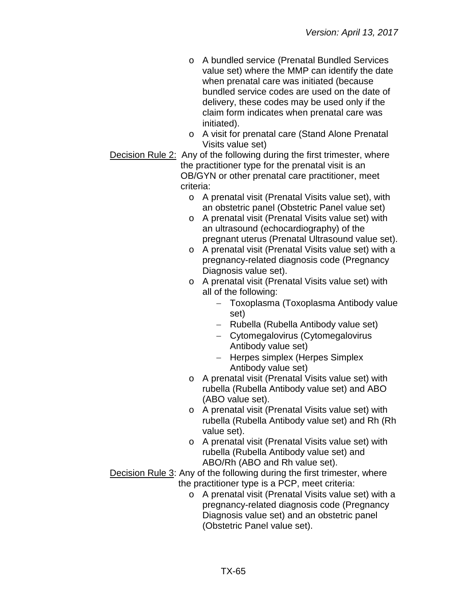- o A bundled service (Prenatal Bundled Services value set) where the MMP can identify the date when prenatal care was initiated (because bundled service codes are used on the date of delivery, these codes may be used only if the claim form indicates when prenatal care was initiated).
- o A visit for prenatal care (Stand Alone Prenatal Visits value set)
- Decision Rule 2: Any of the following during the first trimester, where the practitioner type for the prenatal visit is an OB/GYN or other prenatal care practitioner, meet criteria:
	- o A prenatal visit (Prenatal Visits value set), with an obstetric panel (Obstetric Panel value set)
	- o A prenatal visit (Prenatal Visits value set) with an ultrasound (echocardiography) of the pregnant uterus (Prenatal Ultrasound value set).
	- o A prenatal visit (Prenatal Visits value set) with a pregnancy-related diagnosis code (Pregnancy Diagnosis value set).
	- o A prenatal visit (Prenatal Visits value set) with all of the following:
		- − Toxoplasma (Toxoplasma Antibody value set)
		- − Rubella (Rubella Antibody value set)
		- − Cytomegalovirus (Cytomegalovirus Antibody value set)
		- − Herpes simplex (Herpes Simplex Antibody value set)
	- o A prenatal visit (Prenatal Visits value set) with rubella (Rubella Antibody value set) and ABO (ABO value set).
	- o A prenatal visit (Prenatal Visits value set) with rubella (Rubella Antibody value set) and Rh (Rh value set).
	- o A prenatal visit (Prenatal Visits value set) with rubella (Rubella Antibody value set) and ABO/Rh (ABO and Rh value set).

Decision Rule 3: Any of the following during the first trimester, where the practitioner type is a PCP, meet criteria:

o A prenatal visit (Prenatal Visits value set) with a pregnancy-related diagnosis code (Pregnancy Diagnosis value set) and an obstetric panel (Obstetric Panel value set).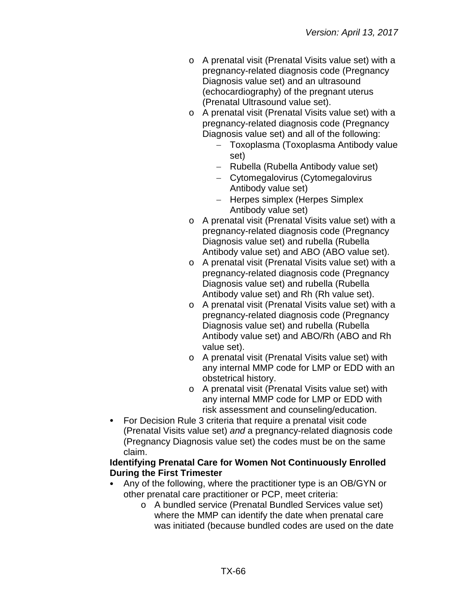- o A prenatal visit (Prenatal Visits value set) with a pregnancy-related diagnosis code (Pregnancy Diagnosis value set) and an ultrasound (echocardiography) of the pregnant uterus (Prenatal Ultrasound value set).
- o A prenatal visit (Prenatal Visits value set) with a pregnancy-related diagnosis code (Pregnancy Diagnosis value set) and all of the following:
	- − Toxoplasma (Toxoplasma Antibody value set)
	- − Rubella (Rubella Antibody value set)
	- − Cytomegalovirus (Cytomegalovirus Antibody value set)
	- − Herpes simplex (Herpes Simplex Antibody value set)
- o A prenatal visit (Prenatal Visits value set) with a pregnancy-related diagnosis code (Pregnancy Diagnosis value set) and rubella (Rubella Antibody value set) and ABO (ABO value set).
- o A prenatal visit (Prenatal Visits value set) with a pregnancy-related diagnosis code (Pregnancy Diagnosis value set) and rubella (Rubella Antibody value set) and Rh (Rh value set).
- o A prenatal visit (Prenatal Visits value set) with a pregnancy-related diagnosis code (Pregnancy Diagnosis value set) and rubella (Rubella Antibody value set) and ABO/Rh (ABO and Rh value set).
- o A prenatal visit (Prenatal Visits value set) with any internal MMP code for LMP or EDD with an obstetrical history.
- o A prenatal visit (Prenatal Visits value set) with any internal MMP code for LMP or EDD with risk assessment and counseling/education.
- For Decision Rule 3 criteria that require a prenatal visit code (Prenatal Visits value set) *and* a pregnancy-related diagnosis code (Pregnancy Diagnosis value set) the codes must be on the same claim.

### **Identifying Prenatal Care for Women Not Continuously Enrolled During the First Trimester**

- Any of the following, where the practitioner type is an OB/GYN or other prenatal care practitioner or PCP, meet criteria:
	- o A bundled service (Prenatal Bundled Services value set) where the MMP can identify the date when prenatal care was initiated (because bundled codes are used on the date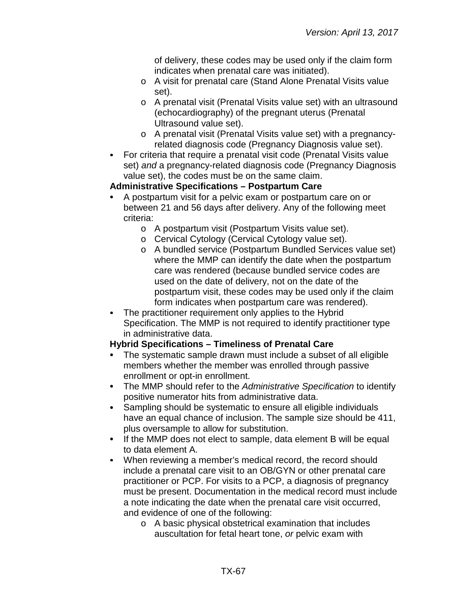of delivery, these codes may be used only if the claim form indicates when prenatal care was initiated).

- o A visit for prenatal care (Stand Alone Prenatal Visits value set).
- o A prenatal visit (Prenatal Visits value set) with an ultrasound (echocardiography) of the pregnant uterus (Prenatal Ultrasound value set).
- o A prenatal visit (Prenatal Visits value set) with a pregnancyrelated diagnosis code (Pregnancy Diagnosis value set).
- For criteria that require a prenatal visit code (Prenatal Visits value set) *and* a pregnancy-related diagnosis code (Pregnancy Diagnosis value set), the codes must be on the same claim.

## **Administrative Specifications – Postpartum Care**

- A postpartum visit for a pelvic exam or postpartum care on or between 21 and 56 days after delivery. Any of the following meet criteria:
	- o A postpartum visit (Postpartum Visits value set).
	- o Cervical Cytology (Cervical Cytology value set).
	- o A bundled service (Postpartum Bundled Services value set) where the MMP can identify the date when the postpartum care was rendered (because bundled service codes are used on the date of delivery, not on the date of the postpartum visit, these codes may be used only if the claim form indicates when postpartum care was rendered).
- The practitioner requirement only applies to the Hybrid Specification. The MMP is not required to identify practitioner type in administrative data.

# **Hybrid Specifications – Timeliness of Prenatal Care**

- The systematic sample drawn must include a subset of all eligible members whether the member was enrolled through passive enrollment or opt-in enrollment.
- The MMP should refer to the *Administrative Specification* to identify  $\bullet$ positive numerator hits from administrative data.
- $\bullet$ Sampling should be systematic to ensure all eligible individuals have an equal chance of inclusion. The sample size should be 411, plus oversample to allow for substitution.
- If the MMP does not elect to sample, data element B will be equal  $\bullet$ to data element A.
- When reviewing a member's medical record, the record should include a prenatal care visit to an OB/GYN or other prenatal care practitioner or PCP. For visits to a PCP, a diagnosis of pregnancy must be present. Documentation in the medical record must include a note indicating the date when the prenatal care visit occurred, and evidence of one of the following:
	- o A basic physical obstetrical examination that includes auscultation for fetal heart tone, *or* pelvic exam with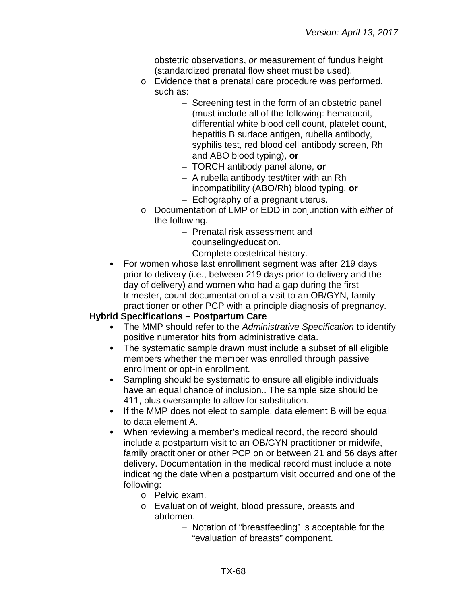obstetric observations, *or* measurement of fundus height (standardized prenatal flow sheet must be used).

- o Evidence that a prenatal care procedure was performed, such as:
	- − Screening test in the form of an obstetric panel (must include all of the following: hematocrit, differential white blood cell count, platelet count, hepatitis B surface antigen, rubella antibody, syphilis test, red blood cell antibody screen, Rh and ABO blood typing), **or**
	- − TORCH antibody panel alone, **or**
	- − A rubella antibody test/titer with an Rh incompatibility (ABO/Rh) blood typing, **or**
	- − Echography of a pregnant uterus.
- o Documentation of LMP or EDD in conjunction with *either* of the following.
	- − Prenatal risk assessment and counseling/education.
	- − Complete obstetrical history.
- For women whose last enrollment segment was after 219 days prior to delivery (i.e., between 219 days prior to delivery and the day of delivery) and women who had a gap during the first trimester, count documentation of a visit to an OB/GYN, family practitioner or other PCP with a principle diagnosis of pregnancy.

### **Hybrid Specifications – Postpartum Care**

- The MMP should refer to the *Administrative Specification* to identify positive numerator hits from administrative data.
- The systematic sample drawn must include a subset of all eligible  $\bullet$ members whether the member was enrolled through passive enrollment or opt-in enrollment.
- Sampling should be systematic to ensure all eligible individuals  $\bullet$ have an equal chance of inclusion.. The sample size should be 411, plus oversample to allow for substitution.
- If the MMP does not elect to sample, data element B will be equal  $\bullet$ to data element A.
- When reviewing a member's medical record, the record should include a postpartum visit to an OB/GYN practitioner or midwife, family practitioner or other PCP on or between 21 and 56 days after delivery. Documentation in the medical record must include a note indicating the date when a postpartum visit occurred and one of the following:
	- o Pelvic exam.
	- o Evaluation of weight, blood pressure, breasts and abdomen.
		- − Notation of "breastfeeding" is acceptable for the "evaluation of breasts" component.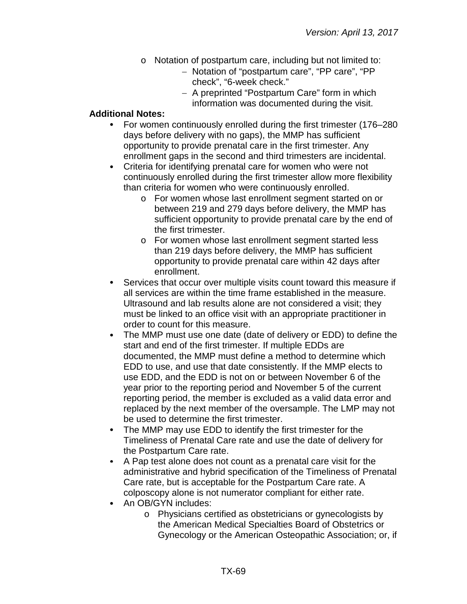- o Notation of postpartum care, including but not limited to:
	- − Notation of "postpartum care", "PP care", "PP check", "6-week check."
	- − A preprinted "Postpartum Care" form in which information was documented during the visit.

#### **Additional Notes:**

- For women continuously enrolled during the first trimester (176–280  $\bullet$ days before delivery with no gaps), the MMP has sufficient opportunity to provide prenatal care in the first trimester. Any enrollment gaps in the second and third trimesters are incidental.
- Criteria for identifying prenatal care for women who were not  $\bullet$ continuously enrolled during the first trimester allow more flexibility than criteria for women who were continuously enrolled.
	- o For women whose last enrollment segment started on or between 219 and 279 days before delivery, the MMP has sufficient opportunity to provide prenatal care by the end of the first trimester.
	- o For women whose last enrollment segment started less than 219 days before delivery, the MMP has sufficient opportunity to provide prenatal care within 42 days after enrollment.
- Services that occur over multiple visits count toward this measure if all services are within the time frame established in the measure. Ultrasound and lab results alone are not considered a visit; they must be linked to an office visit with an appropriate practitioner in order to count for this measure.
- $\bullet$ The MMP must use one date (date of delivery or EDD) to define the start and end of the first trimester. If multiple EDDs are documented, the MMP must define a method to determine which EDD to use, and use that date consistently. If the MMP elects to use EDD, and the EDD is not on or between November 6 of the year prior to the reporting period and November 5 of the current reporting period, the member is excluded as a valid data error and replaced by the next member of the oversample. The LMP may not be used to determine the first trimester.
- $\bullet$ The MMP may use EDD to identify the first trimester for the Timeliness of Prenatal Care rate and use the date of delivery for the Postpartum Care rate.
- $\bullet$ A Pap test alone does not count as a prenatal care visit for the administrative and hybrid specification of the Timeliness of Prenatal Care rate, but is acceptable for the Postpartum Care rate. A colposcopy alone is not numerator compliant for either rate.
- An OB/GYN includes:
	- o Physicians certified as obstetricians or gynecologists by the American Medical Specialties Board of Obstetrics or Gynecology or the American Osteopathic Association; or, if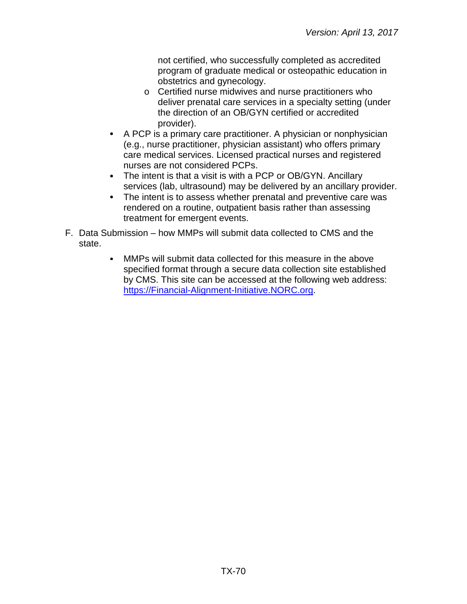not certified, who successfully completed as accredited program of graduate medical or osteopathic education in obstetrics and gynecology.

- o Certified nurse midwives and nurse practitioners who deliver prenatal care services in a specialty setting (under the direction of an OB/GYN certified or accredited provider).
- A PCP is a primary care practitioner. A physician or nonphysician (e.g., nurse practitioner, physician assistant) who offers primary care medical services. Licensed practical nurses and registered nurses are not considered PCPs.
- The intent is that a visit is with a PCP or OB/GYN. Ancillary services (lab, ultrasound) may be delivered by an ancillary provider.
- The intent is to assess whether prenatal and preventive care was rendered on a routine, outpatient basis rather than assessing treatment for emergent events.
- F. Data Submission how MMPs will submit data collected to CMS and the state.
	- MMPs will submit data collected for this measure in the above  $\bullet$ specified format through a secure data collection site established by CMS. This site can be accessed at the following web address: [https://Financial-Alignment-Initiative.NORC.org.](https://financial-alignment-initiative.norc.org/)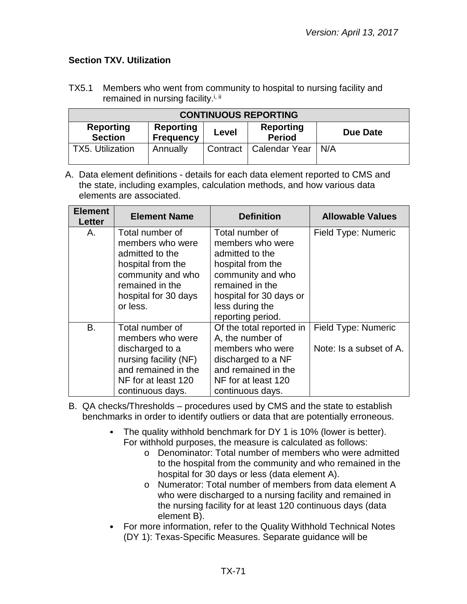## **Section TXV. Utilization**

TX5.1 Members who went from community to hospital to nursing facility and remained in nursing facility.<sup>i, ii</sup>

| <b>CONTINUOUS REPORTING</b>        |                                      |       |                                   |                 |  |  |  |
|------------------------------------|--------------------------------------|-------|-----------------------------------|-----------------|--|--|--|
| <b>Reporting</b><br><b>Section</b> | <b>Reporting</b><br><b>Frequency</b> | Level | <b>Reporting</b><br><b>Period</b> | <b>Due Date</b> |  |  |  |
| <b>TX5. Utilization</b>            | Annually                             |       | Contract   Calendar Year          | N/A             |  |  |  |

| <b>Element</b><br>Letter | <b>Element Name</b>                                                                                                                                     | <b>Definition</b>                                                                                                                                                                      | <b>Allowable Values</b>                        |
|--------------------------|---------------------------------------------------------------------------------------------------------------------------------------------------------|----------------------------------------------------------------------------------------------------------------------------------------------------------------------------------------|------------------------------------------------|
| А.                       | Total number of<br>members who were<br>admitted to the<br>hospital from the<br>community and who<br>remained in the<br>hospital for 30 days<br>or less. | Total number of<br>members who were<br>admitted to the<br>hospital from the<br>community and who<br>remained in the<br>hospital for 30 days or<br>less during the<br>reporting period. | Field Type: Numeric                            |
| B.                       | Total number of<br>members who were<br>discharged to a<br>nursing facility (NF)<br>and remained in the<br>NF for at least 120<br>continuous days.       | Of the total reported in<br>A, the number of<br>members who were<br>discharged to a NF<br>and remained in the<br>NF for at least 120<br>continuous days.                               | Field Type: Numeric<br>Note: Is a subset of A. |

- B. QA checks/Thresholds procedures used by CMS and the state to establish benchmarks in order to identify outliers or data that are potentially erroneous.
	- The quality withhold benchmark for DY 1 is 10% (lower is better). For withhold purposes, the measure is calculated as follows:
		- o Denominator: Total number of members who were admitted to the hospital from the community and who remained in the hospital for 30 days or less (data element A).
		- o Numerator: Total number of members from data element A who were discharged to a nursing facility and remained in the nursing facility for at least 120 continuous days (data element B).
	- For more information, refer to the Quality Withhold Technical Notes  $\bullet$ (DY 1): Texas-Specific Measures. Separate guidance will be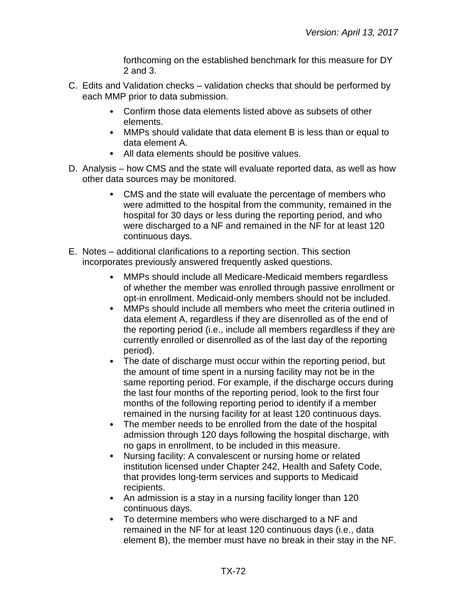forthcoming on the established benchmark for this measure for DY 2 and 3.

- C. Edits and Validation checks validation checks that should be performed by each MMP prior to data submission.
	- Confirm those data elements listed above as subsets of other elements.
	- MMPs should validate that data element B is less than or equal to data element A.
	- All data elements should be positive values.
- D. Analysis how CMS and the state will evaluate reported data, as well as how other data sources may be monitored.
	- CMS and the state will evaluate the percentage of members who were admitted to the hospital from the community, remained in the hospital for 30 days or less during the reporting period, and who were discharged to a NF and remained in the NF for at least 120 continuous days.
- E. Notes additional clarifications to a reporting section. This section incorporates previously answered frequently asked questions.
	- $\bullet$ MMPs should include all Medicare-Medicaid members regardless of whether the member was enrolled through passive enrollment or opt-in enrollment. Medicaid-only members should not be included.
	- $\bullet$ MMPs should include all members who meet the criteria outlined in data element A, regardless if they are disenrolled as of the end of the reporting period (i.e., include all members regardless if they are currently enrolled or disenrolled as of the last day of the reporting period).
	- The date of discharge must occur within the reporting period, but the amount of time spent in a nursing facility may not be in the same reporting period. For example, if the discharge occurs during the last four months of the reporting period, look to the first four months of the following reporting period to identify if a member remained in the nursing facility for at least 120 continuous days.
	- $\bullet$ The member needs to be enrolled from the date of the hospital admission through 120 days following the hospital discharge, with no gaps in enrollment, to be included in this measure.
	- $\bullet$ Nursing facility: A convalescent or nursing home or related institution licensed under Chapter 242, Health and Safety Code, that provides long-term services and supports to Medicaid recipients.
	- An admission is a stay in a nursing facility longer than 120 continuous days.
	- To determine members who were discharged to a NF and remained in the NF for at least 120 continuous days (i.e., data element B), the member must have no break in their stay in the NF.